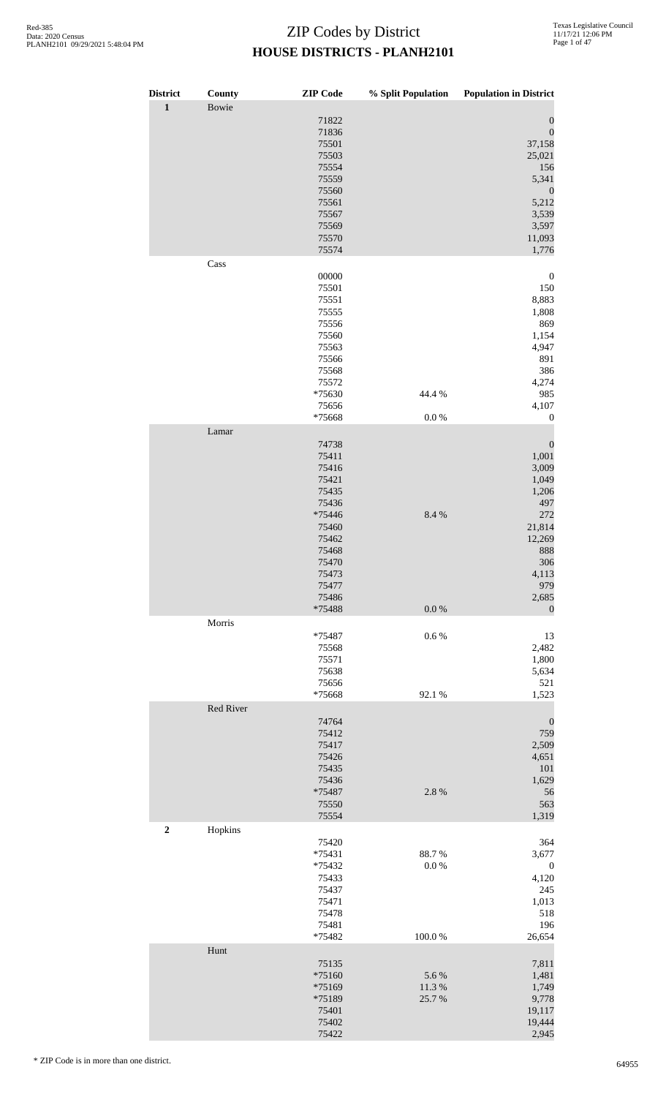| <b>District</b>  | County    | <b>ZIP</b> Code                                                                                                                       | % Split Population           | <b>Population in District</b>                                                                                                                     |
|------------------|-----------|---------------------------------------------------------------------------------------------------------------------------------------|------------------------------|---------------------------------------------------------------------------------------------------------------------------------------------------|
| $\mathbf 1$      | Bowie     | 71822<br>71836<br>75501<br>75503<br>75554<br>75559<br>75560<br>75561<br>75567<br>75569<br>75570<br>75574                              |                              | $\boldsymbol{0}$<br>$\boldsymbol{0}$<br>37,158<br>25,021<br>156<br>5,341<br>$\boldsymbol{0}$<br>5,212<br>3,539<br>3,597<br>11,093<br>1,776        |
|                  | Cass      |                                                                                                                                       |                              |                                                                                                                                                   |
|                  |           | 00000<br>75501<br>75551<br>75555<br>75556<br>75560<br>75563<br>75566<br>75568<br>75572<br>*75630<br>75656<br>*75668                   | 44.4 %<br>$0.0\ \%$          | $\boldsymbol{0}$<br>150<br>8,883<br>1,808<br>869<br>1,154<br>4,947<br>891<br>386<br>4,274<br>985<br>4,107<br>$\boldsymbol{0}$                     |
|                  | Lamar     |                                                                                                                                       |                              |                                                                                                                                                   |
|                  |           | 74738<br>75411<br>75416<br>75421<br>75435<br>75436<br>*75446<br>75460<br>75462<br>75468<br>75470<br>75473<br>75477<br>75486<br>*75488 | 8.4 %<br>$0.0\ \%$           | $\boldsymbol{0}$<br>1,001<br>3,009<br>1,049<br>1,206<br>497<br>272<br>21,814<br>12,269<br>888<br>306<br>4,113<br>979<br>2,685<br>$\boldsymbol{0}$ |
|                  | Morris    |                                                                                                                                       |                              |                                                                                                                                                   |
|                  |           | *75487<br>75568<br>75571<br>75638<br>75656<br>*75668                                                                                  | $0.6\,\%$<br>92.1 %          | 13<br>2,482<br>1,800<br>5,634<br>521<br>1,523                                                                                                     |
|                  | Red River |                                                                                                                                       |                              |                                                                                                                                                   |
|                  |           | 74764<br>75412<br>75417<br>75426<br>75435<br>75436<br>*75487<br>75550<br>75554                                                        | 2.8%                         | $\boldsymbol{0}$<br>759<br>2,509<br>4,651<br>$101\,$<br>1,629<br>56<br>563<br>1,319                                                               |
| $\boldsymbol{2}$ | Hopkins   | 75420<br>*75431<br>*75432<br>75433<br>75437<br>75471<br>75478<br>75481<br>*75482                                                      | 88.7%<br>$0.0\ \%$<br>100.0% | 364<br>3,677<br>$\boldsymbol{0}$<br>4,120<br>245<br>1,013<br>518<br>196<br>26,654                                                                 |
|                  | Hunt      |                                                                                                                                       |                              |                                                                                                                                                   |
|                  |           | 75135<br>*75160<br>*75169<br>*75189<br>75401<br>75402<br>75422                                                                        | 5.6%<br>11.3%<br>25.7%       | 7,811<br>1,481<br>1,749<br>9,778<br>19,117<br>19,444<br>2,945                                                                                     |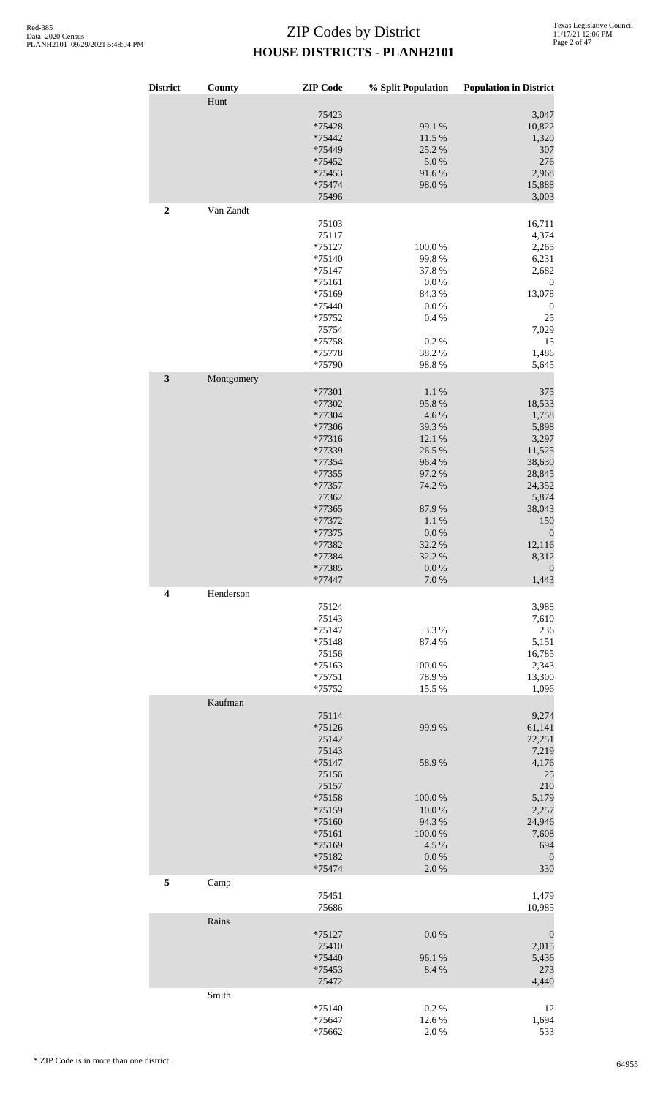| District         | County     | <b>ZIP</b> Code    | % Split Population | <b>Population in District</b> |
|------------------|------------|--------------------|--------------------|-------------------------------|
|                  | Hunt       | 75423              |                    | 3,047                         |
|                  |            | *75428             | 99.1 %             | 10,822                        |
|                  |            | *75442             | 11.5 %             | 1,320                         |
|                  |            | *75449             | 25.2 %             | 307                           |
|                  |            | *75452             | $5.0\ \%$          | 276                           |
|                  |            | *75453             | 91.6%              | 2,968                         |
|                  |            | *75474             | 98.0%              | 15,888                        |
| $\boldsymbol{2}$ | Van Zandt  | 75496              |                    | 3,003                         |
|                  |            | 75103              |                    | 16,711                        |
|                  |            | 75117              |                    | 4,374                         |
|                  |            | $*75127$           | 100.0%             | 2,265                         |
|                  |            | $*75140$           | 99.8%              | 6,231                         |
|                  |            | $*75147$           | 37.8%              | 2,682                         |
|                  |            | $*75161$           | $0.0\ \%$          | $\boldsymbol{0}$              |
|                  |            | $*75169$           | 84.3%              | 13,078                        |
|                  |            | *75440<br>*75752   | $0.0\ \%$<br>0.4%  | $\boldsymbol{0}$<br>25        |
|                  |            | 75754              |                    | 7,029                         |
|                  |            | *75758             | 0.2 %              | 15                            |
|                  |            | *75778             | 38.2%              | 1,486                         |
|                  |            | *75790             | 98.8%              | 5,645                         |
| $\mathbf{3}$     | Montgomery | *77301             | $1.1~\%$           | 375                           |
|                  |            | *77302             | 95.8%              | 18,533                        |
|                  |            | *77304             | 4.6%               | 1,758                         |
|                  |            | *77306             | 39.3%              | 5,898                         |
|                  |            | *77316             | 12.1 %             | 3,297                         |
|                  |            | *77339             | 26.5 %             | 11,525                        |
|                  |            | *77354             | 96.4%              | 38,630                        |
|                  |            | *77355             | 97.2 %             | 28,845                        |
|                  |            | *77357             | 74.2 %             | 24,352                        |
|                  |            | 77362              |                    | 5,874                         |
|                  |            | *77365<br>*77372   | 87.9%              | 38,043                        |
|                  |            | *77375             | 1.1 %<br>$0.0\ \%$ | 150<br>$\boldsymbol{0}$       |
|                  |            | *77382             | 32.2 %             | 12,116                        |
|                  |            | *77384             | 32.2 %             | 8,312                         |
|                  |            | *77385             | $0.0\ \%$          | $\boldsymbol{0}$              |
|                  |            | *77447             | 7.0 %              | 1,443                         |
| 4                | Henderson  | 75124              |                    | 3,988                         |
|                  |            | 75143              |                    | 7,610                         |
|                  |            | $*75147$           | 3.3%               | 236                           |
|                  |            | $*75148$           | 87.4 %             | 5,151                         |
|                  |            | 75156              |                    | 16,785                        |
|                  |            | $*75163$           | 100.0%             | 2,343                         |
|                  |            | $*75751$           | 78.9%              | 13,300                        |
|                  | Kaufman    | *75752             | 15.5 %             | 1,096                         |
|                  |            | 75114              |                    | 9,274                         |
|                  |            | $*75126$           | 99.9%              | 61,141                        |
|                  |            | 75142              |                    | 22,251                        |
|                  |            | 75143              |                    | 7,219                         |
|                  |            | $*75147$           | 58.9%              | 4,176                         |
|                  |            | 75156              |                    | 25                            |
|                  |            | 75157              |                    | 210                           |
|                  |            | $*75158$<br>*75159 | 100.0%<br>10.0%    | 5,179<br>2,257                |
|                  |            | $*75160$           | 94.3 %             | 24,946                        |
|                  |            | $*75161$           | 100.0%             | 7,608                         |
|                  |            | *75169             | 4.5 %              | 694                           |
|                  |            | $*75182$           | 0.0 %              | $\boldsymbol{0}$              |
| 5                |            | *75474             | 2.0%               | 330                           |
|                  | Camp       | 75451              |                    | 1,479                         |
|                  |            | 75686              |                    | 10,985                        |
|                  | Rains      |                    |                    |                               |
|                  |            | $*75127$<br>75410  | $0.0\ \%$          | $\boldsymbol{0}$<br>2,015     |
|                  |            | *75440             | 96.1 %             | 5,436                         |
|                  |            | *75453             | 8.4 %              | 273                           |
|                  |            | 75472              |                    | 4,440                         |
|                  | Smith      |                    |                    |                               |
|                  |            | $*75140$<br>*75647 | 0.2 %<br>12.6 %    | 12<br>1,694                   |
|                  |            | *75662             | 2.0%               | 533                           |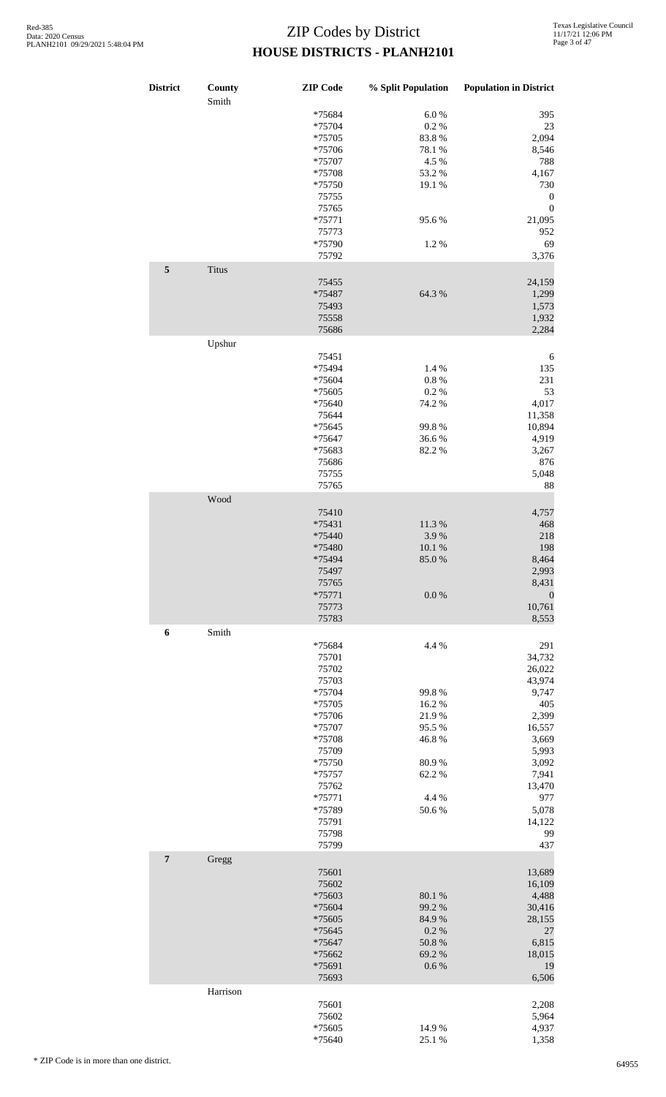| <b>District</b> | County<br>Smith | <b>ZIP</b> Code | % Split Population | <b>Population in District</b> |
|-----------------|-----------------|-----------------|--------------------|-------------------------------|
|                 |                 | *75684          | $6.0~\%$           | 395                           |
|                 |                 | *75704          | 0.2 %              | 23                            |
|                 |                 |                 |                    |                               |
|                 |                 | *75705          | 83.8%              | 2,094                         |
|                 |                 | *75706          | 78.1 %             | 8,546                         |
|                 |                 | *75707          | 4.5 %              | 788                           |
|                 |                 |                 |                    |                               |
|                 |                 | *75708          | 53.2 %             | 4,167                         |
|                 |                 | *75750          | 19.1 %             | 730                           |
|                 |                 | 75755           |                    | $\boldsymbol{0}$              |
|                 |                 |                 |                    |                               |
|                 |                 | 75765           |                    | $\boldsymbol{0}$              |
|                 |                 | $*75771$        | 95.6%              | 21,095                        |
|                 |                 | 75773           |                    | 952                           |
|                 |                 |                 |                    |                               |
|                 |                 | *75790          | 1.2%               | 69                            |
|                 |                 | 75792           |                    | 3,376                         |
| $\sqrt{5}$      | <b>Titus</b>    |                 |                    |                               |
|                 |                 |                 |                    |                               |
|                 |                 | 75455           |                    | 24,159                        |
|                 |                 | *75487          | 64.3%              | 1,299                         |
|                 |                 |                 |                    |                               |
|                 |                 | 75493           |                    | 1,573                         |
|                 |                 | 75558           |                    | 1,932                         |
|                 |                 | 75686           |                    | 2,284                         |
|                 |                 |                 |                    |                               |
|                 | Upshur          |                 |                    |                               |
|                 |                 | 75451           |                    | 6                             |
|                 |                 |                 |                    |                               |
|                 |                 | *75494          | 1.4 %              | 135                           |
|                 |                 | *75604          | $0.8~\%$           | 231                           |
|                 |                 | *75605          | 0.2 %              | 53                            |
|                 |                 |                 |                    |                               |
|                 |                 | *75640          | 74.2 %             | 4,017                         |
|                 |                 | 75644           |                    | 11,358                        |
|                 |                 |                 |                    |                               |
|                 |                 | *75645          | 99.8%              | 10,894                        |
|                 |                 | *75647          | 36.6%              | 4,919                         |
|                 |                 | *75683          | 82.2%              | 3,267                         |
|                 |                 |                 |                    |                               |
|                 |                 | 75686           |                    | 876                           |
|                 |                 | 75755           |                    | 5,048                         |
|                 |                 | 75765           |                    | 88                            |
|                 |                 |                 |                    |                               |
|                 | Wood            |                 |                    |                               |
|                 |                 | 75410           |                    | 4,757                         |
|                 |                 |                 |                    |                               |
|                 |                 | *75431          | 11.3 %             | 468                           |
|                 |                 | *75440          | 3.9%               | 218                           |
|                 |                 | *75480          | 10.1%              | 198                           |
|                 |                 |                 |                    |                               |
|                 |                 | *75494          | 85.0%              | 8,464                         |
|                 |                 | 75497           |                    | 2,993                         |
|                 |                 | 75765           |                    | 8,431                         |
|                 |                 |                 |                    |                               |
|                 |                 | $*75771$        | 0.0 %              | $\boldsymbol{0}$              |
|                 |                 | 75773           |                    | 10,761                        |
|                 |                 | 75783           |                    | 8,553                         |
|                 |                 |                 |                    |                               |
| 6               | Smith           |                 |                    |                               |
|                 |                 | *75684          | 4.4 %              | 291                           |
|                 |                 |                 |                    |                               |
|                 |                 | 75701           |                    | 34,732                        |
|                 |                 | 75702           |                    | 26,022                        |
|                 |                 | 75703           |                    | 43,974                        |
|                 |                 |                 |                    |                               |
|                 |                 | *75704          | 99.8%              | 9,747                         |
|                 |                 | *75705          | 16.2%              | 405                           |
|                 |                 | *75706          | 21.9%              | 2,399                         |
|                 |                 |                 |                    |                               |
|                 |                 | *75707          | 95.5%              | 16,557                        |
|                 |                 | *75708          | 46.8%              | 3,669                         |
|                 |                 | 75709           |                    | 5,993                         |
|                 |                 |                 |                    |                               |
|                 |                 | *75750          | 80.9%              | 3,092                         |
|                 |                 | *75757          | 62.2%              | 7,941                         |
|                 |                 | 75762           |                    | 13,470                        |
|                 |                 |                 |                    |                               |
|                 |                 | $*75771$        | 4.4 %              | 977                           |
|                 |                 | *75789          | 50.6%              | 5,078                         |
|                 |                 |                 |                    |                               |
|                 |                 | 75791           |                    | 14,122                        |
|                 |                 | 75798           |                    | 99                            |
|                 |                 | 75799           |                    | 437                           |
|                 |                 |                 |                    |                               |
| $\overline{7}$  | Gregg           |                 |                    |                               |
|                 |                 | 75601           |                    | 13,689                        |
|                 |                 |                 |                    |                               |
|                 |                 | 75602           |                    | 16,109                        |
|                 |                 | *75603          | 80.1%              | 4,488                         |
|                 |                 | *75604          | 99.2 %             | 30,416                        |
|                 |                 |                 |                    |                               |
|                 |                 | *75605          | 84.9%              | 28,155                        |
|                 |                 | *75645          | 0.2 %              | 27                            |
|                 |                 |                 |                    |                               |
|                 |                 | *75647          | 50.8 %             | 6,815                         |
|                 |                 | *75662          | 69.2%              | 18,015                        |
|                 |                 | *75691          | 0.6 %              | 19                            |
|                 |                 |                 |                    |                               |
|                 |                 | 75693           |                    | 6,506                         |
|                 | Harrison        |                 |                    |                               |
|                 |                 |                 |                    |                               |
|                 |                 | 75601           |                    | 2,208                         |
|                 |                 | 75602           |                    | 5,964                         |
|                 |                 |                 | 14.9%              |                               |
|                 |                 | $*75605$        |                    | 4,937                         |
|                 |                 | *75640          | 25.1 %             | 1,358                         |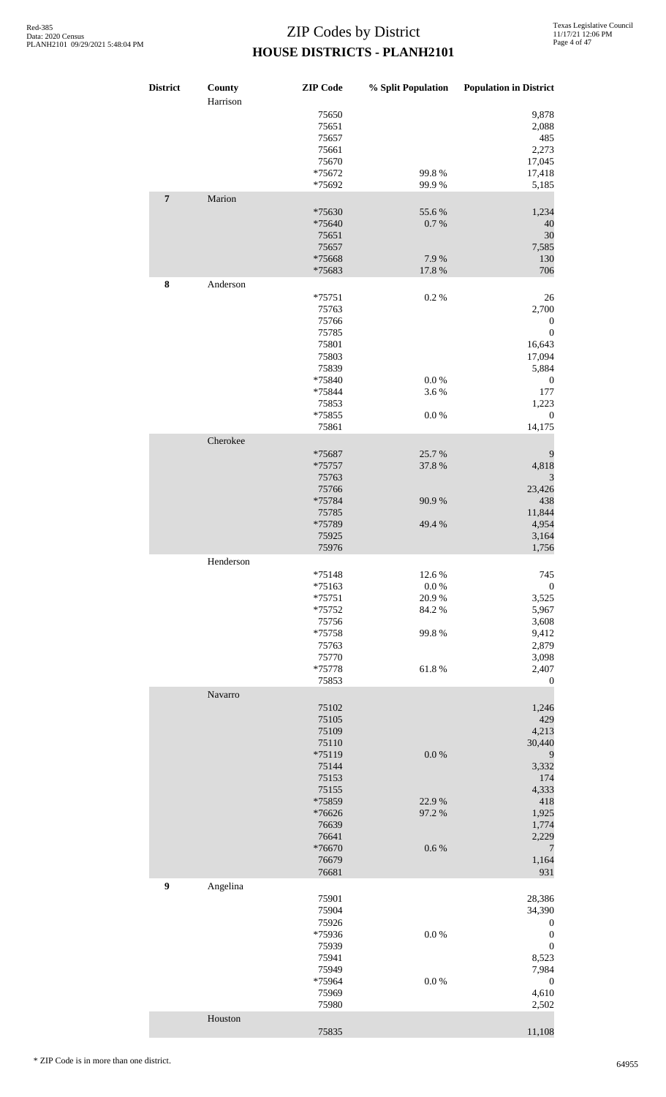| <b>District</b>  | County<br>Harrison | <b>ZIP</b> Code                  | % Split Population | <b>Population in District</b>  |
|------------------|--------------------|----------------------------------|--------------------|--------------------------------|
|                  |                    | 75650<br>75651<br>75657<br>75661 |                    | 9,878<br>2,088<br>485<br>2,273 |
|                  |                    | 75670<br>*75672<br>*75692        | 99.8%<br>99.9%     | 17,045<br>17,418<br>5,185      |
| $\boldsymbol{7}$ | Marion             | *75630                           | 55.6%              | 1,234                          |
|                  |                    | *75640<br>75651<br>75657         | 0.7%               | 40<br>30<br>7,585              |
|                  |                    | *75668<br>*75683                 | 7.9%<br>17.8 %     | 130<br>706                     |
| ${\bf 8}$        | Anderson           | $*75751$                         | 0.2 %              | 26                             |
|                  |                    | 75763<br>75766                   |                    | 2,700<br>$\boldsymbol{0}$      |
|                  |                    | 75785<br>75801                   |                    | $\boldsymbol{0}$<br>16,643     |
|                  |                    | 75803<br>75839                   |                    | 17,094<br>5,884                |
|                  |                    | *75840                           | 0.0 %              | $\boldsymbol{0}$               |
|                  |                    | *75844<br>75853                  | 3.6%               | 177<br>1,223                   |
|                  |                    | *75855                           | 0.0 %              | $\boldsymbol{0}$               |
|                  | Cherokee           | 75861                            |                    | 14,175                         |
|                  |                    | *75687                           | 25.7%              | 9                              |
|                  |                    | *75757                           | 37.8%              | 4,818                          |
|                  |                    | 75763<br>75766                   |                    | 3<br>23,426                    |
|                  |                    | *75784                           | 90.9%              | 438                            |
|                  |                    | 75785<br>*75789                  | 49.4 %             | 11,844<br>4,954                |
|                  |                    | 75925                            |                    | 3,164                          |
|                  | Henderson          | 75976                            |                    | 1,756                          |
|                  |                    | $*75148$                         | 12.6 %             | 745                            |
|                  |                    | $*75163$<br>$*75751$             | $0.0\ \%$<br>20.9% | $\boldsymbol{0}$<br>3,525      |
|                  |                    | *75752                           | 84.2 %             | 5,967                          |
|                  |                    | 75756<br>*75758                  | 99.8%              | 3,608<br>9,412                 |
|                  |                    | 75763                            |                    | 2,879                          |
|                  |                    | 75770<br>*75778                  | 61.8%              | 3,098<br>2,407                 |
|                  |                    | 75853                            |                    | $\boldsymbol{0}$               |
|                  | Navarro            | 75102                            |                    | 1,246                          |
|                  |                    | 75105                            |                    | 429                            |
|                  |                    | 75109<br>75110                   |                    | 4,213<br>30,440                |
|                  |                    | *75119                           | 0.0 %              | 9                              |
|                  |                    | 75144<br>75153                   |                    | 3,332<br>174                   |
|                  |                    | 75155                            |                    | 4,333                          |
|                  |                    | *75859<br>*76626                 | 22.9%<br>97.2 %    | 418<br>1,925                   |
|                  |                    | 76639                            |                    | 1,774                          |
|                  |                    | 76641<br>*76670                  | 0.6 %              | 2,229<br>$\overline{7}$        |
|                  |                    | 76679                            |                    | 1,164                          |
| 9                | Angelina           | 76681                            |                    | 931                            |
|                  |                    | 75901                            |                    | 28,386                         |
|                  |                    | 75904<br>75926                   |                    | 34,390<br>$\boldsymbol{0}$     |
|                  |                    | *75936                           | $0.0\ \%$          | $\boldsymbol{0}$               |
|                  |                    | 75939<br>75941                   |                    | $\boldsymbol{0}$<br>8,523      |
|                  |                    | 75949                            |                    | 7,984                          |
|                  |                    | *75964<br>75969                  | 0.0 %              | $\boldsymbol{0}$<br>4,610      |
|                  |                    | 75980                            |                    | 2,502                          |
|                  | Houston            | 75835                            |                    | 11,108                         |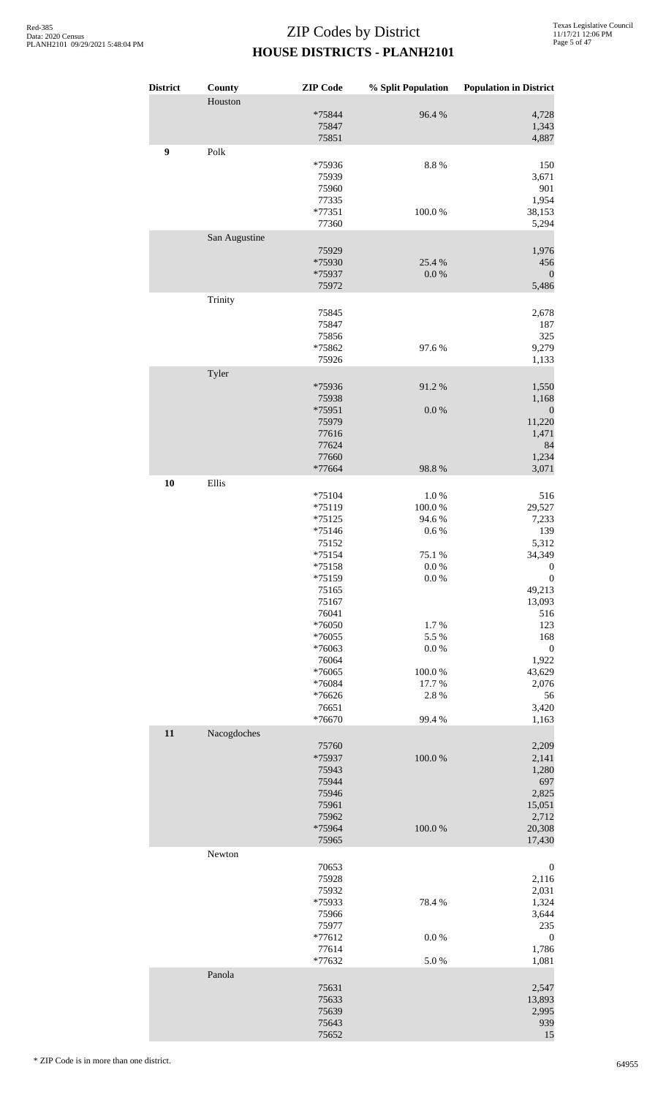| <b>District</b>  | County<br>Houston     | <b>ZIP</b> Code                                                                                                                                                                                                                                                          | % Split Population                                                                                                                                    | <b>Population in District</b>                                                                                                                                                                                                                                           |
|------------------|-----------------------|--------------------------------------------------------------------------------------------------------------------------------------------------------------------------------------------------------------------------------------------------------------------------|-------------------------------------------------------------------------------------------------------------------------------------------------------|-------------------------------------------------------------------------------------------------------------------------------------------------------------------------------------------------------------------------------------------------------------------------|
|                  |                       | *75844<br>75847<br>75851                                                                                                                                                                                                                                                 | 96.4%                                                                                                                                                 | 4,728<br>1,343<br>4,887                                                                                                                                                                                                                                                 |
| $\boldsymbol{9}$ | $\operatorname{Polk}$ | *75936<br>75939<br>75960<br>77335<br>$*77351$                                                                                                                                                                                                                            | $8.8\ \%$<br>$100.0~\%$                                                                                                                               | 150<br>3,671<br>901<br>1,954<br>38,153                                                                                                                                                                                                                                  |
|                  |                       | 77360                                                                                                                                                                                                                                                                    |                                                                                                                                                       | 5,294                                                                                                                                                                                                                                                                   |
|                  | San Augustine         | 75929<br>*75930<br>*75937<br>75972                                                                                                                                                                                                                                       | 25.4 %<br>$0.0\ \%$                                                                                                                                   | 1,976<br>456<br>$\boldsymbol{0}$<br>5,486                                                                                                                                                                                                                               |
|                  | Trinity               | 75845<br>75847<br>75856<br>*75862<br>75926                                                                                                                                                                                                                               | 97.6%                                                                                                                                                 | 2,678<br>187<br>325<br>9,279<br>1,133                                                                                                                                                                                                                                   |
|                  | Tyler                 | *75936<br>75938<br>*75951<br>75979<br>77616<br>77624<br>77660<br>*77664                                                                                                                                                                                                  | 91.2%<br>$0.0\ \%$<br>98.8%                                                                                                                           | 1,550<br>1,168<br>$\boldsymbol{0}$<br>11,220<br>1,471<br>84<br>1,234<br>3,071                                                                                                                                                                                           |
| 10               | Ellis                 |                                                                                                                                                                                                                                                                          |                                                                                                                                                       |                                                                                                                                                                                                                                                                         |
| 11               | Nacogdoches           | $*75104$<br>*75119<br>$*75125$<br>$*75146$<br>75152<br>$*75154$<br>*75158<br>*75159<br>75165<br>75167<br>76041<br>*76050<br>$*76055$<br>*76063<br>76064<br>*76065<br>*76084<br>*76626<br>76651<br>*76670<br>75760<br>*75937<br>75943<br>75944<br>75946<br>75961<br>75962 | $1.0\ \%$<br>100.0%<br>94.6%<br>0.6 %<br>75.1 %<br>$0.0~\%$<br>$0.0\ \%$<br>1.7%<br>5.5 %<br>$0.0\ \%$<br>100.0%<br>17.7 %<br>2.8%<br>99.4%<br>100.0% | 516<br>29,527<br>7,233<br>139<br>5,312<br>34,349<br>$\boldsymbol{0}$<br>$\boldsymbol{0}$<br>49,213<br>13,093<br>516<br>123<br>168<br>$\boldsymbol{0}$<br>1,922<br>43,629<br>2,076<br>56<br>3,420<br>1,163<br>2,209<br>2,141<br>1,280<br>697<br>2,825<br>15,051<br>2,712 |
|                  | Newton                | *75964<br>75965<br>70653<br>75928<br>75932<br>*75933<br>75966<br>75977<br>$*77612$<br>77614<br>*77632                                                                                                                                                                    | $100.0~\%$<br>78.4%<br>0.0 %<br>5.0%                                                                                                                  | 20,308<br>17,430<br>$\boldsymbol{0}$<br>2,116<br>2,031<br>1,324<br>3,644<br>235<br>$\boldsymbol{0}$<br>1,786<br>1,081                                                                                                                                                   |
|                  | Panola                | 75631<br>75633<br>75639<br>75643<br>75652                                                                                                                                                                                                                                |                                                                                                                                                       | 2,547<br>13,893<br>2,995<br>939<br>15                                                                                                                                                                                                                                   |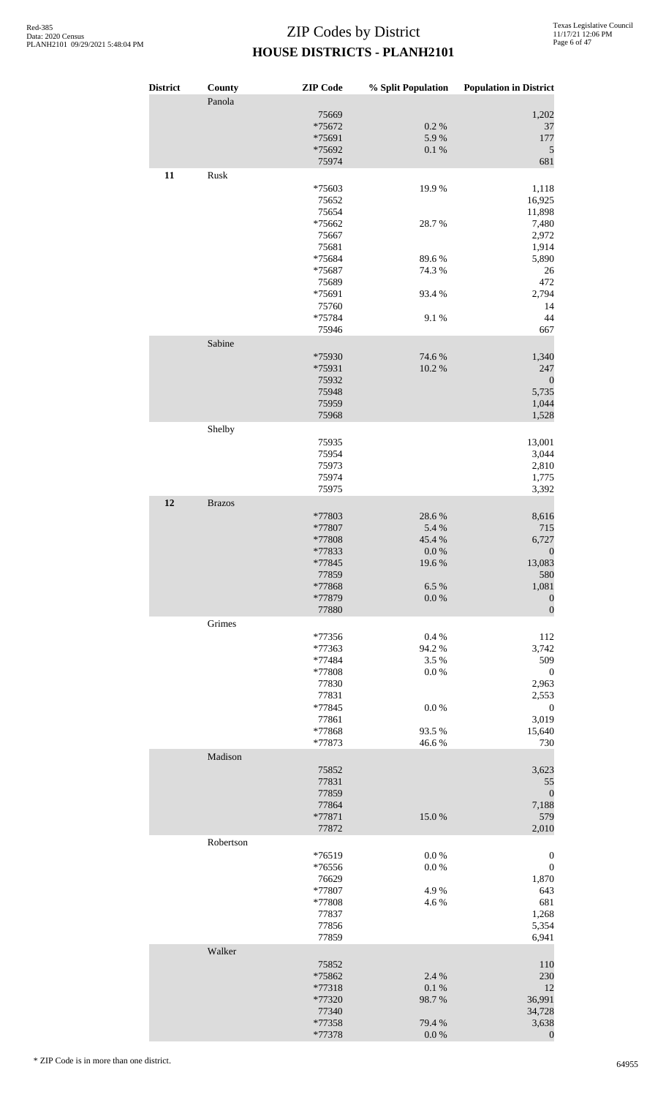| <b>District</b> | County        | <b>ZIP</b> Code    | % Split Population | <b>Population in District</b>        |
|-----------------|---------------|--------------------|--------------------|--------------------------------------|
|                 | Panola        |                    |                    |                                      |
|                 |               | 75669<br>*75672    | $0.2~\%$           | 1,202<br>37                          |
|                 |               | *75691             | 5.9%               | 177                                  |
|                 |               | *75692             | $0.1\ \%$          | 5                                    |
|                 |               | 75974              |                    | 681                                  |
| 11              | Rusk          | *75603             | 19.9%              | 1,118                                |
|                 |               | 75652              |                    | 16,925                               |
|                 |               | 75654              |                    | 11,898                               |
|                 |               | *75662             | 28.7%              | 7,480                                |
|                 |               | 75667              |                    | 2,972                                |
|                 |               | 75681              |                    | 1,914                                |
|                 |               | *75684<br>*75687   | 89.6%<br>74.3 %    | 5,890<br>26                          |
|                 |               | 75689              |                    | 472                                  |
|                 |               | *75691             | 93.4 %             | 2,794                                |
|                 |               | 75760              |                    | 14                                   |
|                 |               | *75784             | 9.1%               | 44                                   |
|                 | Sabine        | 75946              |                    | 667                                  |
|                 |               | *75930             | 74.6%              | 1,340                                |
|                 |               | *75931             | 10.2 %             | 247                                  |
|                 |               | 75932              |                    | $\boldsymbol{0}$                     |
|                 |               | 75948              |                    | 5,735                                |
|                 |               | 75959<br>75968     |                    | 1,044<br>1,528                       |
|                 | Shelby        |                    |                    |                                      |
|                 |               | 75935              |                    | 13,001                               |
|                 |               | 75954              |                    | 3,044                                |
|                 |               | 75973<br>75974     |                    | 2,810<br>1,775                       |
|                 |               | 75975              |                    | 3,392                                |
| 12              | <b>Brazos</b> |                    |                    |                                      |
|                 |               | *77803             | 28.6%              | 8,616                                |
|                 |               | *77807<br>*77808   | 5.4 %<br>45.4 %    | 715<br>6,727                         |
|                 |               | *77833             | 0.0 %              | $\boldsymbol{0}$                     |
|                 |               | *77845             | 19.6 %             | 13,083                               |
|                 |               | 77859              |                    | 580                                  |
|                 |               | *77868             | 6.5%               | 1,081                                |
|                 |               | *77879<br>77880    | $0.0\ \%$          | $\boldsymbol{0}$<br>$\overline{0}$   |
|                 | Grimes        |                    |                    |                                      |
|                 |               | *77356             | 0.4%               | 112                                  |
|                 |               | *77363             | 94.2 %             | 3,742                                |
|                 |               | *77484<br>*77808   | 3.5%<br>0.0 %      | 509<br>$\boldsymbol{0}$              |
|                 |               | 77830              |                    | 2,963                                |
|                 |               | 77831              |                    | 2,553                                |
|                 |               | *77845             | 0.0 %              | $\boldsymbol{0}$                     |
|                 |               | 77861              |                    | 3,019                                |
|                 |               | *77868<br>*77873   | 93.5 %<br>46.6%    | 15,640<br>730                        |
|                 | Madison       |                    |                    |                                      |
|                 |               | 75852              |                    | 3,623                                |
|                 |               | 77831              |                    | 55                                   |
|                 |               | 77859<br>77864     |                    | $\boldsymbol{0}$<br>7,188            |
|                 |               | *77871             | 15.0%              | 579                                  |
|                 |               | 77872              |                    | 2,010                                |
|                 | Robertson     |                    |                    |                                      |
|                 |               | $*76519$<br>*76556 | $0.0\ \%$<br>0.0 % | $\boldsymbol{0}$<br>$\boldsymbol{0}$ |
|                 |               | 76629              |                    | 1,870                                |
|                 |               | *77807             | 4.9%               | 643                                  |
|                 |               | *77808             | 4.6%               | 681                                  |
|                 |               | 77837              |                    | 1,268                                |
|                 |               | 77856<br>77859     |                    | 5,354<br>6,941                       |
|                 | Walker        |                    |                    |                                      |
|                 |               | 75852              |                    | 110                                  |
|                 |               | *75862<br>*77318   | 2.4 %<br>0.1 %     | 230<br>12                            |
|                 |               | *77320             | 98.7%              | 36,991                               |
|                 |               | 77340              |                    | 34,728                               |
|                 |               | *77358             | 79.4%              | 3,638                                |
|                 |               | *77378             | $0.0\ \%$          | $\boldsymbol{0}$                     |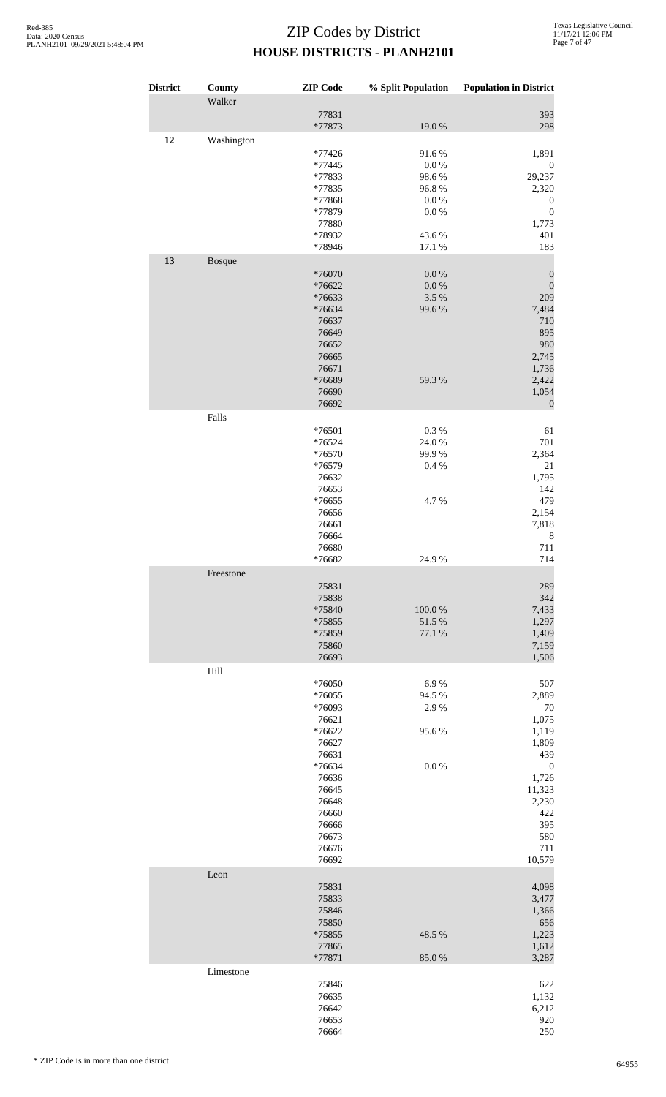| <b>District</b> | County     | <b>ZIP</b> Code  | % Split Population | <b>Population in District</b> |
|-----------------|------------|------------------|--------------------|-------------------------------|
|                 | Walker     |                  |                    |                               |
|                 |            | 77831<br>*77873  | 19.0%              | 393<br>298                    |
| 12              | Washington |                  |                    |                               |
|                 |            | *77426           | 91.6%              | 1,891                         |
|                 |            | *77445           | 0.0 %              | $\boldsymbol{0}$              |
|                 |            | *77833<br>*77835 | 98.6%<br>96.8%     | 29,237                        |
|                 |            | *77868           | 0.0 %              | 2,320<br>$\boldsymbol{0}$     |
|                 |            | *77879           | $0.0\ \%$          | $\boldsymbol{0}$              |
|                 |            | 77880            |                    | 1,773                         |
|                 |            | *78932           | 43.6%              | 401                           |
|                 |            | *78946           | 17.1 %             | 183                           |
| 13              | Bosque     |                  |                    |                               |
|                 |            | *76070           | $0.0\ \%$          | $\boldsymbol{0}$              |
|                 |            | *76622           | 0.0 %              | $\boldsymbol{0}$              |
|                 |            | *76633<br>*76634 | 3.5 %<br>99.6%     | 209<br>7,484                  |
|                 |            | 76637            |                    | 710                           |
|                 |            | 76649            |                    | 895                           |
|                 |            | 76652            |                    | 980                           |
|                 |            | 76665            |                    | 2,745                         |
|                 |            | 76671            |                    | 1,736                         |
|                 |            | *76689           | 59.3%              | 2,422                         |
|                 |            | 76690            |                    | 1,054                         |
|                 |            | 76692            |                    | $\boldsymbol{0}$              |
|                 | Falls      |                  |                    |                               |
|                 |            | *76501           | $0.3~\%$           | 61                            |
|                 |            | *76524           | 24.0%              | 701                           |
|                 |            | *76570           | 99.9%              | 2,364                         |
|                 |            | *76579           | 0.4 %              | 21                            |
|                 |            | 76632            |                    | 1,795                         |
|                 |            | 76653            |                    | 142                           |
|                 |            | *76655           | 4.7%               | 479                           |
|                 |            | 76656            |                    | 2,154                         |
|                 |            | 76661            |                    | 7,818                         |
|                 |            | 76664            |                    | 8                             |
|                 |            | 76680<br>*76682  | 24.9%              | 711<br>714                    |
|                 | Freestone  |                  |                    |                               |
|                 |            | 75831            |                    | 289                           |
|                 |            | 75838            |                    | 342                           |
|                 |            | *75840           | 100.0%             | 7,433                         |
|                 |            | *75855           | 51.5 %             | 1,297                         |
|                 |            | *75859           | 77.1 %             | 1,409                         |
|                 |            | 75860            |                    | 7,159                         |
|                 |            | 76693            |                    | 1,506                         |
|                 | Hill       |                  |                    |                               |
|                 |            | *76050           | 6.9%               | 507                           |
|                 |            | *76055           | 94.5 %             | 2,889                         |
|                 |            | *76093           | 2.9%               | 70                            |
|                 |            | 76621            |                    | 1,075                         |
|                 |            | *76622           | 95.6%              | 1,119                         |
|                 |            | 76627<br>76631   |                    | 1,809<br>439                  |
|                 |            | *76634           | $0.0\ \%$          |                               |
|                 |            | 76636            |                    | $\boldsymbol{0}$<br>1,726     |
|                 |            | 76645            |                    | 11,323                        |
|                 |            | 76648            |                    | 2,230                         |
|                 |            | 76660            |                    | 422                           |
|                 |            | 76666            |                    | 395                           |
|                 |            | 76673            |                    | 580                           |
|                 |            | 76676            |                    | 711                           |
|                 |            | 76692            |                    | 10,579                        |
|                 | Leon       |                  |                    |                               |
|                 |            | 75831            |                    | 4,098                         |
|                 |            | 75833            |                    | 3,477                         |
|                 |            | 75846            |                    | 1,366                         |
|                 |            | 75850            |                    | 656                           |
|                 |            | *75855           | 48.5 %             | 1,223                         |
|                 |            | 77865            |                    | 1,612                         |
|                 | Limestone  | *77871           | 85.0%              | 3,287                         |
|                 |            | 75846            |                    | 622                           |
|                 |            | 76635            |                    | 1,132                         |
|                 |            | 76642            |                    | 6,212                         |
|                 |            | 76653            |                    | 920                           |
|                 |            | 76664            |                    | 250                           |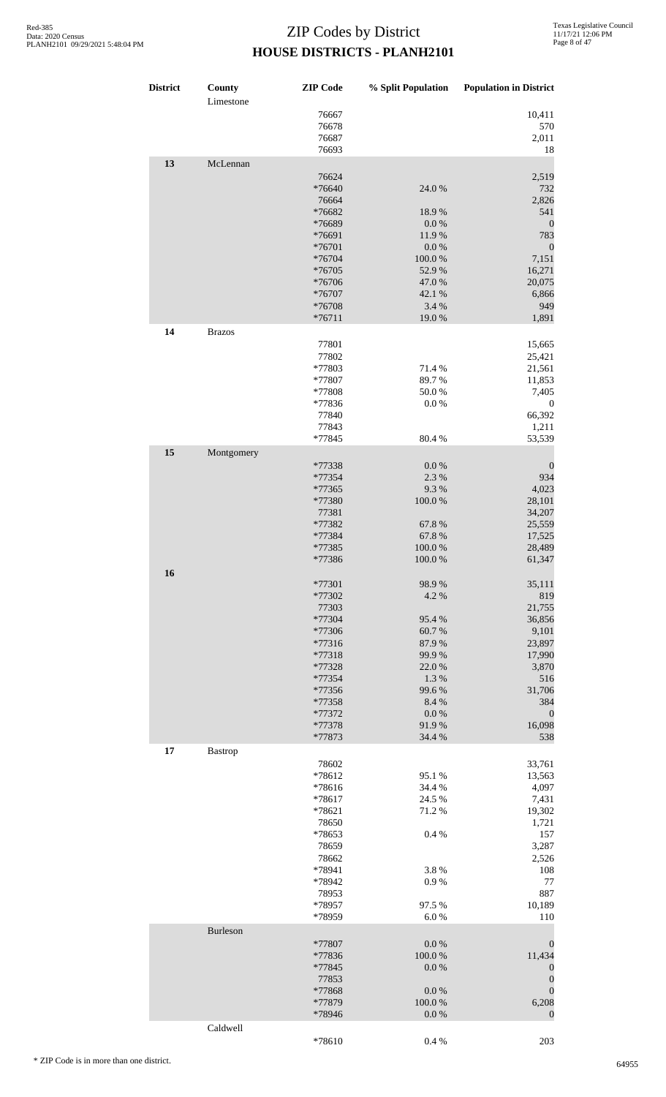| District | County<br>Limestone | <b>ZIP</b> Code  | % Split Population | <b>Population in District</b> |
|----------|---------------------|------------------|--------------------|-------------------------------|
|          |                     | 76667            |                    | 10,411                        |
|          |                     | 76678            |                    | 570                           |
|          |                     | 76687            |                    | 2,011                         |
|          |                     | 76693            |                    | 18                            |
| 13       | McLennan            |                  |                    |                               |
|          |                     | 76624            |                    | 2,519                         |
|          |                     | *76640           | 24.0 %             | 732                           |
|          |                     | 76664<br>*76682  |                    | 2,826                         |
|          |                     | *76689           | 18.9%<br>0.0 %     | 541<br>$\boldsymbol{0}$       |
|          |                     | *76691           | 11.9%              | 783                           |
|          |                     | *76701           | $0.0\ \%$          | $\boldsymbol{0}$              |
|          |                     | *76704           | 100.0%             | 7,151                         |
|          |                     | *76705           | 52.9%              | 16,271                        |
|          |                     | *76706           | 47.0%              | 20,075                        |
|          |                     | *76707           | 42.1 %             | 6,866                         |
|          |                     | *76708           | 3.4 %              | 949                           |
|          |                     | $*76711$         | 19.0%              | 1,891                         |
| 14       | <b>Brazos</b>       |                  |                    |                               |
|          |                     | 77801            |                    | 15,665                        |
|          |                     | 77802            |                    | 25,421                        |
|          |                     | *77803           | 71.4%              | 21,561                        |
|          |                     | *77807           | 89.7%              | 11,853                        |
|          |                     | *77808           | 50.0%              | 7,405                         |
|          |                     | *77836           | 0.0 %              | $\boldsymbol{0}$              |
|          |                     | 77840            |                    | 66,392                        |
|          |                     | 77843            |                    | 1,211                         |
|          |                     | *77845           | 80.4%              | 53,539                        |
| 15       | Montgomery          |                  |                    |                               |
|          |                     | *77338           | $0.0\ \%$          | $\boldsymbol{0}$              |
|          |                     | *77354           | 2.3 %              | 934                           |
|          |                     | *77365           | 9.3%               | 4,023                         |
|          |                     | *77380           | 100.0%             | 28,101                        |
|          |                     | 77381            |                    | 34,207                        |
|          |                     | *77382           | 67.8%              | 25,559                        |
|          |                     | *77384           | 67.8%              | 17,525                        |
|          |                     | *77385           | $100.0~\%$         | 28,489                        |
|          |                     | *77386           | $100.0~\%$         | 61,347                        |
| 16       |                     |                  |                    |                               |
|          |                     | *77301           | 98.9%              | 35,111                        |
|          |                     | *77302           | 4.2 %              | 819                           |
|          |                     | 77303            |                    | 21,755                        |
|          |                     | *77304           | 95.4%              | 36,856                        |
|          |                     | *77306           | 60.7%              | 9,101                         |
|          |                     | *77316           | 87.9%              | 23,897                        |
|          |                     | *77318           | 99.9%<br>22.0%     | 17,990                        |
|          |                     | *77328<br>*77354 | 1.3 %              | 3,870<br>516                  |
|          |                     | *77356           | 99.6%              | 31,706                        |
|          |                     | *77358           | 8.4 %              | 384                           |
|          |                     | *77372           | $0.0\ \%$          | $\boldsymbol{0}$              |
|          |                     | *77378           | 91.9%              | 16,098                        |
|          |                     | *77873           | 34.4 %             | 538                           |
| 17       | <b>Bastrop</b>      |                  |                    |                               |
|          |                     | 78602            |                    | 33,761                        |
|          |                     | *78612           | 95.1 %             | 13,563                        |
|          |                     | *78616           | 34.4 %             | 4,097                         |
|          |                     | *78617           | 24.5 %             | 7,431                         |
|          |                     | *78621           | 71.2%              | 19,302                        |
|          |                     | 78650            |                    | 1,721                         |
|          |                     | *78653           | 0.4%               | 157                           |
|          |                     | 78659            |                    | 3,287                         |
|          |                     | 78662            |                    | 2,526                         |
|          |                     | *78941           | 3.8%               | 108                           |
|          |                     | *78942           | 0.9%               | 77                            |
|          |                     | 78953            |                    | 887                           |
|          |                     | *78957           | 97.5 %             | 10,189                        |
|          |                     | *78959           | 6.0%               | 110                           |
|          | Burleson            |                  |                    |                               |
|          |                     | *77807           | 0.0 %              | $\boldsymbol{0}$              |
|          |                     | *77836           | 100.0%             | 11,434                        |
|          |                     | *77845           | 0.0 %              | $\boldsymbol{0}$              |
|          |                     | 77853            |                    | $\boldsymbol{0}$              |
|          |                     | *77868           | $0.0\ \%$          | $\boldsymbol{0}$              |
|          |                     | *77879           | 100.0%             | 6,208                         |
|          |                     | *78946           | $0.0\ \%$          | $\boldsymbol{0}$              |
|          | Caldwell            |                  |                    |                               |

\*78610 0.4 % 203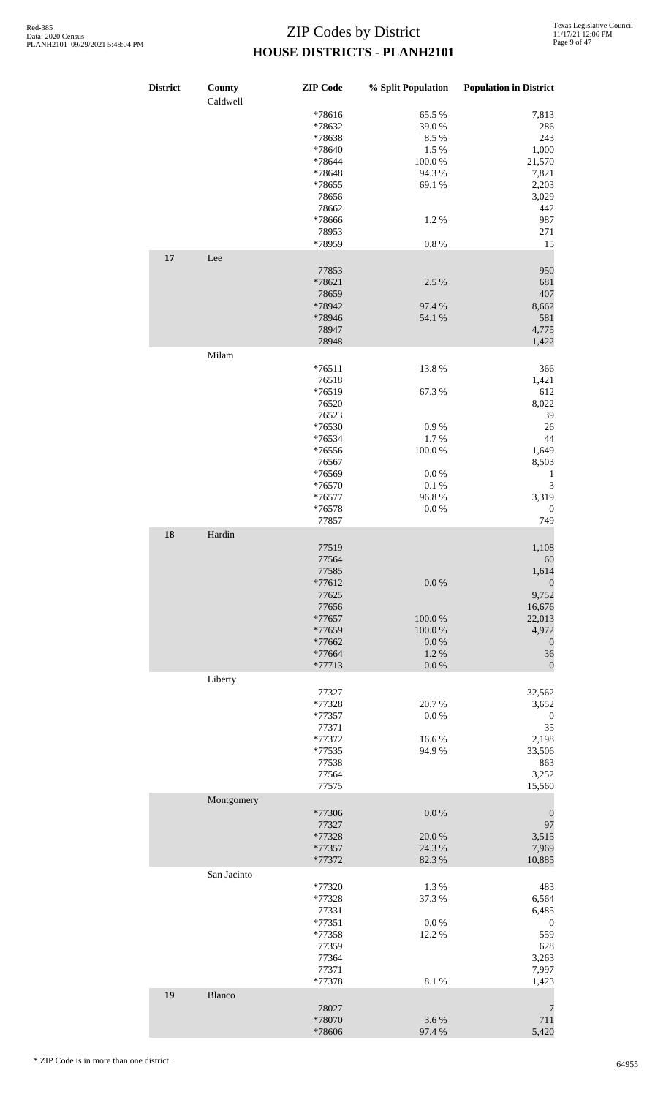| <b>District</b> | County<br>Caldwell | <b>ZIP</b> Code | % Split Population | <b>Population in District</b> |
|-----------------|--------------------|-----------------|--------------------|-------------------------------|
|                 |                    | *78616          | 65.5 %             | 7,813                         |
|                 |                    | *78632          | 39.0%              | 286                           |
|                 |                    | *78638          | 8.5%               | 243                           |
|                 |                    | *78640          | 1.5 %              | 1,000                         |
|                 |                    | *78644          | 100.0%             | 21,570                        |
|                 |                    | *78648          | 94.3%              | 7,821                         |
|                 |                    | *78655          | 69.1 %             | 2,203                         |
|                 |                    |                 |                    |                               |
|                 |                    | 78656           |                    | 3,029                         |
|                 |                    | 78662           |                    | 442                           |
|                 |                    | *78666          | 1.2%               | 987                           |
|                 |                    | 78953           |                    | 271                           |
|                 |                    | *78959          | 0.8 %              | 15                            |
| 17              | Lee                |                 |                    |                               |
|                 |                    |                 |                    |                               |
|                 |                    | 77853           |                    | 950                           |
|                 |                    | *78621          | 2.5 %              | 681                           |
|                 |                    | 78659           |                    | 407                           |
|                 |                    | *78942          | 97.4 %             | 8,662                         |
|                 |                    | *78946          | 54.1 %             | 581                           |
|                 |                    | 78947           |                    | 4,775                         |
|                 |                    | 78948           |                    | 1,422                         |
|                 |                    |                 |                    |                               |
|                 | Milam              |                 |                    |                               |
|                 |                    | $*76511$        | 13.8 %             | 366                           |
|                 |                    | 76518           |                    | 1,421                         |
|                 |                    | *76519          | 67.3 %             | 612                           |
|                 |                    | 76520           |                    | 8,022                         |
|                 |                    |                 |                    |                               |
|                 |                    | 76523           |                    | 39                            |
|                 |                    | *76530          | 0.9%               | 26                            |
|                 |                    | *76534          | 1.7%               | 44                            |
|                 |                    | *76556          | 100.0%             | 1,649                         |
|                 |                    | 76567           |                    | 8,503                         |
|                 |                    | *76569          | 0.0 %              | $\mathbf{1}$                  |
|                 |                    | *76570          | 0.1%               | $\mathfrak{Z}$                |
|                 |                    |                 |                    |                               |
|                 |                    | *76577          | 96.8%              | 3,319                         |
|                 |                    | *76578          | $0.0\ \%$          | $\boldsymbol{0}$              |
|                 |                    | 77857           |                    | 749                           |
| 18              | Hardin             |                 |                    |                               |
|                 |                    | 77519           |                    | 1,108                         |
|                 |                    |                 |                    |                               |
|                 |                    | 77564           |                    | 60                            |
|                 |                    | 77585           |                    | 1,614                         |
|                 |                    | $*77612$        | $0.0\ \%$          | $\mathbf{0}$                  |
|                 |                    | 77625           |                    | 9,752                         |
|                 |                    | 77656           |                    | 16,676                        |
|                 |                    | *77657          | $100.0~\%$         | 22,013                        |
|                 |                    | *77659          | $100.0~\%$         | 4,972                         |
|                 |                    | *77662          |                    |                               |
|                 |                    |                 | 0.0 %              | $\mathbf{0}$                  |
|                 |                    | *77664          | 1.2%               | 36                            |
|                 |                    | $*77713$        | $0.0\ \%$          | $\boldsymbol{0}$              |
|                 | Liberty            |                 |                    |                               |
|                 |                    | 77327           |                    | 32,562                        |
|                 |                    | *77328          | 20.7%              | 3,652                         |
|                 |                    |                 |                    |                               |
|                 |                    | *77357          | $0.0\ \%$          | $\mathbf{0}$                  |
|                 |                    | 77371           |                    | 35                            |
|                 |                    | *77372          | 16.6%              | 2,198                         |
|                 |                    | *77535          | 94.9%              | 33,506                        |
|                 |                    | 77538           |                    | 863                           |
|                 |                    | 77564           |                    | 3,252                         |
|                 |                    | 77575           |                    | 15,560                        |
|                 |                    |                 |                    |                               |
|                 | Montgomery         |                 |                    |                               |
|                 |                    | *77306          | 0.0 %              | $\boldsymbol{0}$              |
|                 |                    | 77327           |                    | 97                            |
|                 |                    | *77328          | 20.0%              | 3,515                         |
|                 |                    |                 |                    |                               |
|                 |                    | *77357          | 24.3 %             | 7,969                         |
|                 |                    | *77372          | 82.3 %             | 10,885                        |
|                 | San Jacinto        |                 |                    |                               |
|                 |                    | *77320          | 1.3%               | 483                           |
|                 |                    | *77328          | 37.3 %             | 6,564                         |
|                 |                    | 77331           |                    | 6,485                         |
|                 |                    |                 |                    |                               |
|                 |                    | $*77351$        | $0.0\ \%$          | $\boldsymbol{0}$              |
|                 |                    | *77358          | 12.2 %             | 559                           |
|                 |                    | 77359           |                    | 628                           |
|                 |                    | 77364           |                    | 3,263                         |
|                 |                    | 77371           |                    | 7,997                         |
|                 |                    |                 |                    |                               |
|                 |                    | *77378          | 8.1%               | 1,423                         |
| 19              | Blanco             |                 |                    |                               |
|                 |                    | 78027           |                    | 7                             |
|                 |                    | *78070          | 3.6%               | 711                           |
|                 |                    | *78606          | 97.4 %             | 5,420                         |
|                 |                    |                 |                    |                               |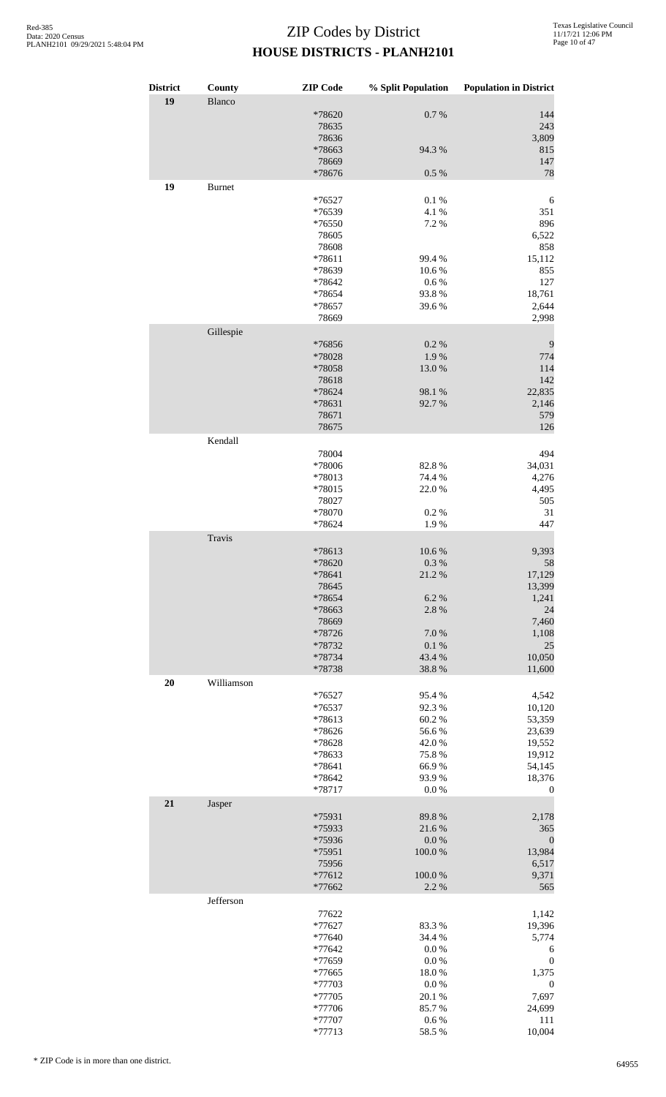| <b>District</b> | County        | <b>ZIP</b> Code  | % Split Population | <b>Population in District</b> |
|-----------------|---------------|------------------|--------------------|-------------------------------|
| 19              | Blanco        |                  |                    |                               |
|                 |               | *78620<br>78635  | 0.7 %              | 144<br>243                    |
|                 |               | 78636            |                    | 3,809                         |
|                 |               | *78663           | 94.3 %             | 815                           |
|                 |               | 78669<br>*78676  | $0.5\ \%$          | 147<br>78                     |
| 19              | <b>Burnet</b> |                  |                    |                               |
|                 |               | *76527           | 0.1 %              | 6                             |
|                 |               | *76539           | 4.1 %              | 351                           |
|                 |               | *76550<br>78605  | 7.2 %              | 896<br>6,522                  |
|                 |               | 78608            |                    | 858                           |
|                 |               | *78611           | 99.4 %             | 15,112                        |
|                 |               | *78639<br>*78642 | 10.6%<br>0.6 %     | 855<br>127                    |
|                 |               | *78654           | 93.8%              | 18,761                        |
|                 |               | *78657           | 39.6%              | 2,644                         |
|                 |               | 78669            |                    | 2,998                         |
|                 | Gillespie     | *76856           | 0.2 %              | 9                             |
|                 |               | *78028           | 1.9%               | 774                           |
|                 |               | *78058           | 13.0%              | 114                           |
|                 |               | 78618<br>*78624  | 98.1 %             | 142<br>22,835                 |
|                 |               | *78631           | 92.7%              | 2,146                         |
|                 |               | 78671            |                    | 579                           |
|                 |               | 78675            |                    | 126                           |
|                 | Kendall       | 78004            |                    | 494                           |
|                 |               | *78006           | 82.8%              | 34,031                        |
|                 |               | *78013           | 74.4 %             | 4,276                         |
|                 |               | *78015<br>78027  | 22.0%              | 4,495<br>505                  |
|                 |               | *78070           | 0.2%               | 31                            |
|                 |               | *78624           | 1.9%               | 447                           |
|                 | Travis        |                  |                    |                               |
|                 |               | *78613<br>*78620 | 10.6%<br>0.3%      | 9,393<br>58                   |
|                 |               | *78641           | 21.2%              | 17,129                        |
|                 |               | 78645            |                    | 13,399                        |
|                 |               | *78654<br>*78663 | 6.2%<br>2.8%       | 1,241<br>24                   |
|                 |               | 78669            |                    | 7,460                         |
|                 |               | *78726           | 7.0%               | 1,108                         |
|                 |               | *78732<br>*78734 | 0.1 %<br>43.4 %    | 25<br>10,050                  |
|                 |               | *78738           | 38.8%              | 11,600                        |
| 20              | Williamson    |                  |                    |                               |
|                 |               | $*76527$         | 95.4%              | 4,542                         |
|                 |               | *76537<br>*78613 | 92.3%<br>60.2%     | 10,120<br>53,359              |
|                 |               | *78626           | 56.6%              | 23,639                        |
|                 |               | *78628           | 42.0%              | 19,552                        |
|                 |               | *78633<br>*78641 | 75.8%<br>66.9%     | 19,912<br>54,145              |
|                 |               | *78642           | 93.9%              | 18,376                        |
|                 |               | *78717           | 0.0 %              | $\boldsymbol{0}$              |
| 21              | Jasper        |                  |                    |                               |
|                 |               | *75931<br>*75933 | 89.8%<br>21.6%     | 2,178<br>365                  |
|                 |               | *75936           | 0.0 %              | $\boldsymbol{0}$              |
|                 |               | *75951           | 100.0%             | 13,984                        |
|                 |               | 75956<br>*77612  | 100.0%             | 6,517<br>9,371                |
|                 |               | *77662           | 2.2 %              | 565                           |
|                 | Jefferson     |                  |                    |                               |
|                 |               | 77622<br>*77627  | 83.3%              | 1,142<br>19,396               |
|                 |               | *77640           | 34.4 %             | 5,774                         |
|                 |               | *77642           | 0.0 %              | 6                             |
|                 |               | *77659<br>*77665 | 0.0 %<br>18.0%     | $\boldsymbol{0}$<br>1,375     |
|                 |               | *77703           | $0.0\ \%$          | $\boldsymbol{0}$              |
|                 |               | *77705           | 20.1 %             | 7,697                         |
|                 |               | *77706<br>*77707 | 85.7%<br>$0.6\;\%$ | 24,699<br>111                 |
|                 |               | *77713           | 58.5 %             | 10,004                        |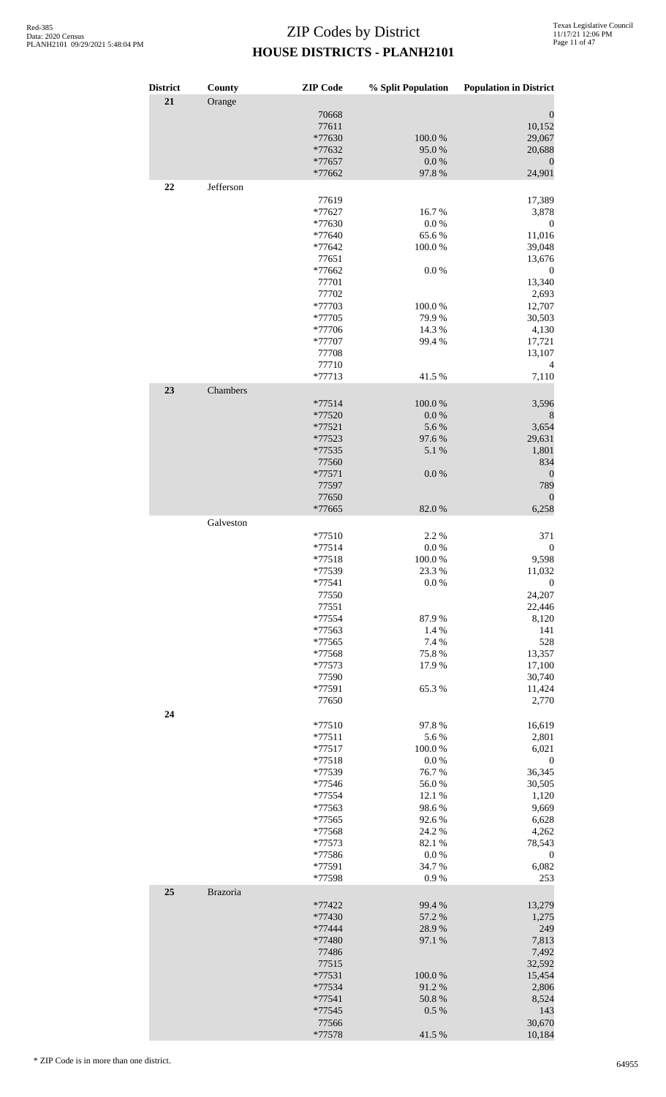| <b>District</b> | County    | <b>ZIP</b> Code    | % Split Population | <b>Population in District</b> |
|-----------------|-----------|--------------------|--------------------|-------------------------------|
| 21              | Orange    | 70668              |                    | $\boldsymbol{0}$              |
|                 |           | 77611              |                    | 10,152                        |
|                 |           | *77630             | 100.0%             | 29,067                        |
|                 |           | *77632             | 95.0%              | 20,688                        |
|                 |           | *77657             | $0.0\ \%$          | $\mathbf{0}$                  |
| 22              | Jefferson | *77662             | 97.8%              | 24,901                        |
|                 |           | 77619              |                    | 17,389                        |
|                 |           | *77627             | 16.7%              | 3,878                         |
|                 |           | *77630             | 0.0 %              | $\boldsymbol{0}$              |
|                 |           | $*77640$           | 65.6%              | 11,016                        |
|                 |           | *77642<br>77651    | 100.0%             | 39,048<br>13,676              |
|                 |           | *77662             | 0.0 %              | $\boldsymbol{0}$              |
|                 |           | 77701              |                    | 13,340                        |
|                 |           | 77702              |                    | 2,693                         |
|                 |           | *77703             | 100.0%             | 12,707                        |
|                 |           | *77705             | 79.9%              | 30,503                        |
|                 |           | *77706<br>*77707   | 14.3 %<br>99.4 %   | 4,130<br>17,721               |
|                 |           | 77708              |                    | 13,107                        |
|                 |           | 77710              |                    | 4                             |
|                 |           | $*77713$           | 41.5%              | 7,110                         |
| 23              | Chambers  |                    |                    |                               |
|                 |           | $*77514$<br>*77520 | 100.0%<br>0.0 %    | 3,596<br>$\boldsymbol{8}$     |
|                 |           | $*77521$           | 5.6%               | 3,654                         |
|                 |           | *77523             | 97.6%              | 29,631                        |
|                 |           | *77535             | 5.1 %              | 1,801                         |
|                 |           | 77560              |                    | 834                           |
|                 |           | *77571             | 0.0 %              | $\theta$                      |
|                 |           | 77597<br>77650     |                    | 789<br>$\boldsymbol{0}$       |
|                 |           | *77665             | 82.0%              | 6,258                         |
|                 | Galveston |                    |                    |                               |
|                 |           | $*77510$           | 2.2 %              | 371                           |
|                 |           | $*77514$           | 0.0 %              | $\boldsymbol{0}$              |
|                 |           | $*77518$<br>*77539 | 100.0%<br>23.3 %   | 9,598<br>11,032               |
|                 |           | *77541             | 0.0 %              | $\boldsymbol{0}$              |
|                 |           | 77550              |                    | 24,207                        |
|                 |           | 77551              |                    | 22,446                        |
|                 |           | *77554             | 87.9%              | 8,120                         |
|                 |           | *77563<br>*77565   | 1.4 %              | 141<br>528                    |
|                 |           | *77568             | 7.4 %<br>75.8%     | 13,357                        |
|                 |           | *77573             | 17.9%              | 17,100                        |
|                 |           | 77590              |                    | 30,740                        |
|                 |           | *77591             | 65.3%              | 11,424                        |
|                 |           | 77650              |                    | 2,770                         |
| 24              |           | $*77510$           | 97.8%              | 16,619                        |
|                 |           | $*77511$           | 5.6%               | 2,801                         |
|                 |           | $*77517$           | 100.0%             | 6,021                         |
|                 |           | $*77518$<br>*77539 | 0.0 %<br>76.7%     | $\boldsymbol{0}$<br>36,345    |
|                 |           | *77546             | 56.0%              | 30,505                        |
|                 |           | *77554             | 12.1 %             | 1,120                         |
|                 |           | *77563             | 98.6%              | 9,669                         |
|                 |           | *77565             | 92.6%              | 6,628                         |
|                 |           | *77568             | 24.2 %             | 4,262                         |
|                 |           | *77573<br>*77586   | 82.1 %<br>0.0 %    | 78,543<br>$\boldsymbol{0}$    |
|                 |           | *77591             | 34.7%              | 6,082                         |
|                 |           | *77598             | 0.9%               | 253                           |
| 25              | Brazoria  |                    |                    |                               |
|                 |           | *77422<br>*77430   | 99.4 %             | 13,279                        |
|                 |           | *77444             | 57.2 %<br>28.9%    | 1,275<br>249                  |
|                 |           | *77480             | 97.1 %             | 7,813                         |
|                 |           | 77486              |                    | 7,492                         |
|                 |           | 77515              |                    | 32,592                        |
|                 |           | *77531             | 100.0%             | 15,454                        |
|                 |           | *77534<br>$*77541$ | 91.2%<br>50.8%     | 2,806<br>8,524                |
|                 |           | *77545             | 0.5%               | 143                           |
|                 |           | 77566              |                    | 30,670                        |
|                 |           | *77578             | 41.5%              | 10,184                        |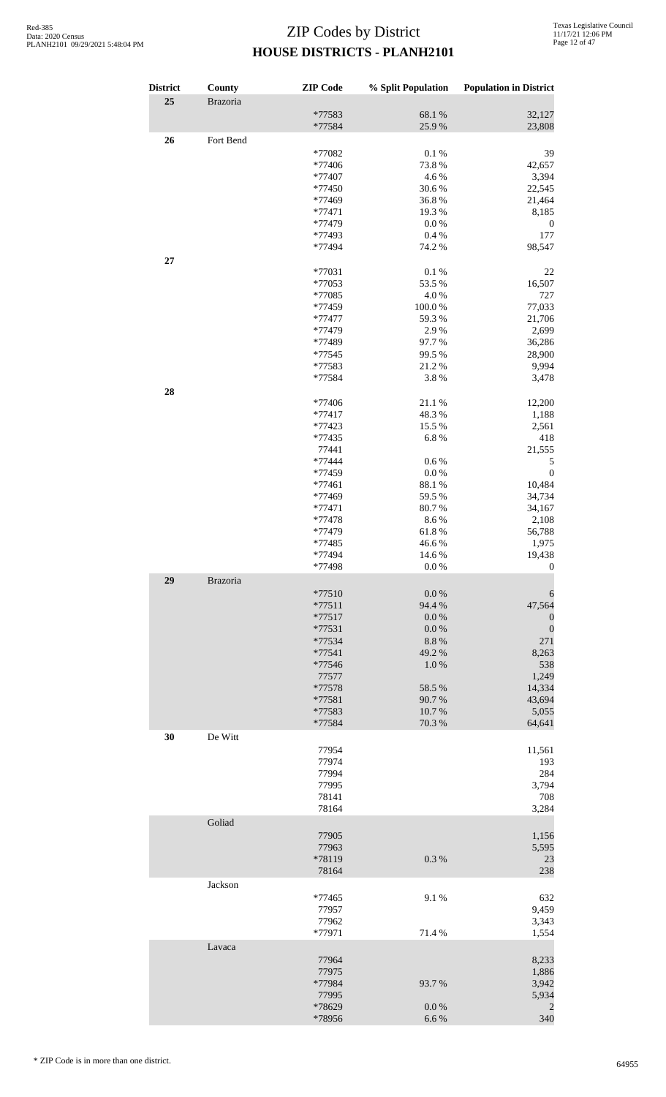| <b>District</b> | County    | <b>ZIP</b> Code  | % Split Population | <b>Population in District</b> |
|-----------------|-----------|------------------|--------------------|-------------------------------|
| 25              | Brazoria  |                  |                    |                               |
|                 |           | *77583<br>*77584 | 68.1 %<br>25.9%    | 32,127<br>23,808              |
| 26              | Fort Bend |                  |                    |                               |
|                 |           | *77082           | 0.1%               | 39                            |
|                 |           | *77406           | 73.8%              | 42,657                        |
|                 |           | *77407           | 4.6%               | 3,394                         |
|                 |           | *77450           | 30.6%              | 22,545                        |
|                 |           | *77469           | 36.8%              |                               |
|                 |           |                  |                    | 21,464                        |
|                 |           | $*77471$         | 19.3%              | 8,185                         |
|                 |           | *77479           | 0.0 %              | 0                             |
|                 |           | *77493           | 0.4 %              | 177                           |
| 27              |           | *77494           | 74.2 %             | 98,547                        |
|                 |           | *77031           | 0.1%               | 22                            |
|                 |           | *77053           | 53.5 %             | 16,507                        |
|                 |           | *77085           | 4.0%               | 727                           |
|                 |           | *77459           | 100.0%             | 77,033                        |
|                 |           | *77477           | 59.3%              | 21,706                        |
|                 |           |                  |                    |                               |
|                 |           | *77479           | 2.9%               | 2,699                         |
|                 |           | *77489           | 97.7%              | 36,286                        |
|                 |           | *77545           | 99.5 %             | 28,900                        |
|                 |           | *77583           | 21.2%              | 9,994                         |
|                 |           | *77584           | 3.8%               | 3,478                         |
| 28              |           |                  |                    |                               |
|                 |           | *77406           | 21.1%              | 12,200                        |
|                 |           | $*77417$         | 48.3%              | 1,188                         |
|                 |           | *77423           | 15.5 %             | 2,561                         |
|                 |           | *77435           | 6.8%               | 418                           |
|                 |           | 77441            |                    | 21,555                        |
|                 |           |                  |                    |                               |
|                 |           | *77444           | $0.6\%$            | 5                             |
|                 |           | *77459           | $0.0\ \%$          | $\boldsymbol{0}$              |
|                 |           | *77461           | 88.1 %             | 10,484                        |
|                 |           | *77469           | 59.5 %             | 34,734                        |
|                 |           | $*77471$         | 80.7%              | 34,167                        |
|                 |           | $*77478$         | 8.6%               | 2,108                         |
|                 |           | *77479           | 61.8%              | 56,788                        |
|                 |           | *77485           | 46.6%              | 1,975                         |
|                 |           | *77494           | 14.6 %             | 19,438                        |
|                 |           | *77498           | 0.0 %              | $\overline{0}$                |
| 29              | Brazoria  |                  |                    |                               |
|                 |           | $*77510$         | 0.0 %              | 6                             |
|                 |           | $*77511$         | 94.4 %             | 47,564                        |
|                 |           | $*77517$         | 0.0 %              | $\boldsymbol{0}$              |
|                 |           |                  | 0.0 %              |                               |
|                 |           | *77531           |                    | $\boldsymbol{0}$              |
|                 |           | *77534           | 8.8%               | 271                           |
|                 |           | $*77541$         | 49.2 %             | 8,263                         |
|                 |           | *77546           | 1.0%               | 538                           |
|                 |           | 77577            |                    | 1,249                         |
|                 |           | *77578           | 58.5 %             | 14,334                        |
|                 |           | *77581           | 90.7%              | 43,694                        |
|                 |           | *77583           | 10.7%              | 5,055                         |
|                 |           | *77584           | 70.3 %             | 64,641                        |
| 30              | De Witt   |                  |                    |                               |
|                 |           | 77954            |                    | 11,561                        |
|                 |           | 77974            |                    | 193                           |
|                 |           | 77994            |                    | 284                           |
|                 |           |                  |                    |                               |
|                 |           | 77995            |                    | 3,794                         |
|                 |           | 78141            |                    | 708                           |
|                 |           | 78164            |                    | 3,284                         |
|                 | Goliad    |                  |                    |                               |
|                 |           | 77905            |                    | 1,156                         |
|                 |           | 77963            |                    | 5,595                         |
|                 |           | *78119           | 0.3%               | 23                            |
|                 |           | 78164            |                    | 238                           |
|                 | Jackson   |                  |                    |                               |
|                 |           |                  |                    |                               |
|                 |           | *77465           | 9.1%               | 632                           |
|                 |           | 77957            |                    | 9,459                         |
|                 |           | 77962            |                    | 3,343                         |
|                 |           | *77971           | 71.4 %             | 1,554                         |
|                 | Lavaca    |                  |                    |                               |
|                 |           | 77964            |                    | 8,233                         |
|                 |           | 77975            |                    | 1,886                         |
|                 |           | *77984           | 93.7 %             | 3,942                         |
|                 |           | 77995            |                    | 5,934                         |
|                 |           | *78629           | 0.0 %              | $\overline{c}$                |
|                 |           | *78956           | 6.6%               | 340                           |
|                 |           |                  |                    |                               |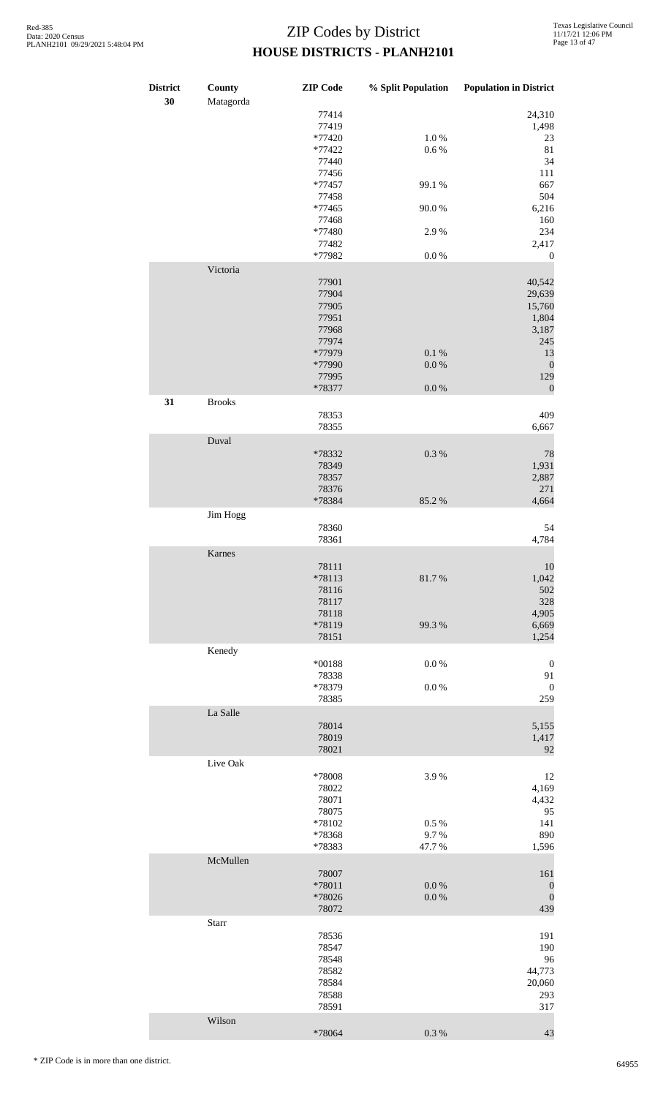| <b>District</b><br>30 | County<br>Matagorda | <b>ZIP</b> Code                                              | % Split Population              | <b>Population in District</b>                               |
|-----------------------|---------------------|--------------------------------------------------------------|---------------------------------|-------------------------------------------------------------|
|                       |                     | 77414<br>77419<br>$*77420$<br>*77422                         | $1.0%$<br>$0.6\,\%$             | 24,310<br>1,498<br>23<br>$81\,$                             |
|                       |                     | 77440<br>77456<br>$*77457$                                   | 99.1 %                          | 34<br>111<br>667                                            |
|                       |                     | 77458<br>$*77465$<br>77468<br>*77480                         | 90.0%<br>2.9%                   | 504<br>6,216<br>160<br>234                                  |
|                       |                     | 77482<br>*77982                                              | $0.0\ \%$                       | 2,417<br>$\boldsymbol{0}$                                   |
|                       | Victoria            | 77901<br>77904<br>77905<br>77951<br>77968<br>77974<br>*77979 | 0.1 %                           | 40,542<br>29,639<br>15,760<br>1,804<br>3,187<br>245<br>13   |
|                       |                     | *77990<br>77995                                              | 0.0 %<br>0.0 %                  | $\boldsymbol{0}$<br>129<br>$\boldsymbol{0}$                 |
| 31                    | <b>Brooks</b>       | *78377<br>78353                                              |                                 | 409                                                         |
|                       | Duval               | 78355                                                        |                                 | 6,667                                                       |
|                       |                     | *78332<br>78349<br>78357<br>78376                            | $0.3~\%$                        | 78<br>1,931<br>2,887<br>271                                 |
|                       | Jim Hogg            | *78384                                                       | 85.2%                           | 4,664                                                       |
|                       |                     | 78360<br>78361                                               |                                 | 54<br>4,784                                                 |
|                       | Karnes              | 78111<br>*78113<br>78116<br>78117<br>78118<br>*78119         | 81.7%<br>99.3%                  | 10<br>1,042<br>502<br>328<br>4,905<br>6,669                 |
|                       | Kenedy              | 78151<br>$*00188$<br>78338                                   | $0.0\ \%$                       | 1,254<br>$\boldsymbol{0}$<br>91                             |
|                       |                     | *78379<br>78385                                              | 0.0 %                           | $\boldsymbol{0}$<br>259                                     |
|                       | La Salle            | 78014<br>78019<br>78021                                      |                                 | 5,155<br>1,417<br>92                                        |
|                       | Live Oak            | *78008<br>78022<br>78071<br>78075<br>*78102<br>*78368        | 3.9%<br>$0.5\ \%$<br>9.7%       | 12<br>4,169<br>4,432<br>95<br>141<br>890                    |
|                       | McMullen            | *78383<br>78007<br>*78011<br>*78026<br>78072                 | 47.7%<br>$0.0\ \%$<br>$0.0\ \%$ | 1,596<br>161<br>$\boldsymbol{0}$<br>$\boldsymbol{0}$<br>439 |
|                       | Starr               | 78536<br>78547<br>78548<br>78582<br>78584                    |                                 | 191<br>190<br>96<br>44,773<br>20,060                        |
|                       | Wilson              | 78588<br>78591                                               |                                 | 293<br>317                                                  |
|                       |                     | *78064                                                       | $0.3~\%$                        | 43                                                          |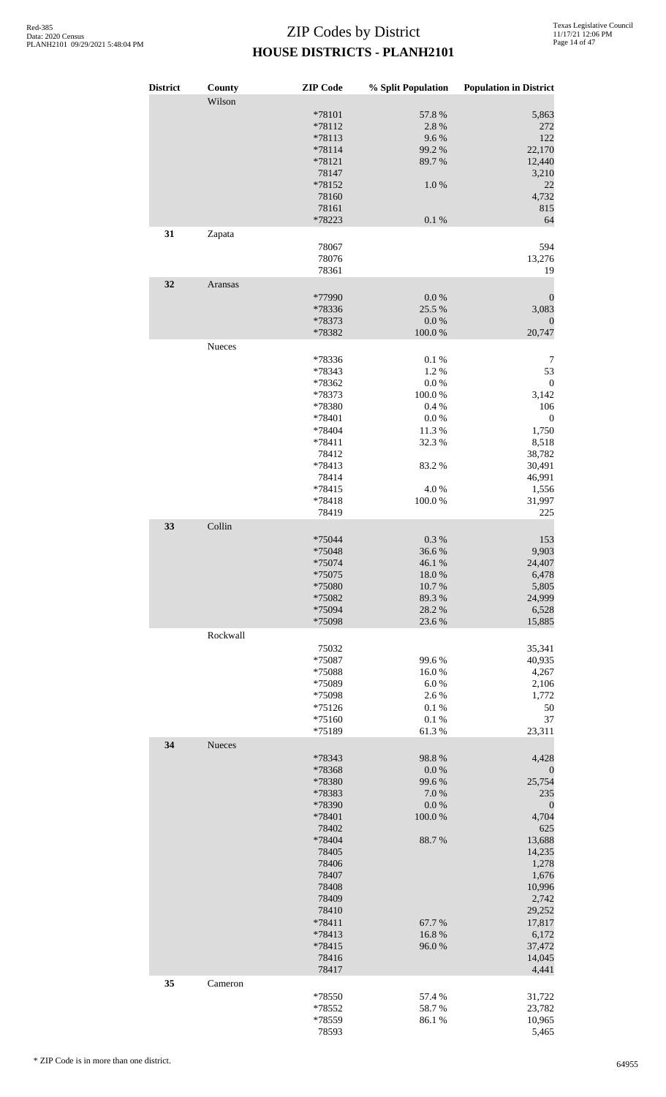| <b>District</b> | County<br>Wilson | <b>ZIP Code</b> | % Split Population | <b>Population in District</b> |
|-----------------|------------------|-----------------|--------------------|-------------------------------|
|                 |                  | *78101          | 57.8 %             | 5,863                         |
|                 |                  | *78112          | 2.8%               | 272                           |
|                 |                  | *78113          | 9.6%               | 122                           |
|                 |                  | *78114          | 99.2 %             | 22,170                        |
|                 |                  | *78121          | 89.7%              | 12,440                        |
|                 |                  | 78147           |                    | 3,210                         |
|                 |                  | *78152          | $1.0\ \%$          | 22                            |
|                 |                  | 78160           |                    | 4,732                         |
|                 |                  | 78161           |                    | 815                           |
|                 |                  | *78223          | $0.1~\%$           | 64                            |
|                 |                  |                 |                    |                               |
| 31              | Zapata           |                 |                    |                               |
|                 |                  | 78067           |                    | 594                           |
|                 |                  | 78076           |                    | 13,276                        |
|                 |                  | 78361           |                    | 19                            |
| 32              | Aransas          |                 |                    |                               |
|                 |                  | *77990          | $0.0\ \%$          | $\boldsymbol{0}$              |
|                 |                  | *78336          | 25.5 %             | 3,083                         |
|                 |                  | *78373          | 0.0 %              | $\boldsymbol{0}$              |
|                 |                  | *78382          | $100.0~\%$         | 20,747                        |
|                 | Nueces           |                 |                    |                               |
|                 |                  |                 |                    |                               |
|                 |                  | *78336          | 0.1%               | 7                             |
|                 |                  | *78343          | 1.2%               | 53                            |
|                 |                  | *78362          | 0.0 %              | $\boldsymbol{0}$              |
|                 |                  | *78373          | 100.0%             | 3,142                         |
|                 |                  | *78380          | 0.4%               | 106                           |
|                 |                  | *78401          | $0.0\ \%$          | $\boldsymbol{0}$              |
|                 |                  | *78404          | 11.3%              | 1,750                         |
|                 |                  | *78411          | 32.3 %             | 8,518                         |
|                 |                  | 78412           |                    | 38,782                        |
|                 |                  | *78413          | 83.2%              | 30,491                        |
|                 |                  | 78414           |                    | 46,991                        |
|                 |                  | *78415          | 4.0%               | 1,556                         |
|                 |                  | *78418          | 100.0%             | 31,997                        |
|                 |                  | 78419           |                    | 225                           |
|                 |                  |                 |                    |                               |
| 33              | Collin           |                 |                    |                               |
|                 |                  | *75044          | $0.3~\%$           | 153                           |
|                 |                  | *75048          | 36.6%              | 9,903                         |
|                 |                  | $*75074$        | $46.1\text{ }\%$   | 24,407                        |
|                 |                  | *75075          | 18.0%              | 6,478                         |
|                 |                  | *75080          | 10.7%              | 5,805                         |
|                 |                  | *75082          | 89.3%              | 24,999                        |
|                 |                  | *75094          | 28.2%              | 6,528                         |
|                 |                  | *75098          | 23.6%              | 15,885                        |
|                 | Rockwall         |                 |                    |                               |
|                 |                  | 75032           |                    |                               |
|                 |                  |                 |                    | 35,341                        |
|                 |                  | *75087          | 99.6%              | 40,935                        |
|                 |                  | *75088          | 16.0%              | 4,267                         |
|                 |                  | *75089          | 6.0%               | 2,106                         |
|                 |                  | *75098          | 2.6 %              | 1,772                         |
|                 |                  | $*75126$        | $0.1~\%$           | 50                            |
|                 |                  | $*75160$        | 0.1%               | 37                            |
|                 |                  | *75189          | 61.3%              | 23,311                        |
| 34              | Nueces           |                 |                    |                               |
|                 |                  | *78343          | 98.8%              | 4,428                         |
|                 |                  | *78368          | 0.0 %              | $\theta$                      |
|                 |                  | *78380          | 99.6%              | 25,754                        |
|                 |                  | *78383          | 7.0%               | 235                           |
|                 |                  | *78390          | $0.0\ \%$          | $\boldsymbol{0}$              |
|                 |                  |                 |                    |                               |
|                 |                  | *78401          | 100.0%             | 4,704                         |
|                 |                  | 78402           |                    | 625                           |
|                 |                  | *78404          | 88.7%              | 13,688                        |
|                 |                  | 78405           |                    | 14,235                        |
|                 |                  | 78406           |                    | 1,278                         |
|                 |                  | 78407           |                    | 1,676                         |
|                 |                  | 78408           |                    | 10,996                        |
|                 |                  | 78409           |                    | 2,742                         |
|                 |                  | 78410           |                    | 29,252                        |
|                 |                  | *78411          | 67.7%              | 17,817                        |
|                 |                  | *78413          | 16.8%              | 6,172                         |
|                 |                  | *78415          | 96.0%              | 37,472                        |
|                 |                  | 78416           |                    | 14,045                        |
|                 |                  | 78417           |                    | 4,441                         |
| 35              | Cameron          |                 |                    |                               |
|                 |                  |                 |                    |                               |
|                 |                  | *78550          | 57.4 %             | 31,722                        |
|                 |                  | *78552          | 58.7%              | 23,782                        |
|                 |                  | *78559          | 86.1%              | 10,965                        |
|                 |                  | 78593           |                    | 5,465                         |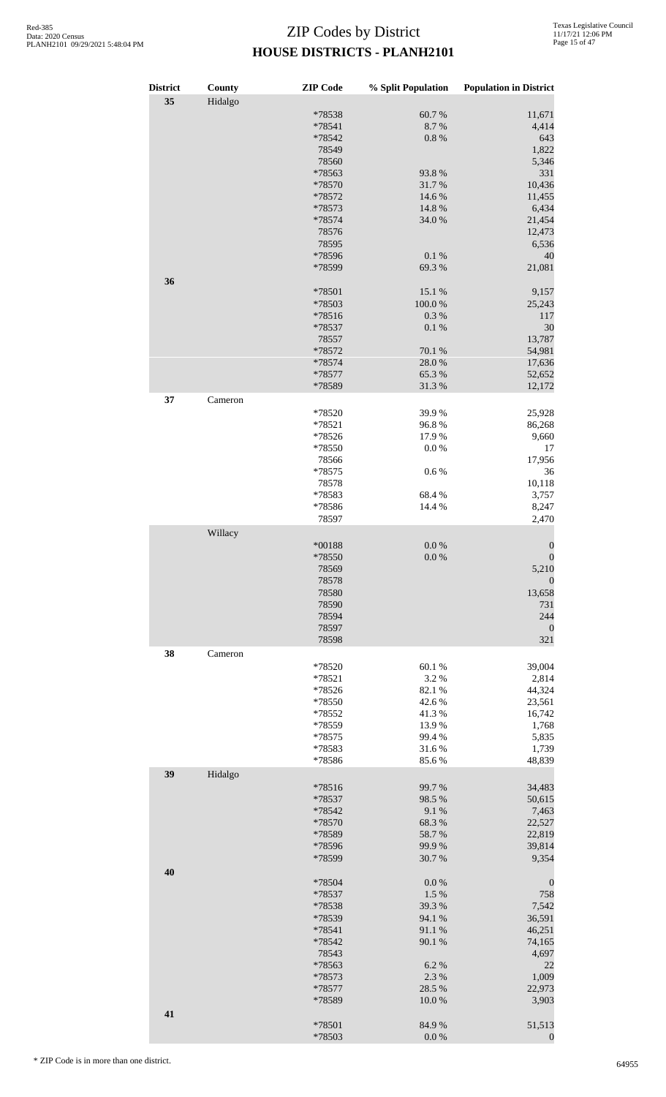| <b>District</b> | County  | <b>ZIP</b> Code  | % Split Population | <b>Population in District</b> |
|-----------------|---------|------------------|--------------------|-------------------------------|
| 35              | Hidalgo |                  |                    |                               |
|                 |         | *78538           | 60.7%              | 11,671                        |
|                 |         | *78541<br>*78542 | 8.7%<br>0.8 %      | 4,414<br>643                  |
|                 |         | 78549            |                    | 1,822                         |
|                 |         | 78560            |                    | 5,346                         |
|                 |         | *78563           | 93.8%              | 331                           |
|                 |         | *78570           | 31.7%              | 10,436                        |
|                 |         | *78572           | 14.6%              | 11,455                        |
|                 |         | *78573           | 14.8 %             | 6,434                         |
|                 |         | *78574           | 34.0%              | 21,454                        |
|                 |         | 78576<br>78595   |                    | 12,473<br>6,536               |
|                 |         | *78596           | 0.1 %              | 40                            |
|                 |         | *78599           | 69.3%              | 21,081                        |
| 36              |         |                  |                    |                               |
|                 |         | *78501           | 15.1 %             | 9,157                         |
|                 |         | *78503           | 100.0%             | 25,243                        |
|                 |         | *78516           | 0.3%               | 117                           |
|                 |         | *78537           | 0.1%               | 30                            |
|                 |         | 78557            |                    | 13,787                        |
|                 |         | *78572<br>*78574 | 70.1 %<br>28.0%    | 54,981<br>17,636              |
|                 |         | *78577           | 65.3%              | 52,652                        |
|                 |         | *78589           | 31.3%              | 12,172                        |
| 37              | Cameron |                  |                    |                               |
|                 |         | *78520           | 39.9%              | 25,928                        |
|                 |         | *78521           | 96.8%              | 86,268                        |
|                 |         | *78526           | 17.9%              | 9,660                         |
|                 |         | *78550           | 0.0 %              | 17                            |
|                 |         | 78566            |                    | 17,956                        |
|                 |         | *78575           | 0.6 %              | 36                            |
|                 |         | 78578            |                    | 10,118                        |
|                 |         | *78583           | 68.4%<br>14.4 %    | 3,757                         |
|                 |         | *78586<br>78597  |                    | 8,247<br>2,470                |
|                 | Willacy |                  |                    |                               |
|                 |         | $*00188$         | 0.0 %              | $\boldsymbol{0}$              |
|                 |         | *78550           | $0.0\ \%$          | $\boldsymbol{0}$              |
|                 |         | 78569            |                    | 5,210                         |
|                 |         | 78578            |                    | $\boldsymbol{0}$              |
|                 |         | 78580            |                    | 13,658                        |
|                 |         | 78590            |                    | 731                           |
|                 |         | 78594            |                    | 244                           |
|                 |         | 78597            |                    | $\boldsymbol{0}$              |
|                 |         | 78598            |                    | 321                           |
| 38              | Cameron |                  |                    |                               |
|                 |         | *78520           | 60.1%<br>3.2 %     | 39,004                        |
|                 |         | *78521<br>*78526 | 82.1 %             | 2,814<br>44,324               |
|                 |         | *78550           | 42.6%              | 23,561                        |
|                 |         | *78552           | 41.3%              | 16,742                        |
|                 |         | *78559           | 13.9%              | 1,768                         |
|                 |         | *78575           | 99.4 %             | 5,835                         |
|                 |         | *78583           | 31.6%              | 1,739                         |
|                 |         | *78586           | 85.6%              | 48,839                        |
| 39              | Hidalgo |                  |                    |                               |
|                 |         | *78516           | 99.7%              | 34,483                        |
|                 |         | *78537           | 98.5 %             | 50,615                        |
|                 |         | *78542           | 9.1%               | 7,463                         |
|                 |         | *78570<br>*78589 | 68.3%<br>58.7%     | 22,527<br>22,819              |
|                 |         | *78596           | 99.9%              | 39,814                        |
|                 |         | *78599           | 30.7%              | 9,354                         |
| 40              |         |                  |                    |                               |
|                 |         | *78504           | 0.0 %              | $\boldsymbol{0}$              |
|                 |         | *78537           | 1.5 %              | 758                           |
|                 |         | *78538           | 39.3 %             | 7,542                         |
|                 |         | *78539           | 94.1 %             | 36,591                        |
|                 |         | *78541           | 91.1%              | 46,251                        |
|                 |         | *78542<br>78543  | 90.1 %             | 74,165<br>4,697               |
|                 |         | *78563           | 6.2%               | 22                            |
|                 |         | *78573           | 2.3 %              | 1,009                         |
|                 |         | *78577           | 28.5 %             | 22,973                        |
|                 |         | *78589           | 10.0%              | 3,903                         |
| 41              |         |                  |                    |                               |
|                 |         | *78501           | 84.9%              | 51,513                        |
|                 |         | *78503           | 0.0 %              | $\boldsymbol{0}$              |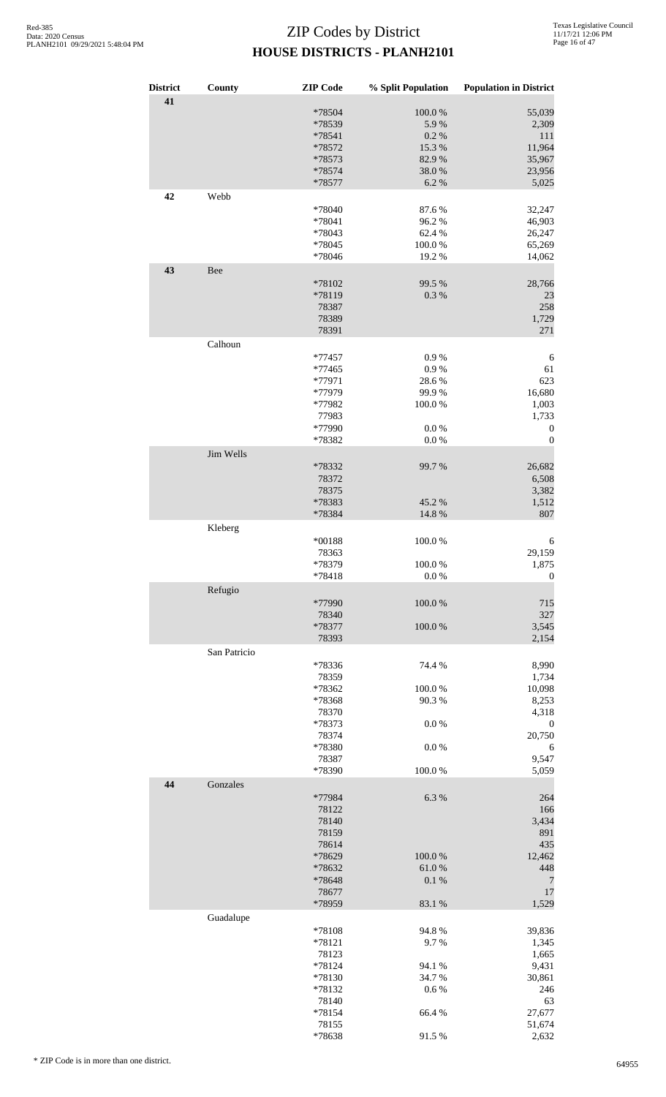| <b>District</b> | County       | <b>ZIP</b> Code  | % Split Population | <b>Population in District</b> |
|-----------------|--------------|------------------|--------------------|-------------------------------|
| 41              |              |                  |                    |                               |
|                 |              | *78504           | 100.0%             | 55,039<br>2,309               |
|                 |              | *78539           | 5.9%               |                               |
|                 |              | *78541<br>*78572 | 0.2%<br>15.3 %     | $111\,$<br>11,964             |
|                 |              | *78573           | 82.9%              | 35,967                        |
|                 |              | *78574           | 38.0%              | 23,956                        |
|                 |              | *78577           | 6.2%               | 5,025                         |
| 42              | Webb         |                  |                    |                               |
|                 |              | *78040           | 87.6%              | 32,247                        |
|                 |              | *78041           | 96.2%              | 46,903                        |
|                 |              | *78043           | 62.4 %             | 26,247                        |
|                 |              | *78045           | 100.0%             | 65,269                        |
|                 |              | *78046           | 19.2 %             | 14,062                        |
| 43              | Bee          |                  |                    |                               |
|                 |              | *78102           | 99.5 %             | 28,766                        |
|                 |              | *78119           | 0.3%               | 23                            |
|                 |              | 78387            |                    | 258                           |
|                 |              | 78389            |                    | 1,729                         |
|                 |              | 78391            |                    | 271                           |
|                 | Calhoun      |                  |                    |                               |
|                 |              | *77457           | 0.9%               | 6                             |
|                 |              | *77465           | 0.9 %              | 61                            |
|                 |              | *77971           | 28.6%              | 623                           |
|                 |              | *77979           | 99.9%              | 16,680                        |
|                 |              | *77982           | 100.0%             | 1,003                         |
|                 |              | 77983            |                    | 1,733                         |
|                 |              | *77990           | 0.0 %              | $\boldsymbol{0}$              |
|                 |              | *78382           | 0.0 %              | $\boldsymbol{0}$              |
|                 | Jim Wells    |                  |                    |                               |
|                 |              | *78332           | 99.7%              | 26,682                        |
|                 |              | 78372            |                    | 6,508                         |
|                 |              | 78375            |                    | 3,382                         |
|                 |              | *78383           | 45.2 %             | 1,512                         |
|                 |              | *78384           | 14.8%              | 807                           |
|                 | Kleberg      |                  |                    |                               |
|                 |              | *00188           | 100.0%             | 6                             |
|                 |              | 78363            |                    | 29,159                        |
|                 |              | *78379           | 100.0%             | 1,875                         |
|                 |              | *78418           | 0.0 %              | $\boldsymbol{0}$              |
|                 | Refugio      |                  |                    |                               |
|                 |              | *77990           | 100.0%             | 715                           |
|                 |              | 78340<br>*78377  | 100.0%             | 327<br>3,545                  |
|                 |              | 78393            |                    | 2,154                         |
|                 | San Patricio |                  |                    |                               |
|                 |              | *78336           | 74.4 %             | 8,990                         |
|                 |              | 78359            |                    | 1,734                         |
|                 |              | *78362           | 100.0%             | 10,098                        |
|                 |              | *78368           | 90.3%              | 8,253                         |
|                 |              | 78370            |                    | 4,318                         |
|                 |              | *78373           | $0.0\ \%$          | $\boldsymbol{0}$              |
|                 |              | 78374            |                    | 20,750                        |
|                 |              | *78380           | 0.0 %              | 6                             |
|                 |              | 78387            |                    | 9,547                         |
|                 |              | *78390           | 100.0%             | 5,059                         |
| 44              | Gonzales     |                  |                    |                               |
|                 |              | *77984           | 6.3%               | 264                           |
|                 |              | 78122            |                    | 166                           |
|                 |              | 78140            |                    | 3,434                         |
|                 |              | 78159            |                    | 891                           |
|                 |              | 78614            |                    | 435                           |
|                 |              | *78629           | 100.0%             | 12,462                        |
|                 |              | *78632           | 61.0%              | 448                           |
|                 |              | *78648           | 0.1 %              | $\overline{7}$                |
|                 |              | 78677<br>*78959  | 83.1 %             | 17<br>1,529                   |
|                 | Guadalupe    |                  |                    |                               |
|                 |              | *78108           | 94.8%              | 39,836                        |
|                 |              | *78121           | 9.7%               | 1,345                         |
|                 |              | 78123            |                    | 1,665                         |
|                 |              | *78124           | 94.1 %             | 9,431                         |
|                 |              | *78130           | 34.7%              | 30,861                        |
|                 |              | *78132           | 0.6%               | 246                           |
|                 |              | 78140            |                    | 63                            |
|                 |              | *78154           | 66.4%              | 27,677                        |
|                 |              | 78155            |                    | 51,674                        |
|                 |              | *78638           | 91.5%              | 2,632                         |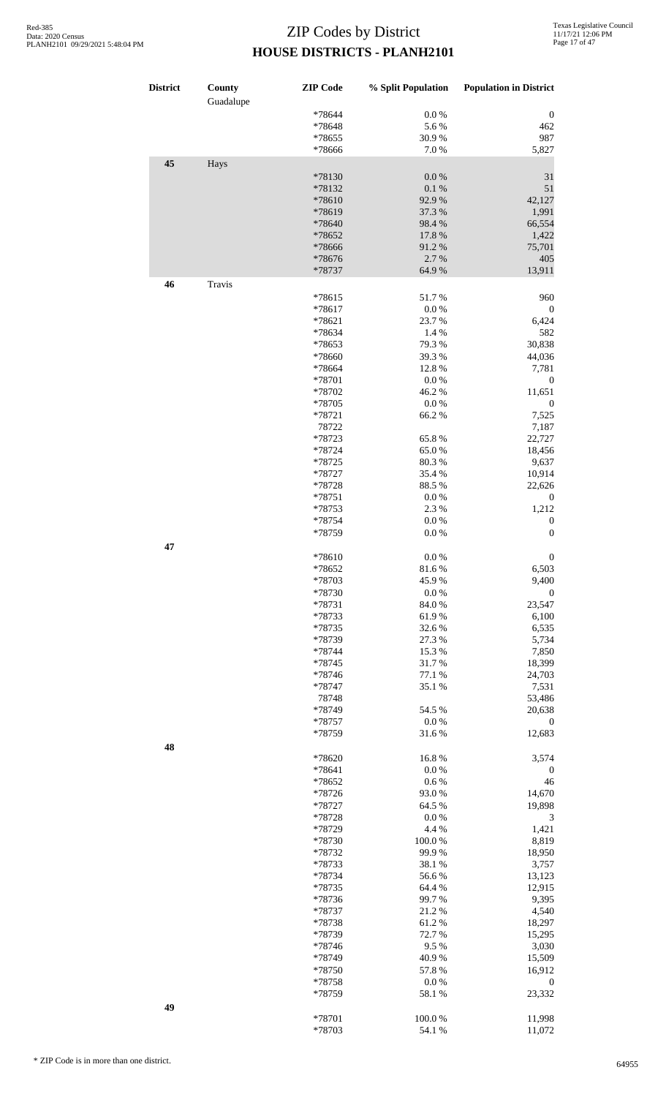| <b>District</b> | County<br>Guadalupe | <b>ZIP</b> Code  | % Split Population | <b>Population in District</b> |
|-----------------|---------------------|------------------|--------------------|-------------------------------|
|                 |                     | *78644           | 0.0 %              | $\boldsymbol{0}$              |
|                 |                     | *78648           | 5.6%               | 462                           |
|                 |                     | *78655           | 30.9%              | 987                           |
|                 |                     | *78666           | 7.0 %              | 5,827                         |
| 45              | Hays                |                  |                    |                               |
|                 |                     | *78130           | $0.0\ \%$          | 31                            |
|                 |                     | *78132           | $0.1~\%$           | 51                            |
|                 |                     | *78610           | 92.9%              | 42,127                        |
|                 |                     | *78619           | 37.3 %             | 1,991                         |
|                 |                     | *78640           | 98.4%              | 66,554                        |
|                 |                     | *78652           | 17.8 %             | 1,422                         |
|                 |                     | *78666           | 91.2%              | 75,701                        |
|                 |                     | *78676           | 2.7%               | 405                           |
|                 |                     | *78737           | 64.9%              | 13,911                        |
| 46              | Travis              |                  |                    |                               |
|                 |                     | *78615           | 51.7%              | 960                           |
|                 |                     | *78617           | $0.0\ \%$          | $\boldsymbol{0}$              |
|                 |                     | *78621           | 23.7 %             | 6,424                         |
|                 |                     | *78634           | 1.4 %              | 582                           |
|                 |                     | *78653           | 79.3%              | 30,838                        |
|                 |                     | *78660           | 39.3%              | 44,036                        |
|                 |                     | *78664           | 12.8 %             | 7,781                         |
|                 |                     | *78701           | $0.0\ \%$          | $\boldsymbol{0}$              |
|                 |                     | *78702           | 46.2%              | 11,651                        |
|                 |                     | *78705           | $0.0\ \%$          | $\boldsymbol{0}$              |
|                 |                     | *78721           | 66.2%              | 7,525                         |
|                 |                     | 78722            |                    | 7,187                         |
|                 |                     | *78723           | 65.8%              | 22,727                        |
|                 |                     | *78724           | 65.0%              | 18,456                        |
|                 |                     | *78725           | 80.3%              | 9,637                         |
|                 |                     | *78727           | 35.4 %             | 10,914                        |
|                 |                     | *78728           | 88.5 %             | 22,626                        |
|                 |                     | *78751           | 0.0 %              | $\boldsymbol{0}$              |
|                 |                     | *78753           | 2.3 %              | 1,212                         |
|                 |                     | *78754           | $0.0\ \%$          | $\boldsymbol{0}$              |
|                 |                     | *78759           | 0.0 %              | $\boldsymbol{0}$              |
| 47              |                     |                  |                    |                               |
|                 |                     | *78610           | $0.0\ \%$          | $\boldsymbol{0}$              |
|                 |                     | *78652           | 81.6%              | 6,503                         |
|                 |                     | *78703           | 45.9%              | 9,400                         |
|                 |                     | *78730           | 0.0 %              | $\boldsymbol{0}$              |
|                 |                     | *78731           | 84.0%              | 23,547                        |
|                 |                     | *78733           | 61.9%              | 6,100                         |
|                 |                     | *78735           | 32.6%              | 6,535                         |
|                 |                     | *78739           | 27.3 %             | 5,734                         |
|                 |                     | *78744           | 15.3%              | 7,850                         |
|                 |                     | *78745           | 31.7%              | 18,399<br>24,703              |
|                 |                     | *78746<br>*78747 | 77.1 %<br>35.1 %   | 7,531                         |
|                 |                     | 78748            |                    | 53,486                        |
|                 |                     | *78749           | 54.5 %             | 20,638                        |
|                 |                     | *78757           | 0.0 %              | $\boldsymbol{0}$              |
|                 |                     | *78759           | 31.6%              | 12,683                        |
|                 |                     |                  |                    |                               |
| 48              |                     | *78620           | 16.8%              | 3,574                         |
|                 |                     | *78641           | 0.0 %              | $\boldsymbol{0}$              |
|                 |                     | *78652           | 0.6%               | 46                            |
|                 |                     | *78726           | 93.0%              | 14,670                        |
|                 |                     | *78727           | 64.5 %             | 19,898                        |
|                 |                     | *78728           | 0.0 %              | $\mathfrak 3$                 |
|                 |                     | *78729           | 4.4 %              | 1,421                         |
|                 |                     | *78730           | 100.0%             | 8,819                         |
|                 |                     | *78732           | 99.9%              | 18,950                        |
|                 |                     | *78733           | 38.1 %             | 3,757                         |
|                 |                     | *78734           | 56.6%              | 13,123                        |
|                 |                     | *78735           | 64.4 %             | 12,915                        |
|                 |                     | *78736           | 99.7%              | 9,395                         |
|                 |                     | *78737           | 21.2%              | 4,540                         |
|                 |                     | *78738           | 61.2%              | 18,297                        |
|                 |                     | *78739           | 72.7%              | 15,295                        |
|                 |                     | *78746           | 9.5%               | 3,030                         |
|                 |                     | *78749           | 40.9%              | 15,509                        |
|                 |                     | *78750           | 57.8%              | 16,912                        |
|                 |                     | *78758           | $0.0\ \%$          | $\boldsymbol{0}$              |
|                 |                     | *78759           | 58.1 %             | 23,332                        |
| 49              |                     |                  |                    |                               |
|                 |                     | *78701           | 100.0%             | 11,998                        |
|                 |                     | *78703           | 54.1 %             | 11,072                        |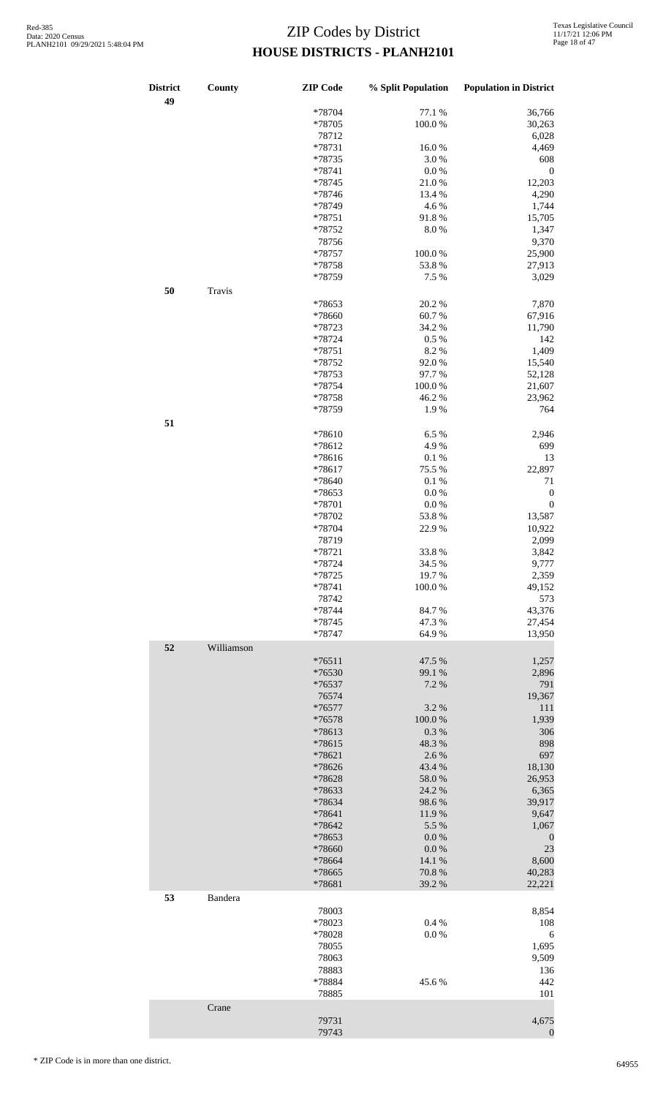| <b>District</b><br>49 | County     | <b>ZIP</b> Code  | % Split Population | <b>Population in District</b> |
|-----------------------|------------|------------------|--------------------|-------------------------------|
|                       |            | *78704           | 77.1 %             | 36,766                        |
|                       |            | *78705           | 100.0%             | 30,263                        |
|                       |            | 78712            |                    | 6,028                         |
|                       |            | *78731           | 16.0%              | 4,469                         |
|                       |            | *78735           | 3.0%               | 608                           |
|                       |            | *78741           | 0.0 %              | $\boldsymbol{0}$              |
|                       |            | *78745           | 21.0%              | 12,203                        |
|                       |            | *78746           | 13.4 %             | 4,290                         |
|                       |            | *78749           | 4.6%               | 1,744                         |
|                       |            | *78751           | 91.8%              | 15,705                        |
|                       |            | *78752           | 8.0%               | 1,347                         |
|                       |            | 78756            |                    | 9,370                         |
|                       |            | *78757           | 100.0%             | 25,900                        |
|                       |            | *78758           | 53.8 %             | 27,913                        |
|                       |            | *78759           | 7.5 %              | 3,029                         |
| 50                    |            |                  |                    |                               |
|                       | Travis     |                  |                    |                               |
|                       |            | *78653           | 20.2 %             | 7,870                         |
|                       |            | *78660           | 60.7%              | 67,916                        |
|                       |            | *78723           | 34.2 %             | 11,790                        |
|                       |            | *78724           | 0.5%               | 142                           |
|                       |            | *78751           | 8.2%               | 1,409                         |
|                       |            | *78752           | 92.0%              | 15,540                        |
|                       |            | *78753           | 97.7%              | 52,128                        |
|                       |            | *78754           | 100.0%             | 21,607                        |
|                       |            | *78758           | 46.2%              | 23,962                        |
|                       |            | *78759           | 1.9%               | 764                           |
| 51                    |            |                  |                    |                               |
|                       |            | *78610           | 6.5%               | 2,946                         |
|                       |            | $*78612$         | 4.9%               | 699                           |
|                       |            | *78616           | $0.1~\%$           | 13                            |
|                       |            | $*78617$         | 75.5 %             | 22,897                        |
|                       |            | *78640           | 0.1%               | 71                            |
|                       |            | *78653           | $0.0\ \%$          | $\boldsymbol{0}$              |
|                       |            | *78701           | $0.0\ \%$          | $\boldsymbol{0}$              |
|                       |            | *78702           | 53.8%              | 13,587                        |
|                       |            | *78704           | 22.9%              | 10,922                        |
|                       |            |                  |                    |                               |
|                       |            | 78719            |                    | 2,099                         |
|                       |            | *78721           | 33.8%              | 3,842                         |
|                       |            | *78724           | 34.5 %             | 9,777                         |
|                       |            | $*78725$         | 19.7 %             | 2,359                         |
|                       |            | *78741           | 100.0%             | 49,152                        |
|                       |            | 78742            |                    | 573                           |
|                       |            | *78744           | 84.7%              | 43,376                        |
|                       |            | *78745           | 47.3%              | 27,454                        |
|                       |            | *78747           | 64.9%              | 13,950                        |
| 52                    | Williamson |                  |                    |                               |
|                       |            | $*76511$         | 47.5 %             | 1,257                         |
|                       |            | *76530           | 99.1 %             | 2,896                         |
|                       |            | *76537           | 7.2 %              | 791                           |
|                       |            | 76574            |                    | 19,367                        |
|                       |            | *76577           | 3.2 %              | 111                           |
|                       |            | $*76578$         | $100.0~\%$         | 1,939                         |
|                       |            | *78613           | $0.3~\%$           | 306                           |
|                       |            | *78615           | 48.3%              | 898                           |
|                       |            | *78621           | 2.6 %              | 697                           |
|                       |            | *78626           | 43.4 %             | 18,130                        |
|                       |            | *78628           | 58.0 %             | 26,953                        |
|                       |            | *78633           | 24.2 %             | 6,365                         |
|                       |            | *78634           | 98.6%              | 39,917                        |
|                       |            |                  |                    |                               |
|                       |            | *78641<br>*78642 | 11.9 %<br>5.5 %    | 9,647<br>1,067                |
|                       |            |                  |                    |                               |
|                       |            | *78653           | 0.0 %              | $\boldsymbol{0}$              |
|                       |            | *78660           | $0.0\ \%$          | 23                            |
|                       |            | *78664           | 14.1 %             | 8,600                         |
|                       |            | *78665           | 70.8 %             | 40,283                        |
|                       |            | *78681           | 39.2 %             | 22,221                        |
| 53                    | Bandera    |                  |                    |                               |
|                       |            | 78003            |                    | 8,854                         |
|                       |            | *78023           | 0.4%               | 108                           |
|                       |            | *78028           | 0.0 %              | $\sqrt{6}$                    |
|                       |            | 78055            |                    | 1,695                         |
|                       |            | 78063            |                    | 9,509                         |
|                       |            | 78883            |                    | 136                           |
|                       |            | *78884           | 45.6%              | 442                           |
|                       |            | 78885            |                    | 101                           |
|                       | Crane      |                  |                    |                               |
|                       |            | 79731            |                    | 4,675                         |
|                       |            | 79743            |                    | $\boldsymbol{0}$              |
|                       |            |                  |                    |                               |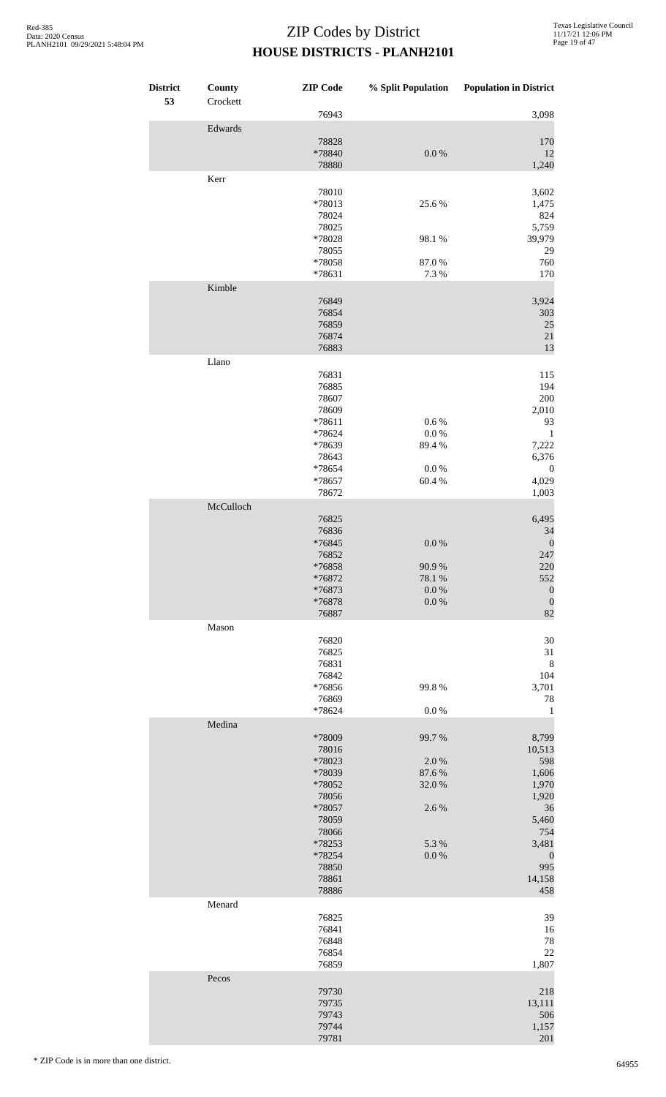| <b>District</b><br>53 | County<br>Crockett | <b>ZIP</b> Code                                                                                                                   | % Split Population                                             | <b>Population in District</b>                                                                                                |
|-----------------------|--------------------|-----------------------------------------------------------------------------------------------------------------------------------|----------------------------------------------------------------|------------------------------------------------------------------------------------------------------------------------------|
|                       |                    | 76943                                                                                                                             |                                                                | 3,098                                                                                                                        |
|                       | Edwards            | 78828<br>*78840<br>78880                                                                                                          | $0.0\ \%$                                                      | 170<br>12<br>1,240                                                                                                           |
|                       | Kerr               | 78010<br>*78013<br>78024<br>78025<br>*78028<br>78055<br>*78058<br>*78631                                                          | 25.6%<br>98.1 %<br>87.0%<br>7.3 %                              | 3,602<br>1,475<br>824<br>5,759<br>39,979<br>29<br>760<br>170                                                                 |
|                       | Kimble             | 76849<br>76854<br>76859<br>76874<br>76883                                                                                         |                                                                | 3,924<br>303<br>25<br>$21\,$<br>13                                                                                           |
|                       | Llano              | 76831<br>76885<br>78607<br>78609<br>$*78611$<br>*78624<br>*78639<br>78643<br>*78654<br>*78657<br>78672                            | $0.6\,\%$<br>0.0 %<br>89.4%<br>0.0 %<br>60.4 %                 | 115<br>194<br>200<br>2,010<br>93<br>$\mathbf{1}$<br>7,222<br>6,376<br>$\boldsymbol{0}$<br>4,029<br>1,003                     |
|                       | McCulloch          | 76825<br>76836<br>*76845<br>76852<br>$*76858$<br>*76872<br>*76873<br>*76878<br>76887                                              | 0.0 %<br>90.9%<br>78.1 %<br>0.0 %<br>$0.0\ \%$                 | 6,495<br>34<br>$\boldsymbol{0}$<br>247<br>220<br>552<br>$\boldsymbol{0}$<br>$\boldsymbol{0}$<br>82                           |
|                       | Mason              | 76820<br>76825<br>76831<br>76842<br>*76856<br>76869<br>*78624                                                                     | 99.8%<br>0.0 %                                                 | 30<br>31<br>$\,8\,$<br>104<br>3,701<br>78<br>$\mathbf{1}$                                                                    |
|                       | Medina             | *78009<br>78016<br>*78023<br>*78039<br>*78052<br>78056<br>*78057<br>78059<br>78066<br>*78253<br>*78254<br>78850<br>78861<br>78886 | 99.7%<br>2.0%<br>87.6%<br>32.0%<br>2.6 %<br>5.3 %<br>$0.0\ \%$ | 8,799<br>10,513<br>598<br>1,606<br>1,970<br>1,920<br>36<br>5,460<br>754<br>3,481<br>$\boldsymbol{0}$<br>995<br>14,158<br>458 |
|                       | Menard             | 76825<br>76841<br>76848<br>76854<br>76859                                                                                         |                                                                | 39<br>16<br>78<br>22<br>1,807                                                                                                |
|                       | Pecos              | 79730<br>79735<br>79743<br>79744<br>79781                                                                                         |                                                                | 218<br>13,111<br>506<br>1,157<br>201                                                                                         |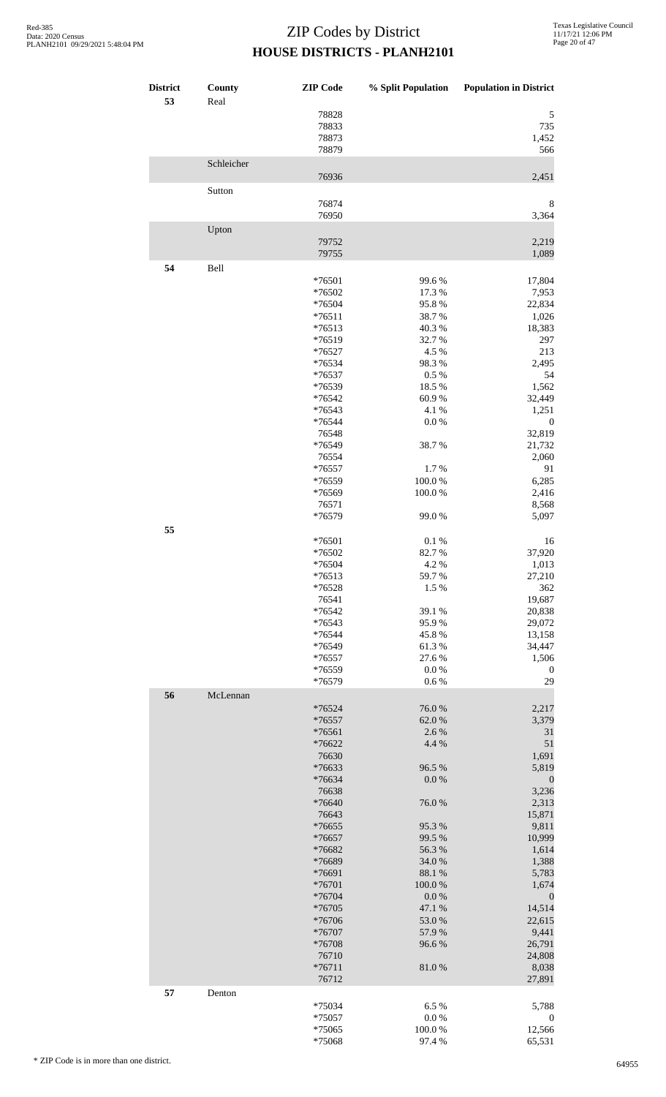| <b>District</b><br>53 | County<br>Real | <b>ZIP</b> Code                  | % Split Population  | <b>Population in District</b> |
|-----------------------|----------------|----------------------------------|---------------------|-------------------------------|
|                       |                | 78828<br>78833<br>78873<br>78879 |                     | 5<br>735<br>1,452<br>566      |
|                       | Schleicher     | 76936                            |                     | 2,451                         |
|                       | Sutton         |                                  |                     |                               |
|                       |                | 76874<br>76950                   |                     | 8<br>3,364                    |
|                       | Upton          | 79752<br>79755                   |                     | 2,219<br>1,089                |
| 54                    | Bell           | *76501<br>*76502                 | 99.6%<br>17.3 %     | 17,804<br>7,953               |
|                       |                | *76504                           | 95.8%               | 22,834                        |
|                       |                | $*76511$                         | 38.7%               | 1,026<br>18,383               |
|                       |                | $*76513$<br>*76519               | 40.3%<br>32.7%      | 297                           |
|                       |                | *76527                           | 4.5 %               | 213                           |
|                       |                | *76534<br>$*76537$               | 98.3%<br>0.5 %      | 2,495<br>54                   |
|                       |                | *76539                           | 18.5 %              | 1,562                         |
|                       |                | *76542                           | 60.9%               | 32,449                        |
|                       |                | *76543<br>*76544                 | 4.1 %<br>$0.0\ \%$  | 1,251<br>$\boldsymbol{0}$     |
|                       |                | 76548                            |                     | 32,819                        |
|                       |                | *76549<br>76554                  | 38.7%               | 21,732<br>2,060               |
|                       |                | *76557                           | 1.7%                | 91                            |
|                       |                | *76559                           | 100.0%              | 6,285                         |
|                       |                | *76569<br>76571                  | 100.0%              | 2,416<br>8,568                |
| 55                    |                | *76579                           | 99.0%               | 5,097                         |
|                       |                | *76501                           | 0.1 %               | 16                            |
|                       |                | *76502<br>$*76504$               | 82.7%<br>4.2 %      | 37,920<br>1,013               |
|                       |                | $*76513$                         | 59.7 %              | 27,210                        |
|                       |                | *76528                           | 1.5 %               | 362                           |
|                       |                | 76541<br>*76542                  | 39.1 %              | 19,687<br>20,838              |
|                       |                | *76543                           | 95.9%               | 29,072                        |
|                       |                | *76544<br>*76549                 | 45.8%<br>61.3%      | 13,158<br>34,447              |
|                       |                | *76557                           | 27.6 %              | 1,506                         |
|                       |                | *76559                           | $0.0\ \%$           | $\boldsymbol{0}$              |
| 56                    | McLennan       | *76579                           | 0.6 %               | 29                            |
|                       |                | $*76524$                         | 76.0%               | 2,217                         |
|                       |                | *76557<br>*76561                 | 62.0%<br>2.6 %      | 3,379<br>31                   |
|                       |                | *76622                           | 4.4 %               | 51                            |
|                       |                | 76630                            |                     | 1,691                         |
|                       |                | *76633<br>*76634                 | 96.5 %<br>0.0 %     | 5,819<br>$\boldsymbol{0}$     |
|                       |                | 76638                            |                     | 3,236                         |
|                       |                | *76640<br>76643                  | 76.0%               | 2,313                         |
|                       |                | *76655                           | 95.3%               | 15,871<br>9,811               |
|                       |                | *76657                           | 99.5 %              | 10,999                        |
|                       |                | *76682<br>*76689                 | 56.3%<br>34.0%      | 1,614<br>1,388                |
|                       |                | *76691                           | 88.1 %              | 5,783                         |
|                       |                | *76701                           | 100.0%              | 1,674                         |
|                       |                | *76704<br>*76705                 | $0.0\ \%$<br>47.1 % | $\boldsymbol{0}$<br>14,514    |
|                       |                | *76706                           | 53.0%               | 22,615                        |
|                       |                | *76707                           | 57.9 %              | 9,441                         |
|                       |                | *76708<br>76710                  | 96.6%               | 26,791<br>24,808              |
|                       |                | $*76711$<br>76712                | 81.0%               | 8,038<br>27,891               |
| 57                    | Denton         |                                  |                     |                               |
|                       |                | *75034<br>*75057                 | 6.5%<br>$0.0\ \%$   | 5,788                         |
|                       |                | *75065                           | 100.0%              | $\boldsymbol{0}$<br>12,566    |
|                       |                | *75068                           | 97.4 %              | 65,531                        |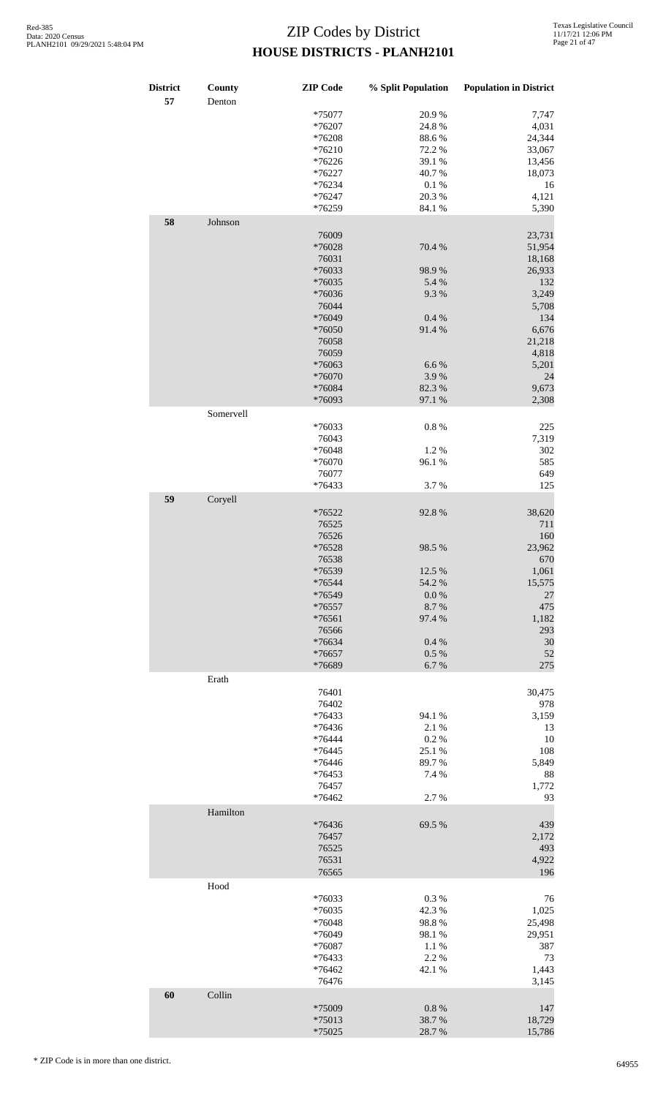| <b>District</b><br>57 | County<br>Denton | <b>ZIP</b> Code | % Split Population | <b>Population in District</b> |
|-----------------------|------------------|-----------------|--------------------|-------------------------------|
|                       |                  | *75077          | 20.9%              | 7,747                         |
|                       |                  | *76207          | 24.8 %             | 4,031                         |
|                       |                  | *76208          | 88.6%              | 24,344                        |
|                       |                  | $*76210$        | 72.2 %             | 33,067                        |
|                       |                  | $*76226$        | 39.1 %             | 13,456                        |
|                       |                  |                 |                    |                               |
|                       |                  | $*76227$        | 40.7%              | 18,073                        |
|                       |                  | *76234          | $0.1~\%$           | 16                            |
|                       |                  | *76247          | 20.3 %             | 4,121                         |
|                       |                  | *76259          | 84.1 %             | 5,390                         |
| 58                    | Johnson          |                 |                    |                               |
|                       |                  | 76009           |                    | 23,731                        |
|                       |                  |                 | 70.4 %             |                               |
|                       |                  | *76028          |                    | 51,954                        |
|                       |                  | 76031           |                    | 18,168                        |
|                       |                  | *76033          | 98.9%              | 26,933                        |
|                       |                  | *76035          | 5.4 %              | 132                           |
|                       |                  | *76036          | 9.3%               | 3,249                         |
|                       |                  | 76044           |                    | 5,708                         |
|                       |                  | *76049          | 0.4 %              | 134                           |
|                       |                  | *76050          | 91.4%              | 6,676                         |
|                       |                  |                 |                    |                               |
|                       |                  | 76058           |                    | 21,218                        |
|                       |                  | 76059           |                    | 4,818                         |
|                       |                  | *76063          | 6.6%               | 5,201                         |
|                       |                  | *76070          | 3.9%               | 24                            |
|                       |                  | *76084          | 82.3 %             | 9,673                         |
|                       |                  | *76093          | 97.1 %             | 2,308                         |
|                       |                  |                 |                    |                               |
|                       | Somervell        |                 |                    |                               |
|                       |                  | *76033          | $0.8~\%$           | 225                           |
|                       |                  | 76043           |                    | 7,319                         |
|                       |                  | *76048          | 1.2%               | 302                           |
|                       |                  | *76070          | 96.1 %             | 585                           |
|                       |                  | 76077           |                    | 649                           |
|                       |                  |                 |                    |                               |
|                       |                  | *76433          | 3.7%               | 125                           |
| 59                    | Coryell          |                 |                    |                               |
|                       |                  | *76522          | 92.8%              | 38,620                        |
|                       |                  | 76525           |                    | 711                           |
|                       |                  | 76526           |                    | 160                           |
|                       |                  | *76528          | 98.5 %             | 23,962                        |
|                       |                  |                 |                    |                               |
|                       |                  | 76538           |                    | 670                           |
|                       |                  | *76539          | 12.5 %             | 1,061                         |
|                       |                  | *76544          | 54.2 %             | 15,575                        |
|                       |                  | *76549          | 0.0 %              | 27                            |
|                       |                  | $*76557$        | 8.7%               | 475                           |
|                       |                  | *76561          | 97.4 %             | 1,182                         |
|                       |                  | 76566           |                    | 293                           |
|                       |                  | *76634          | 0.4 %              | 30                            |
|                       |                  | $*76657$        | 0.5 %              | 52                            |
|                       |                  |                 |                    |                               |
|                       |                  | *76689          | 6.7%               | 275                           |
|                       | Erath            |                 |                    |                               |
|                       |                  | 76401           |                    | 30,475                        |
|                       |                  | 76402           |                    | 978                           |
|                       |                  | *76433          | 94.1 %             | 3,159                         |
|                       |                  | *76436          | 2.1 %              | 13                            |
|                       |                  |                 |                    |                               |
|                       |                  | *76444          | 0.2%               | 10                            |
|                       |                  | *76445          | 25.1 %             | 108                           |
|                       |                  | *76446          | 89.7%              | 5,849                         |
|                       |                  | $*76453$        | 7.4 %              | 88                            |
|                       |                  | 76457           |                    | 1,772                         |
|                       |                  | *76462          | 2.7 %              | 93                            |
|                       | Hamilton         |                 |                    |                               |
|                       |                  |                 |                    |                               |
|                       |                  | *76436          | 69.5 %             | 439                           |
|                       |                  | 76457           |                    | 2,172                         |
|                       |                  | 76525           |                    | 493                           |
|                       |                  | 76531           |                    | 4,922                         |
|                       |                  | 76565           |                    | 196                           |
|                       | Hood             |                 |                    |                               |
|                       |                  |                 |                    |                               |
|                       |                  | *76033          | 0.3%               | 76                            |
|                       |                  | *76035          | 42.3 %             | 1,025                         |
|                       |                  | *76048          | 98.8%              | 25,498                        |
|                       |                  | *76049          | 98.1 %             | 29,951                        |
|                       |                  | *76087          | 1.1 %              | 387                           |
|                       |                  |                 |                    |                               |
|                       |                  | *76433          | 2.2 %              | 73                            |
|                       |                  | *76462          | 42.1 %             | 1,443                         |
|                       |                  | 76476           |                    | 3,145                         |
| 60                    | Collin           |                 |                    |                               |
|                       |                  | *75009          | $0.8~\%$           | 147                           |
|                       |                  | *75013          |                    |                               |
|                       |                  |                 | 38.7%              | 18,729                        |
|                       |                  | *75025          | 28.7%              | 15,786                        |

 $\mathcal{L}$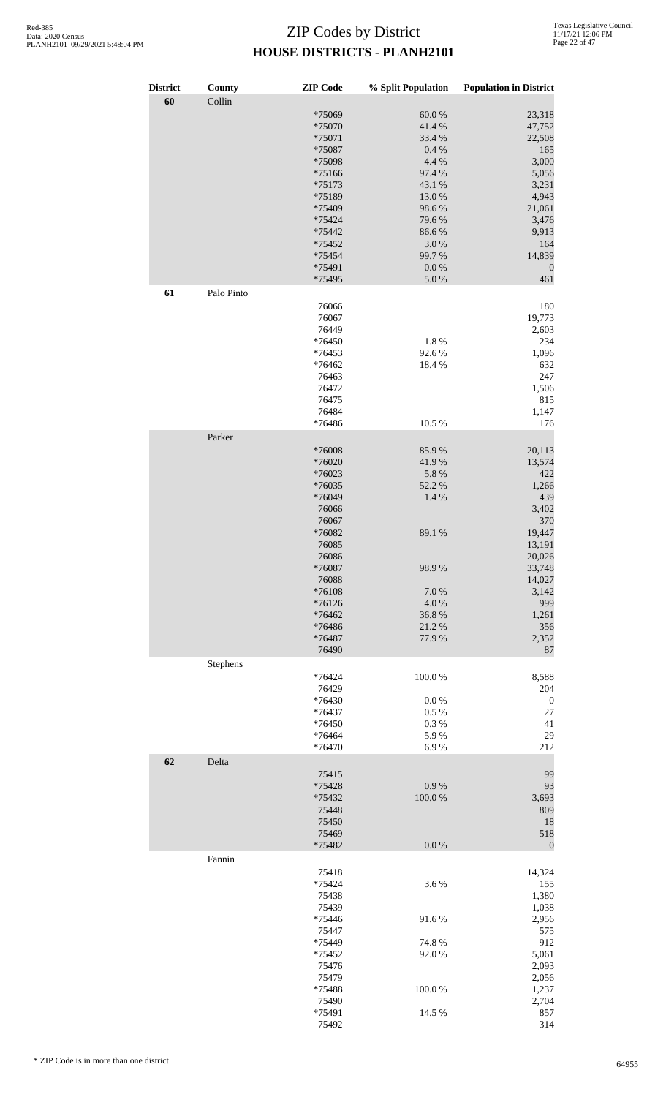| <b>District</b><br>60 | County<br>Collin | <b>ZIP</b> Code  | % Split Population | <b>Population in District</b> |
|-----------------------|------------------|------------------|--------------------|-------------------------------|
|                       |                  | *75069           | $60.0~\%$          | 23,318                        |
|                       |                  | *75070           | 41.4%              | 47,752                        |
|                       |                  | *75071           | 33.4 %             | 22,508                        |
|                       |                  | *75087           | 0.4 %              | 165                           |
|                       |                  | *75098           | 4.4 %              | 3,000                         |
|                       |                  | *75166           | 97.4 %             | 5,056                         |
|                       |                  | *75173           | 43.1 %             | 3,231                         |
|                       |                  | *75189           | 13.0%              | 4,943                         |
|                       |                  | *75409           | 98.6%              | 21,061                        |
|                       |                  | *75424           | 79.6%              | 3,476                         |
|                       |                  |                  |                    | 9,913                         |
|                       |                  | *75442           | 86.6%              |                               |
|                       |                  | *75452           | $3.0\ \%$          | 164                           |
|                       |                  | *75454           | 99.7%              | 14,839                        |
|                       |                  | *75491<br>*75495 | 0.0 %<br>$5.0\ \%$ | $\boldsymbol{0}$<br>461       |
| 61                    | Palo Pinto       |                  |                    |                               |
|                       |                  | 76066            |                    | 180                           |
|                       |                  | 76067            |                    | 19,773                        |
|                       |                  | 76449            |                    | 2,603                         |
|                       |                  | *76450           | 1.8 %              | 234                           |
|                       |                  | *76453           | 92.6%              | 1,096                         |
|                       |                  | *76462           | 18.4%              | 632                           |
|                       |                  | 76463            |                    | 247                           |
|                       |                  | 76472            |                    | 1,506                         |
|                       |                  | 76475            |                    | 815                           |
|                       |                  | 76484            |                    | 1,147                         |
|                       |                  | *76486           | 10.5 %             | 176                           |
|                       | Parker           |                  |                    |                               |
|                       |                  | *76008           | 85.9%              | 20,113                        |
|                       |                  | *76020           | 41.9%              | 13,574                        |
|                       |                  | *76023           | 5.8 %              | 422                           |
|                       |                  | *76035           | 52.2 %             | 1,266                         |
|                       |                  | *76049           | 1.4%               | 439                           |
|                       |                  | 76066            |                    | 3,402                         |
|                       |                  | 76067            |                    | 370                           |
|                       |                  | *76082           | 89.1 %             | 19,447                        |
|                       |                  | 76085            |                    | 13,191                        |
|                       |                  | 76086            |                    | 20,026                        |
|                       |                  | *76087           | 98.9%              | 33,748                        |
|                       |                  | 76088            |                    | 14,027                        |
|                       |                  | *76108           | 7.0%               | 3,142                         |
|                       |                  | $*76126$         | 4.0%               | 999                           |
|                       |                  | *76462           | 36.8%              | 1,261                         |
|                       |                  | *76486           | 21.2%              | 356                           |
|                       |                  | *76487           | 77.9%              | 2,352                         |
|                       |                  | 76490            |                    | 87                            |
|                       | Stephens         |                  |                    |                               |
|                       |                  | $*76424$         | 100.0%             | 8,588                         |
|                       |                  | 76429            |                    | 204                           |
|                       |                  | *76430           | 0.0 %              | $\boldsymbol{0}$              |
|                       |                  | *76437           | 0.5%               | $27\,$                        |
|                       |                  | *76450           | 0.3%               | 41                            |
|                       |                  | *76464           | 5.9%               | 29                            |
|                       |                  | *76470           | 6.9%               | 212                           |
| 62                    | Delta            | 75415            |                    | 99                            |
|                       |                  |                  |                    | 93                            |
|                       |                  | *75428           | 0.9 %              |                               |
|                       |                  | *75432           | 100.0%             | 3,693                         |
|                       |                  | 75448            |                    | 809                           |
|                       |                  | 75450            |                    | 18                            |
|                       |                  | 75469            |                    | 518                           |
|                       |                  | *75482           | $0.0\ \%$          | $\mathbf{0}$                  |
|                       | Fannin           | 75418            |                    | 14,324                        |
|                       |                  |                  |                    |                               |
|                       |                  | *75424           | 3.6%               | 155                           |
|                       |                  | 75438            |                    | 1,380                         |
|                       |                  | 75439            |                    | 1,038                         |
|                       |                  | *75446           | 91.6%              | 2,956                         |
|                       |                  | 75447            |                    | 575                           |
|                       |                  | *75449           | 74.8%              | 912                           |
|                       |                  | *75452           | 92.0%              | 5,061                         |
|                       |                  | 75476            |                    | 2,093                         |
|                       |                  | 75479            |                    | 2,056                         |
|                       |                  | *75488           | 100.0%             | 1,237                         |
|                       |                  | 75490            |                    | 2,704                         |
|                       |                  | *75491           | 14.5 %             | 857                           |
|                       |                  | 75492            |                    | 314                           |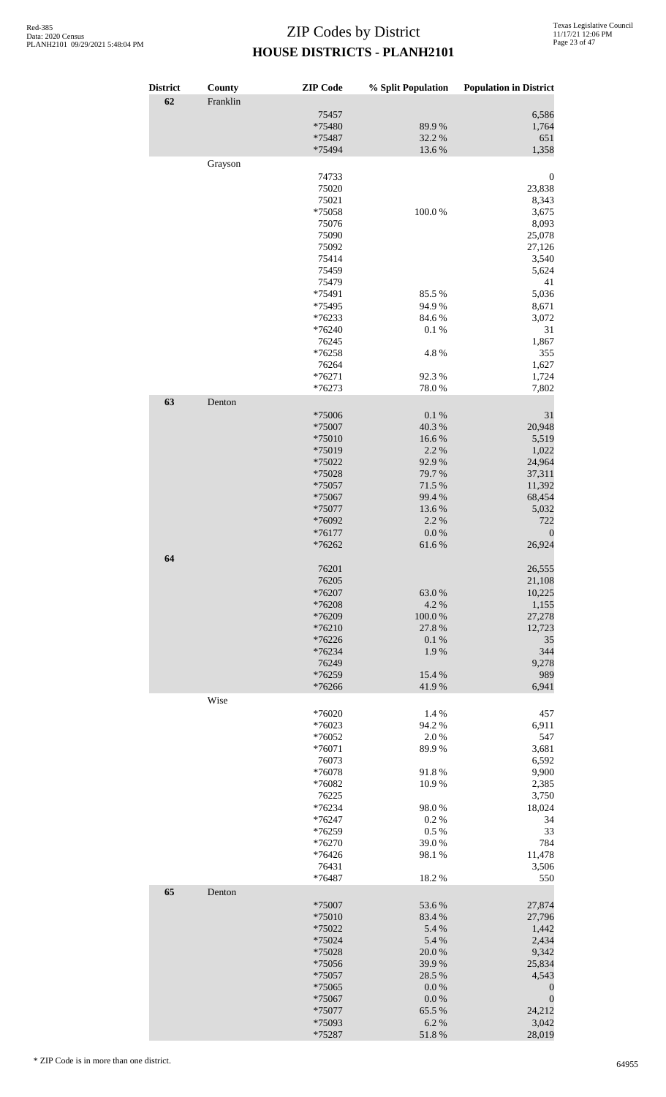| <b>District</b> | County   | <b>ZIP</b> Code    | % Split Population | <b>Population in District</b> |
|-----------------|----------|--------------------|--------------------|-------------------------------|
| 62              | Franklin |                    |                    |                               |
|                 |          | 75457              |                    | 6,586                         |
|                 |          | *75480<br>*75487   | 89.9%<br>32.2 %    | 1,764<br>651                  |
|                 |          | *75494             | 13.6 %             | 1,358                         |
|                 | Grayson  |                    |                    |                               |
|                 |          | 74733              |                    | $\boldsymbol{0}$              |
|                 |          | 75020              |                    | 23,838                        |
|                 |          | 75021              |                    | 8,343                         |
|                 |          | *75058<br>75076    | 100.0%             | 3,675<br>8,093                |
|                 |          | 75090              |                    | 25,078                        |
|                 |          | 75092              |                    | 27,126                        |
|                 |          | 75414              |                    | 3,540                         |
|                 |          | 75459<br>75479     |                    | 5,624<br>41                   |
|                 |          | *75491             | 85.5%              | 5,036                         |
|                 |          | *75495             | 94.9%              | 8,671                         |
|                 |          | *76233             | 84.6 %             | 3,072                         |
|                 |          | *76240             | 0.1%               | 31                            |
|                 |          | 76245<br>*76258    | 4.8%               | 1,867<br>355                  |
|                 |          | 76264              |                    | 1,627                         |
|                 |          | $*76271$           | 92.3%              | 1,724                         |
|                 |          | *76273             | 78.0%              | 7,802                         |
| 63              | Denton   |                    |                    |                               |
|                 |          | *75006<br>*75007   | 0.1%<br>40.3 %     | 31<br>20,948                  |
|                 |          | *75010             | 16.6%              | 5,519                         |
|                 |          | *75019             | 2.2 %              | 1,022                         |
|                 |          | *75022             | 92.9%              | 24,964                        |
|                 |          | *75028<br>*75057   | 79.7%<br>71.5 %    | 37,311<br>11,392              |
|                 |          | *75067             | 99.4 %             | 68,454                        |
|                 |          | *75077             | 13.6 %             | 5,032                         |
|                 |          | *76092             | 2.2 %              | 722                           |
|                 |          | $*76177$           | $0.0\ \%$          | $\boldsymbol{0}$              |
| 64              |          | *76262             | 61.6%              | 26,924                        |
|                 |          | 76201              |                    | 26,555                        |
|                 |          | 76205              |                    | 21,108                        |
|                 |          | *76207             | 63.0%              | 10,225                        |
|                 |          | *76208             | 4.2 %              | 1,155                         |
|                 |          | *76209<br>$*76210$ | 100.0%<br>27.8 %   | 27,278<br>12,723              |
|                 |          | *76226             | 0.1 %              | 35                            |
|                 |          | *76234             | 1.9%               | 344                           |
|                 |          | 76249              |                    | 9,278                         |
|                 |          | *76259<br>*76266   | 15.4 %<br>41.9%    | 989<br>6,941                  |
|                 | Wise     |                    |                    |                               |
|                 |          | *76020             | 1.4 %              | 457                           |
|                 |          | *76023             | 94.2 %             | 6,911                         |
|                 |          | *76052             | 2.0%               | 547                           |
|                 |          | *76071<br>76073    | 89.9%              | 3,681<br>6,592                |
|                 |          | *76078             | 91.8%              | 9,900                         |
|                 |          | *76082             | 10.9%              | 2,385                         |
|                 |          | 76225              |                    | 3,750                         |
|                 |          | *76234<br>*76247   | 98.0%<br>0.2 %     | 18,024<br>34                  |
|                 |          | *76259             | 0.5 %              | 33                            |
|                 |          | *76270             | 39.0%              | 784                           |
|                 |          | *76426             | 98.1 %             | 11,478                        |
|                 |          | 76431<br>*76487    | 18.2%              | 3,506<br>550                  |
| 65              | Denton   |                    |                    |                               |
|                 |          | *75007             | 53.6%              | 27,874                        |
|                 |          | *75010             | 83.4 %             | 27,796                        |
|                 |          | *75022             | 5.4 %              | 1,442                         |
|                 |          | *75024             | 5.4 %              | 2,434                         |
|                 |          | *75028<br>*75056   | 20.0%<br>39.9%     | 9,342<br>25,834               |
|                 |          | *75057             | 28.5 %             | 4,543                         |
|                 |          | *75065             | 0.0 %              | $\boldsymbol{0}$              |
|                 |          | *75067             | 0.0 %              | $\boldsymbol{0}$              |
|                 |          | *75077             | 65.5 %             | 24,212                        |
|                 |          | *75093<br>*75287   | 6.2%<br>51.8%      | 3,042<br>28,019               |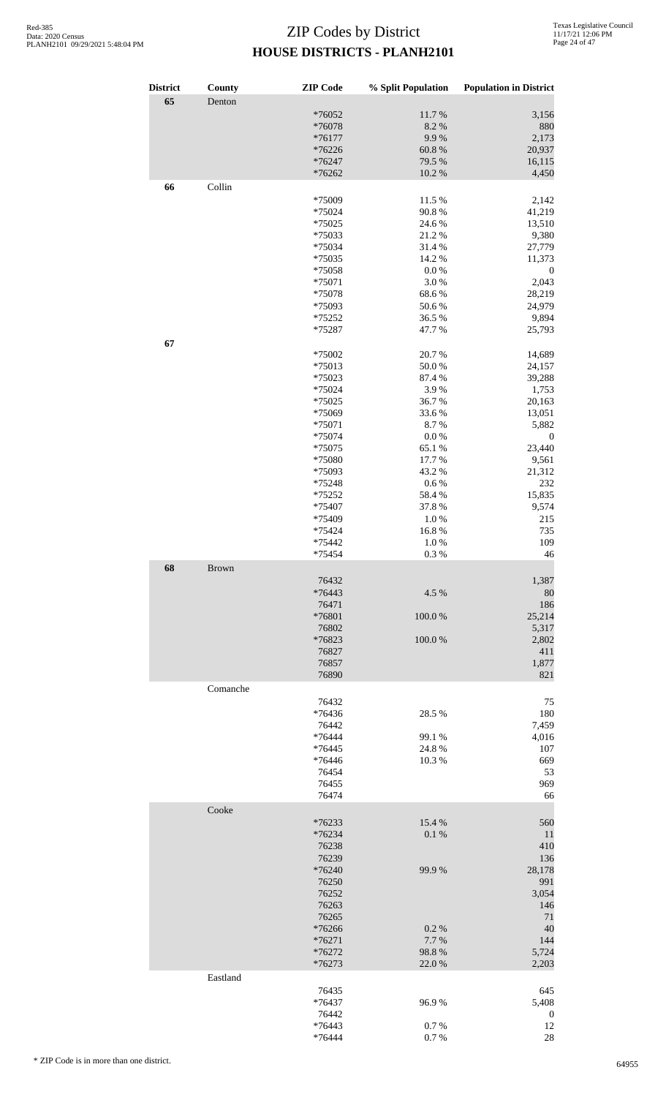| <b>District</b> | County       | <b>ZIP</b> Code  | % Split Population | <b>Population in District</b> |
|-----------------|--------------|------------------|--------------------|-------------------------------|
| 65              | Denton       |                  |                    |                               |
|                 |              | *76052           | 11.7%              | 3,156                         |
|                 |              | *76078           | 8.2%               | 880                           |
|                 |              | $*76177$         | 9.9%               | 2,173                         |
|                 |              | *76226           | 60.8%              | 20,937                        |
|                 |              | *76247           | 79.5 %             | 16,115                        |
|                 |              | *76262           | $10.2~\%$          | 4,450                         |
| 66              | Collin       |                  |                    |                               |
|                 |              | *75009           | 11.5 %             | 2,142                         |
|                 |              | *75024           | 90.8%              | 41,219                        |
|                 |              | *75025           | 24.6 %             | 13,510                        |
|                 |              | *75033           | 21.2%              | 9,380                         |
|                 |              | *75034           | 31.4%              | 27,779                        |
|                 |              | *75035           | 14.2 %             | 11,373                        |
|                 |              | *75058           | $0.0\ \%$          | $\boldsymbol{0}$              |
|                 |              | *75071<br>*75078 | 3.0%<br>68.6%      | 2,043<br>28,219               |
|                 |              | *75093           | 50.6%              | 24,979                        |
|                 |              | *75252           | 36.5 %             | 9,894                         |
|                 |              | *75287           | 47.7%              | 25,793                        |
| 67              |              |                  |                    |                               |
|                 |              | *75002           | 20.7%              | 14,689                        |
|                 |              | *75013           | 50.0%              | 24,157                        |
|                 |              | *75023           | 87.4 %             | 39,288                        |
|                 |              | *75024           | 3.9%               | 1,753                         |
|                 |              | *75025           | 36.7%              | 20,163                        |
|                 |              | *75069           | 33.6%              | 13,051                        |
|                 |              | *75071           | 8.7%               | 5,882                         |
|                 |              | *75074           | $0.0\ \%$          | $\boldsymbol{0}$              |
|                 |              | *75075           | 65.1%              | 23,440                        |
|                 |              | *75080           | 17.7 %             | 9,561                         |
|                 |              | *75093           | 43.2 %             | 21,312                        |
|                 |              | *75248           | 0.6%               | 232                           |
|                 |              | *75252           | 58.4%              | 15,835                        |
|                 |              | *75407<br>*75409 | 37.8%<br>$1.0\ \%$ | 9,574<br>215                  |
|                 |              | *75424           | 16.8%              | 735                           |
|                 |              | *75442           | 1.0%               | 109                           |
|                 |              | *75454           | 0.3%               | 46                            |
| 68              | <b>Brown</b> |                  |                    |                               |
|                 |              | 76432            |                    | 1,387                         |
|                 |              | $*76443$         | 4.5 %              | 80                            |
|                 |              | 76471            |                    | 186                           |
|                 |              | *76801           | 100.0%             | 25,214                        |
|                 |              | 76802            |                    | 5,317                         |
|                 |              | *76823           | 100.0%             | 2,802                         |
|                 |              | 76827            |                    | 411                           |
|                 |              | 76857            |                    | 1,877                         |
|                 |              | 76890            |                    | 821                           |
|                 | Comanche     |                  |                    |                               |
|                 |              | 76432            |                    | 75                            |
|                 |              | *76436           | 28.5 %             | 180                           |
|                 |              | 76442            |                    | 7,459                         |
|                 |              | *76444           | 99.1 %             | 4,016                         |
|                 |              | *76445           | 24.8%              | 107                           |
|                 |              | *76446           | 10.3%              | 669                           |
|                 |              | 76454            |                    | 53                            |
|                 |              | 76455<br>76474   |                    | 969<br>66                     |
|                 |              |                  |                    |                               |
|                 | Cooke        |                  |                    |                               |
|                 |              | $*76233$         | 15.4 %             | 560                           |
|                 |              | *76234           | 0.1 %              | $11\,$                        |
|                 |              | 76238            |                    | 410                           |
|                 |              | 76239<br>*76240  | 99.9%              | 136<br>28,178                 |
|                 |              | 76250            |                    | 991                           |
|                 |              | 76252            |                    | 3,054                         |
|                 |              | 76263            |                    | 146                           |
|                 |              | 76265            |                    | 71                            |
|                 |              | *76266           | 0.2 %              | 40                            |
|                 |              | $*76271$         | 7.7 %              | 144                           |
|                 |              | $*76272$         | 98.8%              | 5,724                         |
|                 |              | $*76273$         | 22.0%              | 2,203                         |
|                 | Eastland     |                  |                    |                               |
|                 |              | 76435            |                    | 645                           |
|                 |              | *76437           | 96.9%              | 5,408                         |
|                 |              | 76442            |                    | $\boldsymbol{0}$              |
|                 |              | $*76443$         | 0.7%               | 12                            |
|                 |              | *76444           | 0.7%               | 28                            |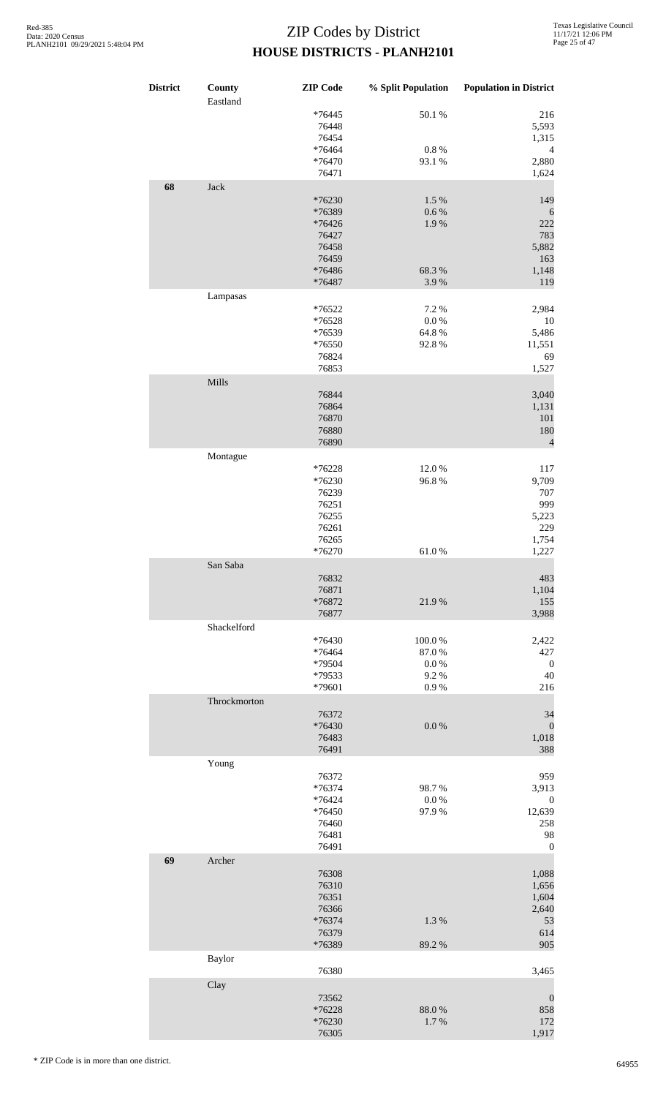| <b>District</b> | County<br>Eastland | <b>ZIP</b> Code                                                 | % Split Population                   | <b>Population in District</b>                                               |
|-----------------|--------------------|-----------------------------------------------------------------|--------------------------------------|-----------------------------------------------------------------------------|
|                 |                    | *76445<br>76448<br>76454<br>*76464                              | 50.1 %<br>$0.8~\%$                   | 216<br>5,593<br>1,315<br>$\overline{4}$                                     |
|                 |                    | *76470<br>76471                                                 | 93.1 %                               | 2,880<br>1,624                                                              |
| 68              | Jack               | *76230<br>*76389<br>*76426<br>76427<br>76458<br>76459           | 1.5%<br>$0.6\,\%$<br>1.9%            | 149<br>6<br>222<br>783<br>5,882<br>163                                      |
|                 |                    | *76486<br>*76487                                                | 68.3%<br>3.9%                        | 1,148<br>119                                                                |
|                 | Lampasas           | *76522<br>*76528<br>*76539<br>*76550<br>76824<br>76853          | 7.2 %<br>$0.0\ \%$<br>64.8%<br>92.8% | 2,984<br>10<br>5,486<br>11,551<br>69<br>1,527                               |
|                 | Mills              | 76844<br>76864<br>76870<br>76880<br>76890                       |                                      | 3,040<br>1,131<br>101<br>180<br>$\overline{4}$                              |
|                 | Montague           | $*76228$<br>*76230<br>76239<br>76251<br>76255<br>76261<br>76265 | 12.0%<br>96.8%                       | 117<br>9,709<br>707<br>999<br>5,223<br>229<br>1,754                         |
|                 | San Saba           | *76270<br>76832<br>76871<br>*76872                              | 61.0%<br>21.9%                       | 1,227<br>483<br>1,104<br>155                                                |
|                 | Shackelford        | 76877<br>*76430<br>*76464<br>*79504<br>*79533                   | 100.0%<br>87.0%<br>0.0 %<br>9.2%     | 3,988<br>2,422<br>427<br>$\boldsymbol{0}$<br>$40\,$                         |
|                 |                    | *79601                                                          | $0.9\ \%$                            | 216                                                                         |
|                 | Throckmorton       | 76372<br>*76430<br>76483<br>76491                               | 0.0 %                                | 34<br>$\mathbf{0}$<br>1,018<br>388                                          |
|                 | Young              | 76372<br>*76374<br>*76424<br>*76450<br>76460<br>76481<br>76491  | 98.7%<br>$0.0\ \%$<br>97.9%          | 959<br>3,913<br>$\boldsymbol{0}$<br>12,639<br>258<br>98<br>$\boldsymbol{0}$ |
| 69              | Archer             | 76308<br>76310<br>76351<br>76366<br>*76374<br>76379<br>*76389   | 1.3%<br>89.2%                        | 1,088<br>1,656<br>1,604<br>2,640<br>53<br>614<br>905                        |
|                 | Baylor             |                                                                 |                                      |                                                                             |
|                 | Clay               | 76380<br>73562<br>*76228<br>*76230<br>76305                     | 88.0%<br>1.7%                        | 3,465<br>$\boldsymbol{0}$<br>858<br>172<br>1,917                            |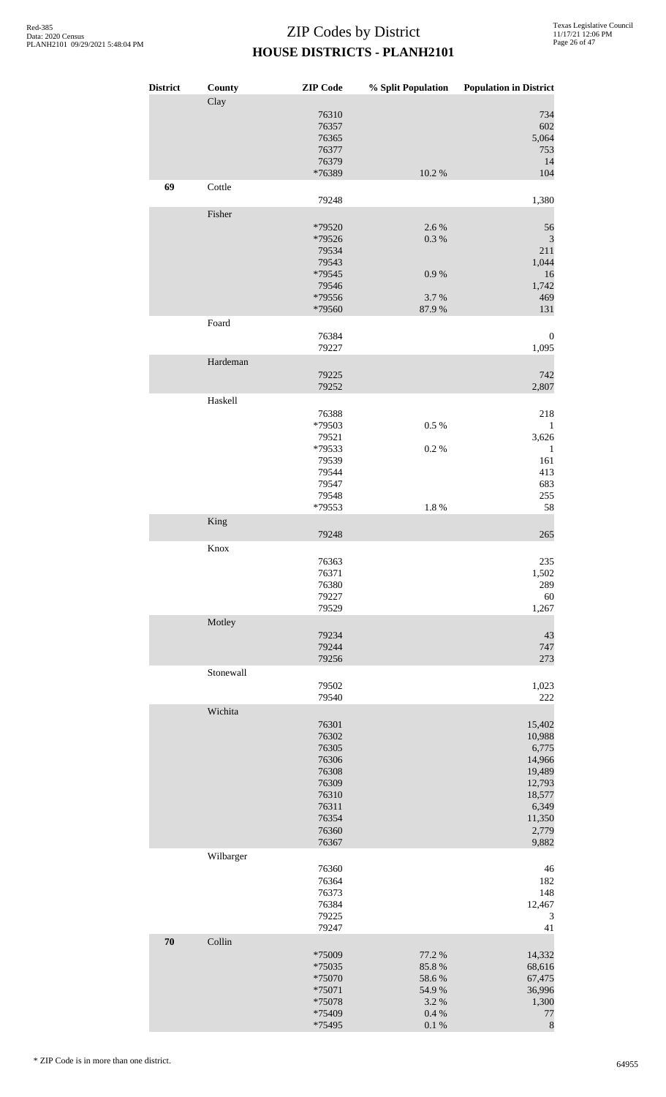| <b>District</b> | County<br>Clay | <b>ZIP</b> Code                              | % Split Population         | <b>Population in District</b>    |
|-----------------|----------------|----------------------------------------------|----------------------------|----------------------------------|
|                 |                | 76310<br>76357<br>76365<br>76377<br>76379    |                            | 734<br>602<br>5,064<br>753<br>14 |
|                 |                | *76389                                       | $10.2~\%$                  | 104                              |
| 69              | Cottle         | 79248                                        |                            | 1,380                            |
|                 | Fisher         |                                              |                            |                                  |
|                 |                | *79520<br>*79526<br>79534<br>79543<br>*79545 | 2.6%<br>0.3 %<br>$0.9\ \%$ | 56<br>3<br>211<br>1,044<br>16    |
|                 |                | 79546<br>*79556                              | 3.7%                       | 1,742<br>469                     |
|                 |                | *79560                                       | 87.9%                      | 131                              |
|                 | Foard          | 76384<br>79227                               |                            | $\boldsymbol{0}$<br>1,095        |
|                 | Hardeman       |                                              |                            |                                  |
|                 |                | 79225<br>79252                               |                            | 742<br>2,807                     |
|                 | Haskell        |                                              |                            |                                  |
|                 |                | 76388<br>*79503                              | 0.5 %                      | 218<br>$\mathbf{1}$              |
|                 |                | 79521                                        |                            | 3,626                            |
|                 |                | *79533<br>79539                              | $0.2~\%$                   | $\mathbf{1}$<br>161              |
|                 |                | 79544                                        |                            | 413                              |
|                 |                | 79547                                        |                            | 683                              |
|                 |                | 79548<br>*79553                              | $1.8~\%$                   | 255<br>58                        |
|                 | King           |                                              |                            |                                  |
|                 |                | 79248                                        |                            | 265                              |
|                 | Knox           | 76363                                        |                            | $235\,$                          |
|                 |                | 76371                                        |                            | 1,502                            |
|                 |                | 76380                                        |                            | 289                              |
|                 |                | 79227                                        |                            | $60\,$                           |
|                 | Motley         | 79529                                        |                            | 1,267                            |
|                 |                | 79234                                        |                            | 43                               |
|                 |                | 79244                                        |                            | 747                              |
|                 | Stonewall      | 79256                                        |                            | 273                              |
|                 |                | 79502                                        |                            | 1,023                            |
|                 |                | 79540                                        |                            | 222                              |
|                 | Wichita        | 76301<br>76302                               |                            | 15,402<br>10,988                 |
|                 |                | 76305<br>76306                               |                            | 6,775<br>14,966                  |
|                 |                | 76308                                        |                            | 19,489                           |
|                 |                | 76309                                        |                            | 12,793                           |
|                 |                | 76310                                        |                            | 18,577                           |
|                 |                | 76311<br>76354                               |                            | 6,349<br>11,350                  |
|                 |                | 76360                                        |                            | 2,779                            |
|                 | Wilbarger      | 76367                                        |                            | 9,882                            |
|                 |                | 76360                                        |                            | 46                               |
|                 |                | 76364                                        |                            | 182                              |
|                 |                | 76373<br>76384                               |                            | 148<br>12,467                    |
|                 |                | 79225                                        |                            | 3                                |
| 70              | Collin         | 79247                                        |                            | 41                               |
|                 |                | *75009                                       | 77.2 %                     | 14,332                           |
|                 |                | $*75035$                                     | 85.8%                      | 68,616                           |
|                 |                | *75070                                       | 58.6%                      | 67,475                           |
|                 |                | *75071<br>*75078                             | 54.9%<br>3.2 %             | 36,996<br>1,300                  |
|                 |                | *75409                                       | $0.4~\%$                   | $77 \,$                          |
|                 |                | *75495                                       | $0.1~\%$                   | $\,$ 8 $\,$                      |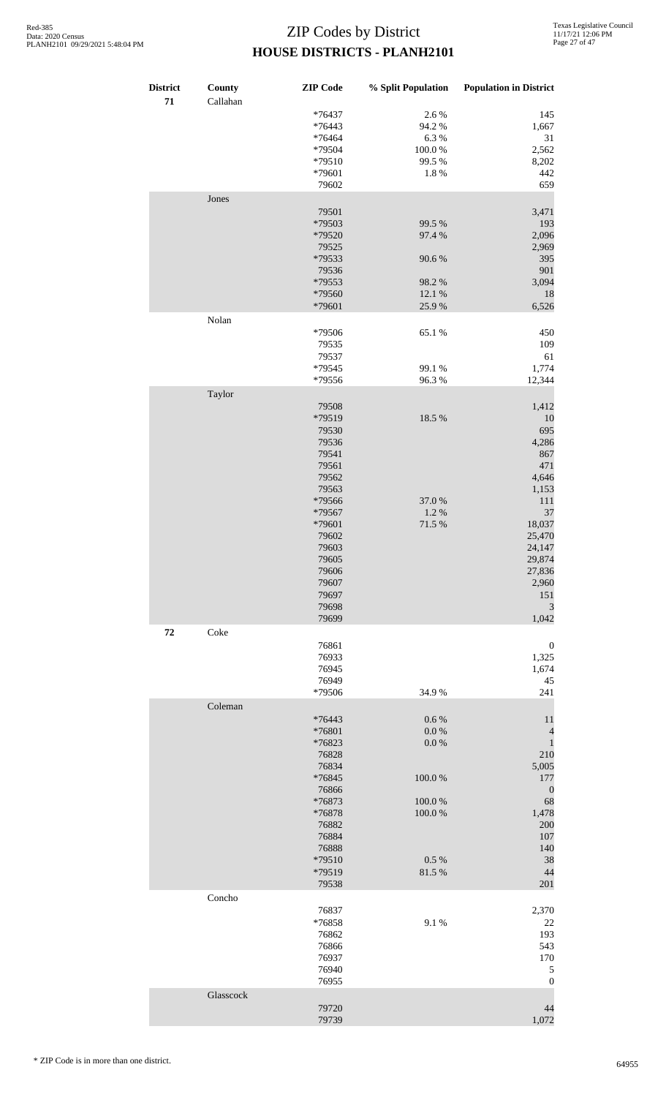| <b>District</b><br>71 | County<br>Callahan | <b>ZIP</b> Code | % Split Population | <b>Population in District</b> |
|-----------------------|--------------------|-----------------|--------------------|-------------------------------|
|                       |                    | $*76437$        | 2.6 %              | 145                           |
|                       |                    | *76443          | 94.2%              | 1,667                         |
|                       |                    | *76464          | 6.3%               | 31                            |
|                       |                    | *79504          | $100.0~\%$         | 2,562                         |
|                       |                    | *79510          | 99.5 %             | 8,202                         |
|                       |                    | *79601          | $1.8~\%$           | 442                           |
|                       | Jones              | 79602           |                    | 659                           |
|                       |                    | 79501           |                    | 3,471                         |
|                       |                    | *79503          | 99.5 %             | 193                           |
|                       |                    | *79520          | 97.4 %             | 2,096                         |
|                       |                    | 79525           |                    | 2,969                         |
|                       |                    | *79533          | 90.6%              | 395                           |
|                       |                    | 79536           |                    | 901                           |
|                       |                    | *79553          | 98.2%              | 3,094                         |
|                       |                    | *79560          | 12.1 %             | 18                            |
|                       |                    | *79601          | 25.9%              | 6,526                         |
|                       | Nolan              |                 |                    |                               |
|                       |                    | *79506          | 65.1%              | 450                           |
|                       |                    | 79535           |                    | 109                           |
|                       |                    | 79537           |                    | 61                            |
|                       |                    | *79545          | 99.1 %             | 1,774                         |
|                       |                    | *79556          | 96.3%              | 12,344                        |
|                       | Taylor             |                 |                    |                               |
|                       |                    | 79508           |                    | 1,412                         |
|                       |                    | *79519          | 18.5 %             | 10                            |
|                       |                    | 79530           |                    | 695                           |
|                       |                    | 79536           |                    | 4,286                         |
|                       |                    | 79541           |                    | 867                           |
|                       |                    | 79561           |                    | 471                           |
|                       |                    | 79562           |                    | 4,646                         |
|                       |                    | 79563           |                    | 1,153                         |
|                       |                    | *79566          | 37.0 %             | $111\,$                       |
|                       |                    | *79567          | $1.2~\%$           | 37                            |
|                       |                    | *79601          | 71.5 %             | 18,037                        |
|                       |                    | 79602           |                    | 25,470                        |
|                       |                    | 79603           |                    | 24,147                        |
|                       |                    | 79605           |                    | 29,874                        |
|                       |                    | 79606           |                    | 27,836                        |
|                       |                    | 79607           |                    | 2,960                         |
|                       |                    | 79697           |                    | 151                           |
|                       |                    | 79698           |                    | 3                             |
| 72                    | Coke               | 79699           |                    | 1,042                         |
|                       |                    | 76861           |                    | $\boldsymbol{0}$              |
|                       |                    | 76933           |                    | 1,325                         |
|                       |                    | 76945           |                    | 1,674                         |
|                       |                    | 76949           |                    | 45                            |
|                       |                    | *79506          | 34.9%              | 241                           |
|                       | Coleman            |                 |                    |                               |
|                       |                    | $*76443$        | 0.6 %              | 11                            |
|                       |                    | *76801          | 0.0 %              | $\overline{\mathcal{L}}$      |
|                       |                    | *76823          | 0.0 %              | $\,1\,$                       |
|                       |                    | 76828           |                    | 210                           |
|                       |                    | 76834           |                    | 5,005                         |
|                       |                    | *76845          | 100.0%             | 177                           |
|                       |                    | 76866           |                    | $\boldsymbol{0}$              |
|                       |                    | *76873          | 100.0%             | 68                            |
|                       |                    | *76878          | 100.0%             | 1,478                         |
|                       |                    | 76882           |                    | 200                           |
|                       |                    | 76884           |                    | 107                           |
|                       |                    | 76888           |                    | 140                           |
|                       |                    | *79510          | $0.5\ \%$          | 38                            |
|                       |                    | *79519<br>79538 | 81.5%              | 44<br>201                     |
|                       | Concho             |                 |                    |                               |
|                       |                    | 76837           |                    | 2,370                         |
|                       |                    | *76858          | 9.1%               | 22                            |
|                       |                    | 76862           |                    | 193                           |
|                       |                    | 76866           |                    | 543                           |
|                       |                    | 76937           |                    | 170                           |
|                       |                    | 76940           |                    | $\sqrt{5}$                    |
|                       |                    | 76955           |                    | $\boldsymbol{0}$              |
|                       | Glasscock          | 79720           |                    | 44                            |
|                       |                    | 79739           |                    | 1,072                         |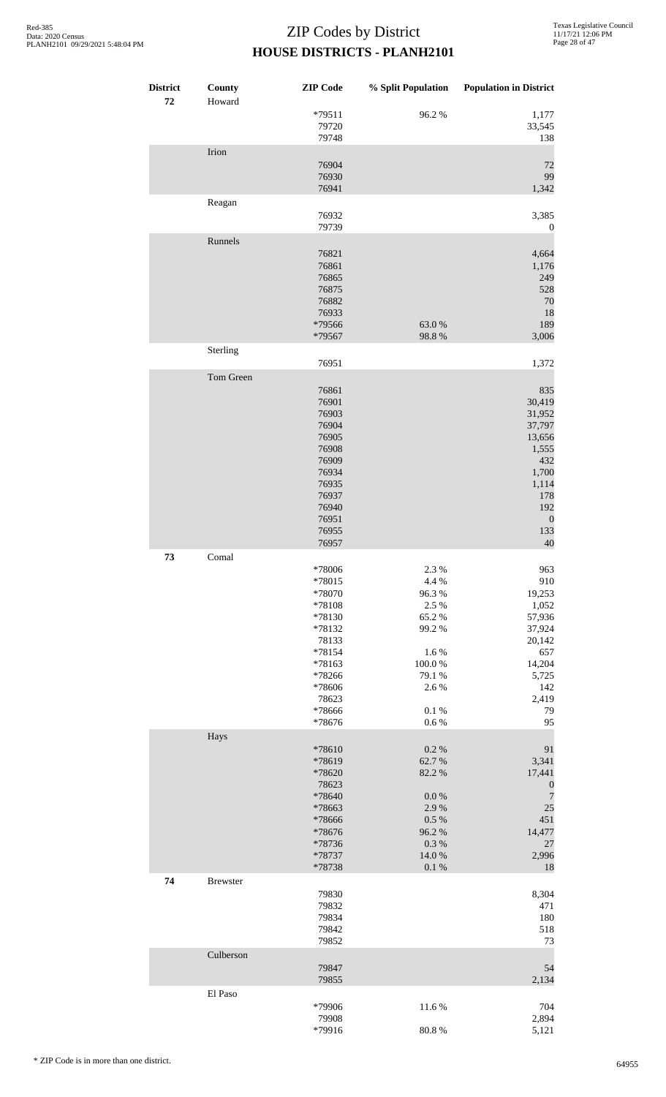| <b>District</b><br>72 | County<br>Howard | <b>ZIP</b> Code  | % Split Population | <b>Population in District</b> |
|-----------------------|------------------|------------------|--------------------|-------------------------------|
|                       |                  | *79511<br>79720  | 96.2%              | 1,177<br>33,545               |
|                       |                  | 79748            |                    | 138                           |
|                       | Irion            | 76904            |                    | 72                            |
|                       |                  | 76930            |                    | 99                            |
|                       |                  | 76941            |                    | 1,342                         |
|                       | Reagan           |                  |                    |                               |
|                       |                  | 76932<br>79739   |                    | 3,385<br>$\boldsymbol{0}$     |
|                       | Runnels          |                  |                    |                               |
|                       |                  | 76821            |                    | 4,664                         |
|                       |                  | 76861            |                    | 1,176                         |
|                       |                  | 76865<br>76875   |                    | 249<br>528                    |
|                       |                  | 76882            |                    | 70                            |
|                       |                  | 76933            |                    | 18                            |
|                       |                  | *79566<br>*79567 | 63.0%<br>98.8%     | 189<br>3,006                  |
|                       | Sterling         |                  |                    |                               |
|                       |                  | 76951            |                    | 1,372                         |
|                       | Tom Green        |                  |                    |                               |
|                       |                  | 76861            |                    | 835                           |
|                       |                  | 76901<br>76903   |                    | 30,419<br>31,952              |
|                       |                  | 76904            |                    | 37,797                        |
|                       |                  | 76905            |                    | 13,656                        |
|                       |                  | 76908<br>76909   |                    | 1,555<br>432                  |
|                       |                  | 76934            |                    | 1,700                         |
|                       |                  | 76935            |                    | 1,114                         |
|                       |                  | 76937<br>76940   |                    | 178<br>192                    |
|                       |                  | 76951            |                    | $\boldsymbol{0}$              |
|                       |                  | 76955            |                    | 133                           |
|                       |                  | 76957            |                    | 40                            |
| 73                    | Comal            | *78006           | 2.3 %              | 963                           |
|                       |                  | *78015           | 4.4 %              | 910                           |
|                       |                  | *78070           | 96.3%              | 19,253                        |
|                       |                  | *78108<br>*78130 | 2.5 %<br>65.2%     | 1,052<br>57,936               |
|                       |                  | *78132           | 99.2 %             | 37,924                        |
|                       |                  | 78133            |                    | 20,142                        |
|                       |                  | *78154<br>*78163 | 1.6%<br>100.0%     | 657<br>14,204                 |
|                       |                  | *78266           | 79.1 %             | 5,725                         |
|                       |                  | *78606           | 2.6%               | 142                           |
|                       |                  | 78623<br>*78666  | 0.1 %              | 2,419<br>79                   |
|                       |                  | *78676           | 0.6 %              | 95                            |
|                       | Hays             |                  |                    |                               |
|                       |                  | *78610           | 0.2 %              | 91<br>3,341                   |
|                       |                  | *78619<br>*78620 | 62.7%<br>82.2%     | 17,441                        |
|                       |                  | 78623            |                    | $\boldsymbol{0}$              |
|                       |                  | *78640<br>*78663 | $0.0\ \%$<br>2.9%  | $\overline{7}$<br>25          |
|                       |                  | *78666           | 0.5 %              | 451                           |
|                       |                  | *78676           | 96.2%              | 14,477                        |
|                       |                  | *78736<br>*78737 | $0.3~\%$<br>14.0 % | 27<br>2,996                   |
|                       |                  | *78738           | $0.1~\%$           | 18                            |
| 74                    | <b>Brewster</b>  |                  |                    |                               |
|                       |                  | 79830<br>79832   |                    | 8,304<br>471                  |
|                       |                  | 79834            |                    | 180                           |
|                       |                  | 79842            |                    | 518                           |
|                       |                  | 79852            |                    | 73                            |
|                       | Culberson        | 79847            |                    | 54                            |
|                       |                  | 79855            |                    | 2,134                         |
|                       | El Paso          |                  |                    |                               |
|                       |                  | *79906<br>79908  | 11.6%              | 704                           |
|                       |                  | *79916           | 80.8%              | 2,894<br>5,121                |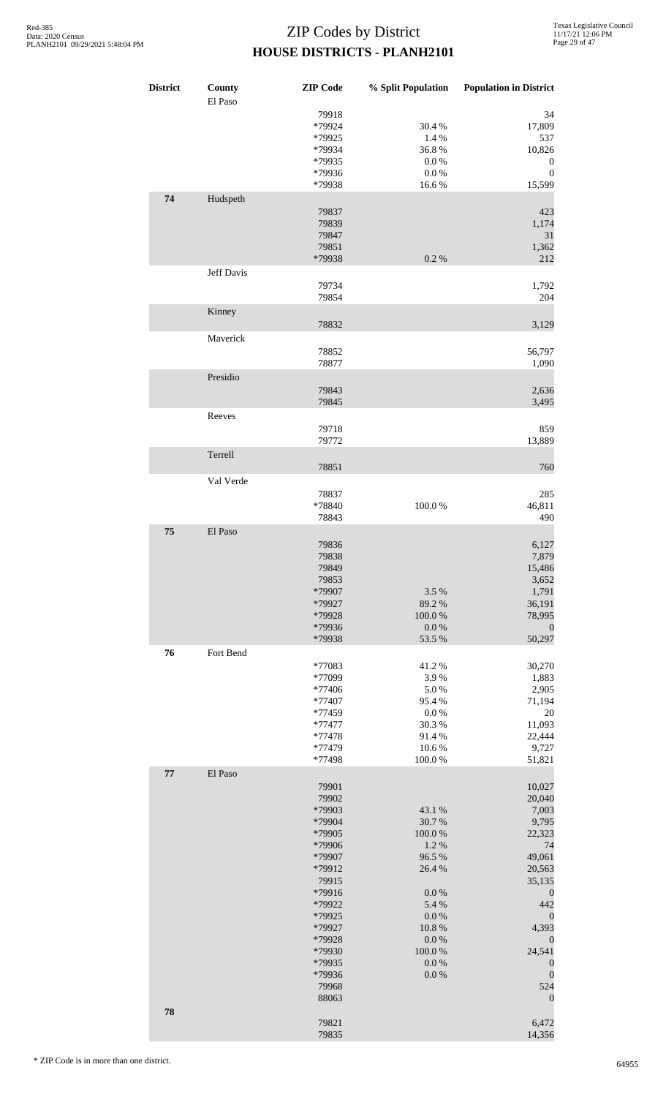| <b>District</b> | County<br>El Paso | <b>ZIP</b> Code           | % Split Population     | <b>Population in District</b>        |
|-----------------|-------------------|---------------------------|------------------------|--------------------------------------|
|                 |                   | 79918<br>*79924<br>*79925 | 30.4 %<br>1.4 %        | 34<br>17,809<br>537                  |
|                 |                   | *79934                    | 36.8%                  | 10,826                               |
|                 |                   | *79935<br>*79936          | $0.0\ \%$<br>0.0 %     | $\boldsymbol{0}$<br>$\boldsymbol{0}$ |
|                 |                   | *79938                    | 16.6%                  | 15,599                               |
| 74              | Hudspeth          | 79837                     |                        | 423                                  |
|                 |                   | 79839                     |                        | 1,174                                |
|                 |                   | 79847                     |                        | 31                                   |
|                 |                   | 79851<br>*79938           | 0.2 %                  | 1,362<br>212                         |
|                 | Jeff Davis        |                           |                        |                                      |
|                 |                   | 79734<br>79854            |                        | 1,792<br>204                         |
|                 | Kinney            |                           |                        |                                      |
|                 | Maverick          | 78832                     |                        | 3,129                                |
|                 |                   | 78852                     |                        | 56,797                               |
|                 |                   | 78877                     |                        | 1,090                                |
|                 | Presidio          | 79843                     |                        | 2,636                                |
|                 |                   | 79845                     |                        | 3,495                                |
|                 | Reeves            | 79718                     |                        | 859                                  |
|                 |                   | 79772                     |                        | 13,889                               |
|                 | Terrell           | 78851                     |                        | 760                                  |
|                 | Val Verde         |                           |                        |                                      |
|                 |                   | 78837                     |                        | 285                                  |
|                 |                   | *78840<br>78843           | 100.0%                 | 46,811<br>490                        |
| 75              | El Paso           |                           |                        |                                      |
|                 |                   | 79836<br>79838            |                        | 6,127<br>7,879                       |
|                 |                   | 79849                     |                        | 15,486                               |
|                 |                   | 79853<br>*79907           | 3.5 %                  | 3,652<br>1,791                       |
|                 |                   | *79927                    | 89.2%                  | 36,191                               |
|                 |                   | *79928                    | 100.0%                 | 78,995                               |
|                 |                   | *79936<br>*79938          | $0.0\ \%$<br>53.5 %    | $\boldsymbol{0}$<br>50,297           |
| 76              | Fort Bend         |                           |                        |                                      |
|                 |                   | *77083<br>*77099          | 41.2%<br>3.9%          | 30,270<br>1,883                      |
|                 |                   | *77406                    | 5.0%                   | 2,905                                |
|                 |                   | *77407<br>*77459          | 95.4%<br>$0.0\ \%$     | 71,194<br>20                         |
|                 |                   | *77477                    | 30.3%                  | 11,093                               |
|                 |                   | *77478                    | 91.4%                  | 22,444                               |
|                 |                   | *77479<br>*77498          | 10.6%<br>100.0%        | 9,727<br>51,821                      |
| 77              | El Paso           |                           |                        |                                      |
|                 |                   | 79901<br>79902            |                        | 10,027<br>20,040                     |
|                 |                   | *79903                    | 43.1 %                 | 7,003                                |
|                 |                   | *79904                    | 30.7%                  | 9,795                                |
|                 |                   | *79905<br>*79906          | $100.0~\%$<br>1.2%     | 22,323<br>74                         |
|                 |                   | *79907                    | 96.5 %                 | 49,061                               |
|                 |                   | *79912                    | 26.4 %                 | 20,563                               |
|                 |                   | 79915<br>*79916           | 0.0 %                  | 35,135<br>$\boldsymbol{0}$           |
|                 |                   | *79922                    | 5.4 %                  | 442                                  |
|                 |                   | *79925                    | $0.0\ \%$              | $\boldsymbol{0}$                     |
|                 |                   | *79927<br>*79928          | $10.8~\%$<br>$0.0\ \%$ | 4,393<br>$\boldsymbol{0}$            |
|                 |                   | *79930                    | $100.0~\%$             | 24,541                               |
|                 |                   | *79935                    | 0.0 %                  | $\boldsymbol{0}$<br>$\boldsymbol{0}$ |
|                 |                   | *79936<br>79968           | $0.0\ \%$              | 524                                  |
|                 |                   | 88063                     |                        | $\boldsymbol{0}$                     |
| 78              |                   | 79821                     |                        | 6,472                                |
|                 |                   | 79835                     |                        | 14,356                               |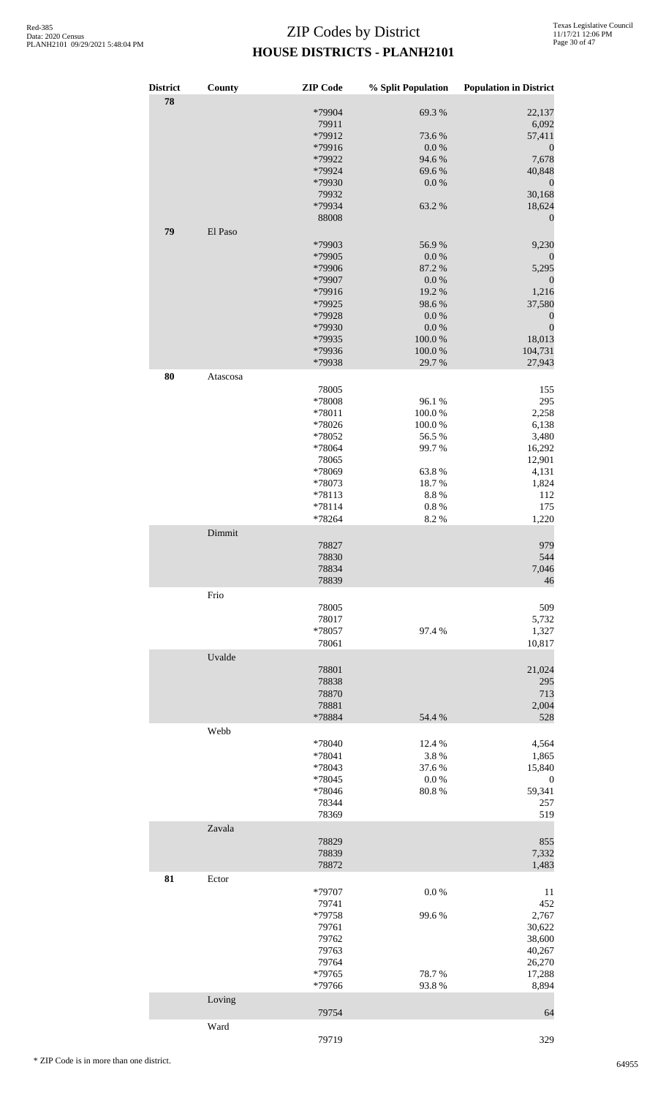| <b>District</b><br>78 | County   | <b>ZIP</b> Code  | % Split Population     | <b>Population in District</b> |
|-----------------------|----------|------------------|------------------------|-------------------------------|
|                       |          | *79904           | 69.3%                  | 22,137                        |
|                       |          | 79911            |                        | 6,092                         |
|                       |          | *79912           | 73.6%                  | 57,411                        |
|                       |          | *79916<br>*79922 | $0.0\ \%$<br>94.6%     | $\boldsymbol{0}$<br>7,678     |
|                       |          | *79924           | 69.6%                  | 40,848                        |
|                       |          | *79930           | 0.0 %                  | $\boldsymbol{0}$              |
|                       |          | 79932            |                        | 30,168                        |
|                       |          | *79934           | 63.2%                  | 18,624                        |
|                       |          | 88008            |                        | $\boldsymbol{0}$              |
| 79                    | El Paso  |                  |                        |                               |
|                       |          | *79903           | 56.9%                  | 9,230                         |
|                       |          | *79905           | $0.0\ \%$              | $\boldsymbol{0}$              |
|                       |          | *79906           | 87.2 %                 | 5,295                         |
|                       |          | *79907           | 0.0 %                  | $\boldsymbol{0}$              |
|                       |          | *79916           | 19.2 %                 | 1,216                         |
|                       |          | *79925           | 98.6%                  | 37,580                        |
|                       |          | *79928           | $0.0\ \%$<br>$0.0\ \%$ | $\boldsymbol{0}$              |
|                       |          | *79930<br>*79935 | 100.0%                 | $\boldsymbol{0}$<br>18,013    |
|                       |          | *79936           | 100.0%                 | 104,731                       |
|                       |          | *79938           | 29.7 %                 | 27,943                        |
| 80                    | Atascosa |                  |                        |                               |
|                       |          | 78005            |                        | 155                           |
|                       |          | *78008           | 96.1%                  | 295                           |
|                       |          | *78011           | 100.0%                 | 2,258                         |
|                       |          | *78026           | 100.0%                 | 6,138                         |
|                       |          | *78052           | 56.5%                  | 3,480                         |
|                       |          | *78064           | 99.7%                  | 16,292                        |
|                       |          | 78065            |                        | 12,901                        |
|                       |          | *78069           | 63.8%                  | 4,131                         |
|                       |          | *78073           | 18.7%                  | 1,824                         |
|                       |          | *78113<br>*78114 | 8.8%                   | 112                           |
|                       |          | *78264           | $0.8~\%$<br>8.2%       | 175<br>1,220                  |
|                       | Dimmit   |                  |                        |                               |
|                       |          | 78827            |                        | 979                           |
|                       |          | 78830            |                        | 544                           |
|                       |          | 78834            |                        | 7,046                         |
|                       |          | 78839            |                        | 46                            |
|                       | Frio     |                  |                        |                               |
|                       |          | 78005            |                        | 509                           |
|                       |          | 78017            |                        | 5,732                         |
|                       |          | *78057           | 97.4 %                 | 1,327                         |
|                       |          | 78061            |                        | 10,817                        |
|                       | Uvalde   |                  |                        |                               |
|                       |          | 78801            |                        | 21,024                        |
|                       |          | 78838            |                        | 295                           |
|                       |          | 78870            |                        | 713                           |
|                       |          | 78881            |                        | 2,004                         |
|                       |          | *78884           | 54.4 %                 | 528                           |
|                       | Webb     |                  |                        |                               |
|                       |          | *78040           | 12.4 %                 | 4,564                         |
|                       |          | *78041           | 3.8%                   | 1,865                         |
|                       |          | *78043           | 37.6 %                 | 15,840                        |
|                       |          | *78045<br>*78046 | $0.0\ \%$<br>80.8%     | $\boldsymbol{0}$<br>59,341    |
|                       |          | 78344            |                        | 257                           |
|                       |          | 78369            |                        | 519                           |
|                       | Zavala   |                  |                        |                               |
|                       |          | 78829            |                        | 855                           |
|                       |          | 78839            |                        | 7,332                         |
|                       |          | 78872            |                        | 1,483                         |
| 81                    | Ector    |                  |                        |                               |
|                       |          | *79707           | 0.0 %                  | 11                            |
|                       |          | 79741            |                        | 452                           |
|                       |          | *79758           | 99.6%                  | 2,767                         |
|                       |          | 79761            |                        | 30,622                        |
|                       |          | 79762            |                        | 38,600                        |
|                       |          | 79763            |                        | 40,267                        |
|                       |          | 79764            |                        | 26,270                        |
|                       |          | *79765           | 78.7%                  | 17,288                        |
|                       |          | *79766           | 93.8%                  | 8,894                         |
|                       | Loving   | 79754            |                        |                               |
|                       | Ward     |                  |                        | 64                            |
|                       |          |                  |                        |                               |

79719 329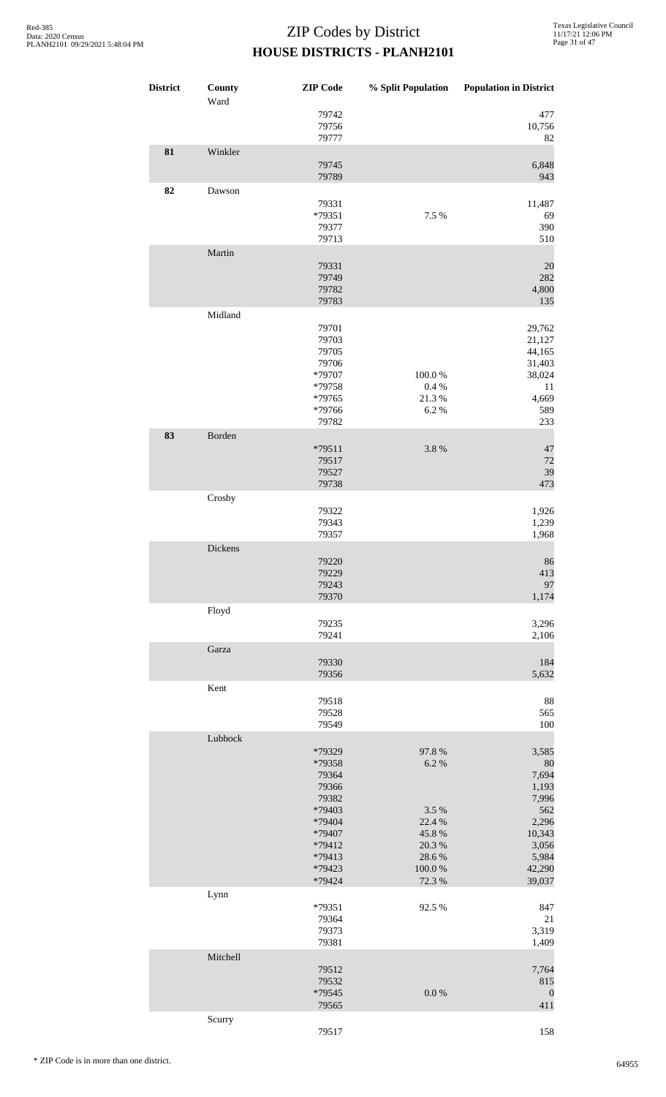| <b>District</b> | County<br>Ward | <b>ZIP</b> Code                                                                                                   |                                                                                          | % Split Population Population in District                                                              |
|-----------------|----------------|-------------------------------------------------------------------------------------------------------------------|------------------------------------------------------------------------------------------|--------------------------------------------------------------------------------------------------------|
|                 |                | 79742<br>79756<br>79777                                                                                           |                                                                                          | 477<br>10,756<br>82                                                                                    |
| 81              | Winkler        | 79745<br>79789                                                                                                    |                                                                                          | 6,848<br>943                                                                                           |
| 82              | Dawson         | 79331<br>*79351<br>79377<br>79713                                                                                 | 7.5 %                                                                                    | 11,487<br>69<br>390<br>510                                                                             |
|                 | Martin         | 79331<br>79749<br>79782<br>79783                                                                                  |                                                                                          | 20<br>282<br>4,800<br>135                                                                              |
|                 | Midland        | 79701<br>79703<br>79705<br>79706<br>*79707<br>*79758<br>*79765<br>*79766<br>79782                                 | $100.0~\%$<br>0.4 %<br>21.3%<br>6.2%                                                     | 29,762<br>21,127<br>44,165<br>31,403<br>38,024<br>11<br>4,669<br>589<br>233                            |
| 83              | Borden         | *79511<br>79517<br>79527<br>79738                                                                                 | 3.8%                                                                                     | 47<br>72<br>39<br>473                                                                                  |
|                 | Crosby         | 79322<br>79343<br>79357                                                                                           |                                                                                          | 1,926<br>1,239<br>1,968                                                                                |
|                 | Dickens        | 79220<br>79229<br>79243<br>79370                                                                                  |                                                                                          | 86<br>413<br>97<br>1,174                                                                               |
|                 | Floyd          | 79235<br>79241                                                                                                    |                                                                                          | 3,296<br>2,106                                                                                         |
|                 | Garza          | 79330<br>79356                                                                                                    |                                                                                          | 184<br>5,632                                                                                           |
|                 | Kent           | 79518<br>79528<br>79549                                                                                           |                                                                                          | 88<br>565<br>100                                                                                       |
|                 | Lubbock        | *79329<br>*79358<br>79364<br>79366<br>79382<br>*79403<br>*79404<br>*79407<br>*79412<br>*79413<br>*79423<br>*79424 | 97.8%<br>6.2%<br>3.5 %<br>22.4 %<br>45.8 %<br>$20.3~\%$<br>28.6%<br>$100.0~\%$<br>72.3 % | 3,585<br>80<br>7,694<br>1,193<br>7,996<br>562<br>2,296<br>10,343<br>3,056<br>5,984<br>42,290<br>39,037 |
|                 | Lynn           | *79351<br>79364<br>79373<br>79381                                                                                 | 92.5 %                                                                                   | 847<br>$21\,$<br>3,319<br>1,409                                                                        |
|                 | Mitchell       | 79512<br>79532<br>*79545<br>79565                                                                                 | 0.0 %                                                                                    | 7,764<br>815<br>$\boldsymbol{0}$<br>411                                                                |
|                 | Scurry         | 79517                                                                                                             |                                                                                          | 158                                                                                                    |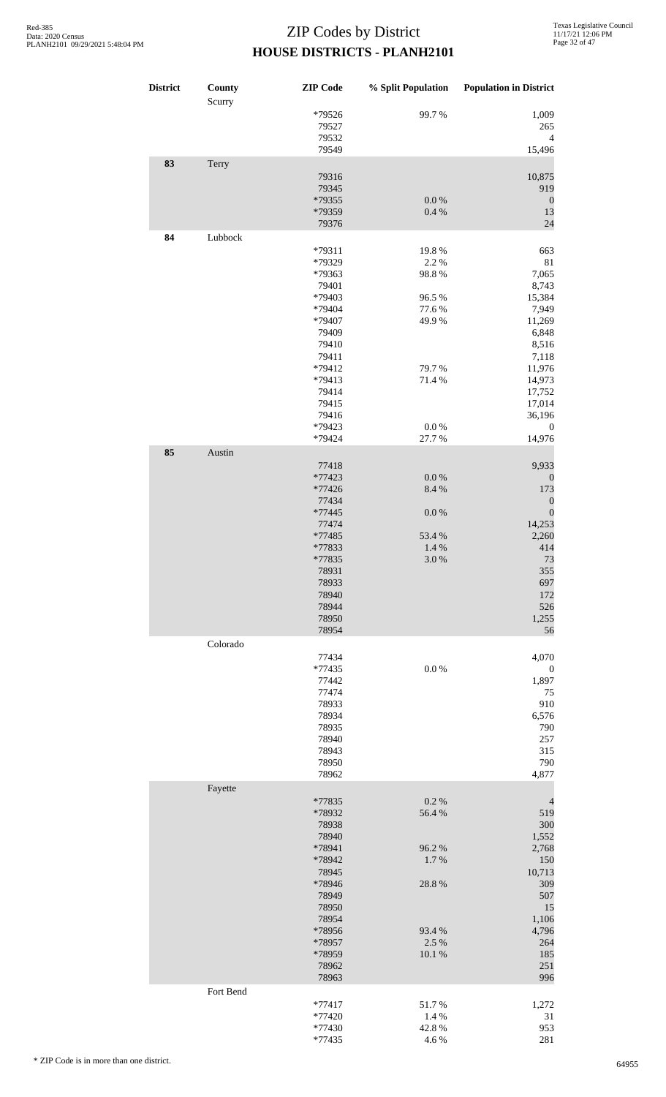| <b>District</b> | County<br>Scurry | <b>ZIP</b> Code                                                                                                                                                 | % Split Population                                                                           | <b>Population in District</b>                                                                                                                                       |
|-----------------|------------------|-----------------------------------------------------------------------------------------------------------------------------------------------------------------|----------------------------------------------------------------------------------------------|---------------------------------------------------------------------------------------------------------------------------------------------------------------------|
|                 |                  | *79526<br>79527<br>79532<br>79549                                                                                                                               | 99.7%                                                                                        | 1,009<br>265<br>$\overline{4}$<br>15,496                                                                                                                            |
| 83              | Terry            | 79316<br>79345                                                                                                                                                  |                                                                                              | 10,875<br>919                                                                                                                                                       |
|                 |                  | *79355<br>*79359<br>79376                                                                                                                                       | $0.0\ \%$<br>0.4%                                                                            | $\boldsymbol{0}$<br>13<br>24                                                                                                                                        |
| 84              | Lubbock          | *79311<br>*79329<br>*79363<br>79401<br>*79403<br>*79404<br>*79407<br>79409<br>79410<br>79411<br>*79412<br>*79413<br>79414<br>79415<br>79416<br>*79423<br>*79424 | 19.8 %<br>2.2 %<br>98.8%<br>96.5%<br>77.6%<br>49.9%<br>79.7%<br>71.4%<br>$0.0\ \%$<br>27.7 % | 663<br>81<br>7,065<br>8,743<br>15,384<br>7,949<br>11,269<br>6,848<br>8,516<br>7,118<br>11,976<br>14,973<br>17,752<br>17,014<br>36,196<br>$\boldsymbol{0}$<br>14,976 |
| 85              | Austin           | 77418<br>*77423<br>*77426<br>77434<br>*77445<br>77474<br>*77485<br>*77833<br>*77835<br>78931<br>78933<br>78940<br>78944<br>78950<br>78954                       | $0.0\ \%$<br>8.4 %<br>$0.0\ \%$<br>53.4 %<br>1.4 %<br>3.0%                                   | 9,933<br>$\boldsymbol{0}$<br>173<br>$\boldsymbol{0}$<br>$\boldsymbol{0}$<br>14,253<br>2,260<br>414<br>73<br>355<br>697<br>172<br>526<br>1,255<br>56                 |
|                 | Colorado         | 77434<br>$*77435$<br>77442<br>77474<br>78933<br>78934<br>78935<br>78940<br>78943<br>78950<br>78962                                                              | $0.0\ \%$                                                                                    | 4,070<br>$\boldsymbol{0}$<br>1,897<br>75<br>910<br>6,576<br>790<br>257<br>315<br>790<br>4,877                                                                       |
|                 | Fayette          | *77835<br>*78932<br>78938<br>78940<br>*78941<br>*78942<br>78945<br>*78946<br>78949<br>78950<br>78954<br>*78956<br>*78957<br>*78959<br>78962<br>78963            | 0.2 %<br>56.4%<br>96.2%<br>1.7%<br>28.8%<br>93.4 %<br>2.5 %<br>$10.1~\%$                     | $\overline{4}$<br>519<br>300<br>1,552<br>2,768<br>150<br>10,713<br>309<br>507<br>15<br>1,106<br>4,796<br>264<br>185<br>251<br>996                                   |
|                 | Fort Bend        | $*77417$<br>*77420<br>*77430<br>$*77435$                                                                                                                        | 51.7%<br>1.4 %<br>42.8%<br>4.6 %                                                             | 1,272<br>31<br>953<br>281                                                                                                                                           |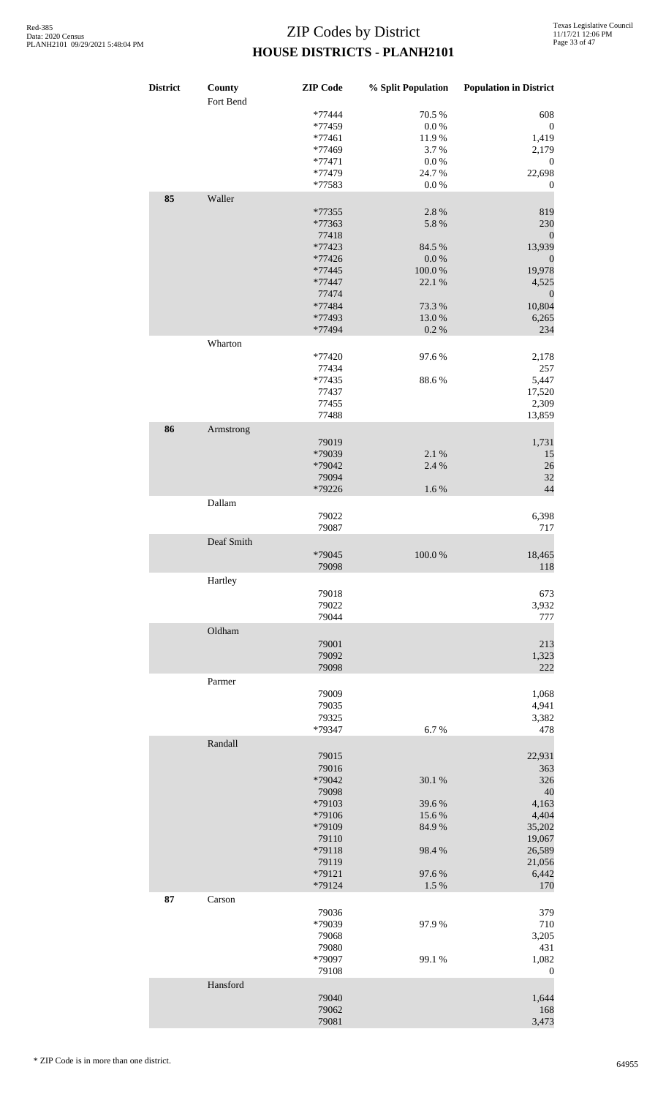| <b>District</b> | County<br>Fort Bend | <b>ZIP</b> Code                                                                                                 | % Split Population                                           | <b>Population in District</b>                                                                        |
|-----------------|---------------------|-----------------------------------------------------------------------------------------------------------------|--------------------------------------------------------------|------------------------------------------------------------------------------------------------------|
|                 |                     | *77444<br>*77459<br>$*77461$<br>*77469<br>$*77471$<br>*77479                                                    | 70.5 %<br>$0.0\ \%$<br>11.9%<br>3.7%<br>$0.0\ \%$<br>24.7%   | 608<br>$\boldsymbol{0}$<br>1,419<br>2,179<br>$\boldsymbol{0}$<br>22,698                              |
| 85              | Waller              | *77583<br>*77355<br>*77363<br>77418<br>*77423<br>*77426                                                         | $0.0\ \%$<br>2.8%<br>5.8 %<br>84.5 %<br>$0.0\ \%$            | $\boldsymbol{0}$<br>819<br>230<br>$\boldsymbol{0}$<br>13,939<br>$\boldsymbol{0}$                     |
|                 |                     | *77445<br>*77447<br>77474<br>*77484<br>*77493<br>*77494                                                         | 100.0%<br>22.1 %<br>73.3 %<br>13.0%<br>$0.2~\%$              | 19,978<br>4,525<br>$\boldsymbol{0}$<br>10,804<br>6,265<br>234                                        |
|                 | Wharton             | *77420<br>77434<br>*77435<br>77437<br>77455                                                                     | 97.6%<br>88.6%                                               | 2,178<br>257<br>5,447<br>17,520<br>2,309                                                             |
| 86              | Armstrong           | 77488<br>79019<br>*79039<br>*79042<br>79094<br>*79226                                                           | 2.1 %<br>2.4 %<br>1.6 %                                      | 13,859<br>1,731<br>15<br>26<br>32<br>44                                                              |
|                 | Dallam              | 79022<br>79087                                                                                                  |                                                              | 6,398<br>717                                                                                         |
|                 | Deaf Smith          | *79045<br>79098                                                                                                 | 100.0%                                                       | 18,465<br>118                                                                                        |
|                 | Hartley             | 79018<br>79022<br>79044                                                                                         |                                                              | 673<br>3,932<br>777                                                                                  |
|                 | Oldham              | 79001<br>79092<br>79098                                                                                         |                                                              | 213<br>1,323<br>222                                                                                  |
|                 | Parmer              | 79009<br>79035<br>79325<br>*79347                                                                               | 6.7%                                                         | 1,068<br>4,941<br>3,382<br>478                                                                       |
|                 | Randall             | 79015<br>79016<br>*79042<br>79098<br>*79103<br>*79106<br>*79109<br>79110<br>*79118<br>79119<br>*79121<br>*79124 | 30.1 %<br>39.6%<br>15.6%<br>84.9%<br>98.4%<br>97.6%<br>1.5 % | 22,931<br>363<br>326<br>40<br>4,163<br>4,404<br>35,202<br>19,067<br>26,589<br>21,056<br>6,442<br>170 |
| 87              | Carson              | 79036<br>*79039<br>79068<br>79080<br>*79097                                                                     | 97.9%<br>99.1 %                                              | 379<br>710<br>3,205<br>431<br>1,082                                                                  |
|                 | Hansford            | 79108<br>79040<br>79062<br>79081                                                                                |                                                              | $\boldsymbol{0}$<br>1,644<br>168<br>3,473                                                            |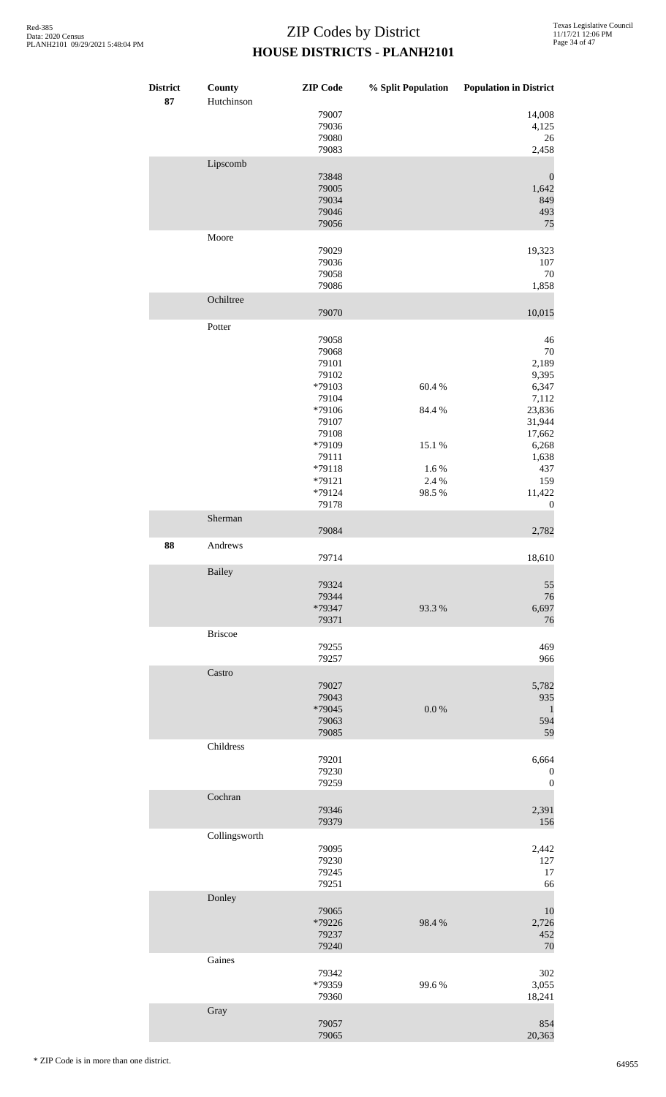| <b>District</b><br>87 | County<br>Hutchinson | <b>ZIP</b> Code | % Split Population | <b>Population in District</b> |
|-----------------------|----------------------|-----------------|--------------------|-------------------------------|
|                       |                      | 79007           |                    | 14,008                        |
|                       |                      | 79036<br>79080  |                    | 4,125<br>26                   |
|                       |                      | 79083           |                    | 2,458                         |
|                       |                      |                 |                    |                               |
|                       | Lipscomb             |                 |                    |                               |
|                       |                      | 73848<br>79005  |                    | $\boldsymbol{0}$<br>1,642     |
|                       |                      | 79034           |                    | 849                           |
|                       |                      | 79046           |                    | 493                           |
|                       |                      | 79056           |                    | 75                            |
|                       | Moore                |                 |                    |                               |
|                       |                      | 79029           |                    | 19,323                        |
|                       |                      | 79036           |                    | 107                           |
|                       |                      | 79058           |                    | 70                            |
|                       |                      | 79086           |                    | 1,858                         |
|                       | Ochiltree            |                 |                    |                               |
|                       |                      | 79070           |                    | 10,015                        |
|                       | Potter               |                 |                    |                               |
|                       |                      | 79058           |                    | $46\,$                        |
|                       |                      | 79068           |                    | 70                            |
|                       |                      | 79101           |                    | 2,189                         |
|                       |                      | 79102           |                    | 9,395                         |
|                       |                      | *79103          | 60.4%              | 6,347                         |
|                       |                      | 79104           |                    | 7,112                         |
|                       |                      | *79106          | 84.4 %             | 23,836                        |
|                       |                      | 79107           |                    | 31,944                        |
|                       |                      | 79108           |                    | 17,662                        |
|                       |                      | *79109          | 15.1 %             | 6,268                         |
|                       |                      | 79111           |                    | 1,638                         |
|                       |                      | *79118          | 1.6%               | 437                           |
|                       |                      | $*79121$        | 2.4 %              | 159                           |
|                       |                      | *79124          | 98.5%              | 11,422                        |
|                       |                      | 79178           |                    | $\boldsymbol{0}$              |
|                       | Sherman              |                 |                    |                               |
|                       |                      | 79084           |                    | 2,782                         |
| 88                    | Andrews              |                 |                    |                               |
|                       |                      | 79714           |                    | 18,610                        |
|                       | <b>Bailey</b>        |                 |                    |                               |
|                       |                      | 79324           |                    | 55                            |
|                       |                      | 79344           |                    | 76                            |
|                       |                      | *79347          | 93.3%              | 6,697                         |
|                       |                      | 79371           |                    | 76                            |
|                       | <b>Briscoe</b>       |                 |                    |                               |
|                       |                      | 79255           |                    | 469                           |
|                       |                      | 79257           |                    | 966                           |
|                       | Castro               |                 |                    |                               |
|                       |                      | 79027           |                    | 5,782                         |
|                       |                      | 79043           |                    | 935                           |
|                       |                      | *79045          | 0.0 %              | $\mathbf{1}$                  |
|                       |                      | 79063           |                    | 594                           |
|                       |                      | 79085           |                    | 59                            |
|                       | Childress            |                 |                    |                               |
|                       |                      | 79201           |                    | 6,664                         |
|                       |                      | 79230           |                    | $\boldsymbol{0}$              |
|                       |                      | 79259           |                    | $\boldsymbol{0}$              |
|                       | Cochran              |                 |                    |                               |
|                       |                      | 79346           |                    | 2,391                         |
|                       |                      | 79379           |                    | 156                           |
|                       | Collingsworth        |                 |                    |                               |
|                       |                      | 79095           |                    | 2,442                         |
|                       |                      | 79230           |                    | 127                           |
|                       |                      | 79245           |                    | 17                            |
|                       |                      | 79251           |                    | 66                            |
|                       | Donley               |                 |                    |                               |
|                       |                      |                 |                    |                               |
|                       |                      | 79065<br>*79226 | 98.4%              | 10<br>2,726                   |
|                       |                      | 79237           |                    | 452                           |
|                       |                      | 79240           |                    | 70                            |
|                       | Gaines               |                 |                    |                               |
|                       |                      |                 |                    |                               |
|                       |                      | 79342<br>*79359 | 99.6%              | 302                           |
|                       |                      | 79360           |                    | 3,055<br>18,241               |
|                       |                      |                 |                    |                               |
|                       | Gray                 |                 |                    |                               |
|                       |                      | 79057<br>79065  |                    | 854<br>20,363                 |
|                       |                      |                 |                    |                               |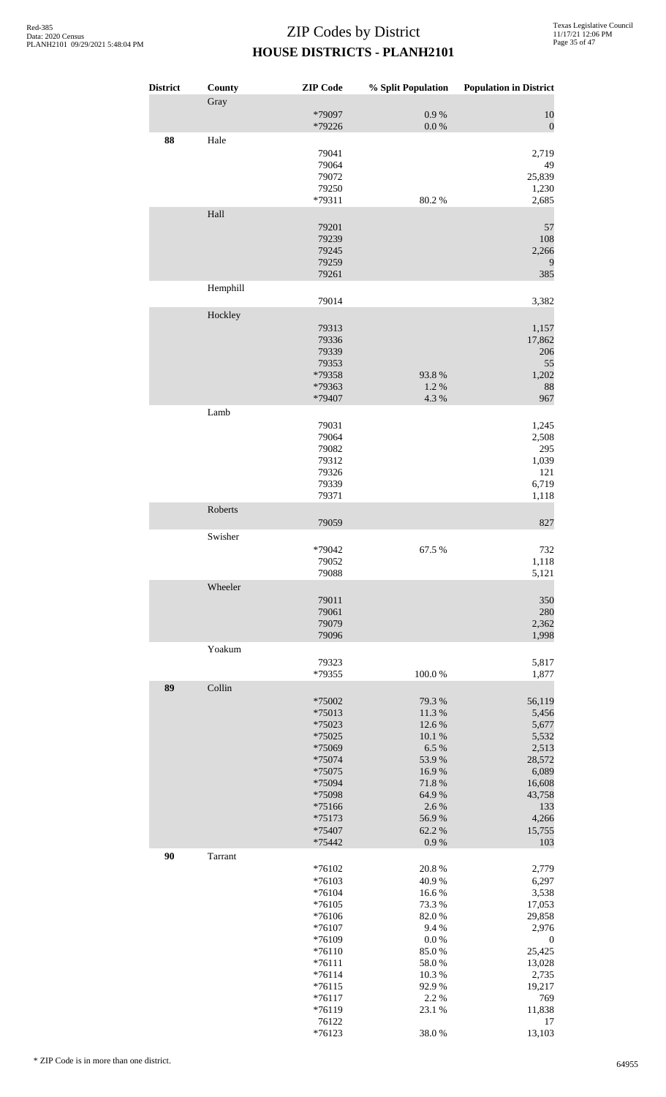| <b>District</b> | County   | <b>ZIP Code</b>    | % Split Population | <b>Population in District</b> |
|-----------------|----------|--------------------|--------------------|-------------------------------|
|                 | Gray     |                    |                    |                               |
|                 |          | *79097             | 0.9 %              | 10                            |
|                 |          | *79226             | $0.0\ \%$          | $\boldsymbol{0}$              |
| 88              | Hale     |                    |                    |                               |
|                 |          | 79041              |                    | 2,719                         |
|                 |          | 79064              |                    | 49                            |
|                 |          | 79072<br>79250     |                    | 25,839                        |
|                 |          | *79311             | 80.2%              | 1,230<br>2,685                |
|                 | Hall     |                    |                    |                               |
|                 |          | 79201              |                    | 57                            |
|                 |          | 79239              |                    | 108                           |
|                 |          | 79245              |                    | 2,266                         |
|                 |          | 79259              |                    | 9                             |
|                 |          | 79261              |                    | 385                           |
|                 | Hemphill |                    |                    |                               |
|                 |          | 79014              |                    | 3,382                         |
|                 | Hockley  |                    |                    |                               |
|                 |          | 79313              |                    | 1,157                         |
|                 |          | 79336              |                    | 17,862                        |
|                 |          | 79339              |                    | 206                           |
|                 |          | 79353              |                    | 55                            |
|                 |          | *79358             | 93.8%              | 1,202                         |
|                 |          | *79363             | 1.2%               | 88                            |
|                 |          | *79407             | 4.3 %              | 967                           |
|                 | Lamb     |                    |                    |                               |
|                 |          | 79031              |                    | 1,245                         |
|                 |          | 79064              |                    | 2,508                         |
|                 |          | 79082              |                    | 295                           |
|                 |          | 79312              |                    | 1,039                         |
|                 |          | 79326              |                    | 121                           |
|                 |          | 79339<br>79371     |                    | 6,719<br>1,118                |
|                 | Roberts  |                    |                    |                               |
|                 |          | 79059              |                    | 827                           |
|                 | Swisher  |                    |                    |                               |
|                 |          | *79042             | 67.5 %             | 732                           |
|                 |          | 79052              |                    | 1,118                         |
|                 |          | 79088              |                    | 5,121                         |
|                 | Wheeler  |                    |                    |                               |
|                 |          | 79011              |                    | 350                           |
|                 |          | 79061              |                    | 280                           |
|                 |          | 79079              |                    | 2,362                         |
|                 |          | 79096              |                    | 1,998                         |
|                 | Yoakum   |                    |                    |                               |
|                 |          | 79323              |                    | 5,817                         |
|                 |          | *79355             | 100.0%             | 1,877                         |
| 89              | Collin   |                    |                    |                               |
|                 |          | *75002             | 79.3 %             | 56,119                        |
|                 |          | *75013             | 11.3 %             | 5,456                         |
|                 |          | *75023             | 12.6 %             | 5,677                         |
|                 |          | *75025             | 10.1 %             | 5,532                         |
|                 |          | *75069             | 6.5 %              | 2,513                         |
|                 |          | *75074             | 53.9%              | 28,572                        |
|                 |          | *75075             | 16.9%              | 6,089                         |
|                 |          | *75094             | 71.8 %             | 16,608                        |
|                 |          | *75098             | 64.9%              | 43,758                        |
|                 |          | *75166             | 2.6 %              | 133                           |
|                 |          | $*75173$           | 56.9%<br>62.2%     | 4,266                         |
|                 |          | *75407<br>*75442   | 0.9 %              | 15,755<br>103                 |
| 90              |          |                    |                    |                               |
|                 | Tarrant  |                    |                    |                               |
|                 |          | *76102<br>$*76103$ | 20.8%<br>40.9%     | 2,779<br>6,297                |
|                 |          | $*76104$           | 16.6%              | 3,538                         |
|                 |          | $*76105$           | 73.3 %             | 17,053                        |
|                 |          | *76106             | 82.0%              | 29,858                        |
|                 |          | *76107             | 9.4%               | 2,976                         |
|                 |          | *76109             | 0.0 %              | $\boldsymbol{0}$              |
|                 |          | $*76110$           | 85.0%              | 25,425                        |
|                 |          | $*76111$           | 58.0%              | 13,028                        |
|                 |          | $*76114$           | 10.3%              | 2,735                         |
|                 |          | $*76115$           | 92.9%              | 19,217                        |
|                 |          | $*76117$           | 2.2 %              | 769                           |
|                 |          | *76119             | 23.1 %             | 11,838                        |
|                 |          | 76122<br>$*76123$  | 38.0%              | 17<br>13,103                  |
|                 |          |                    |                    |                               |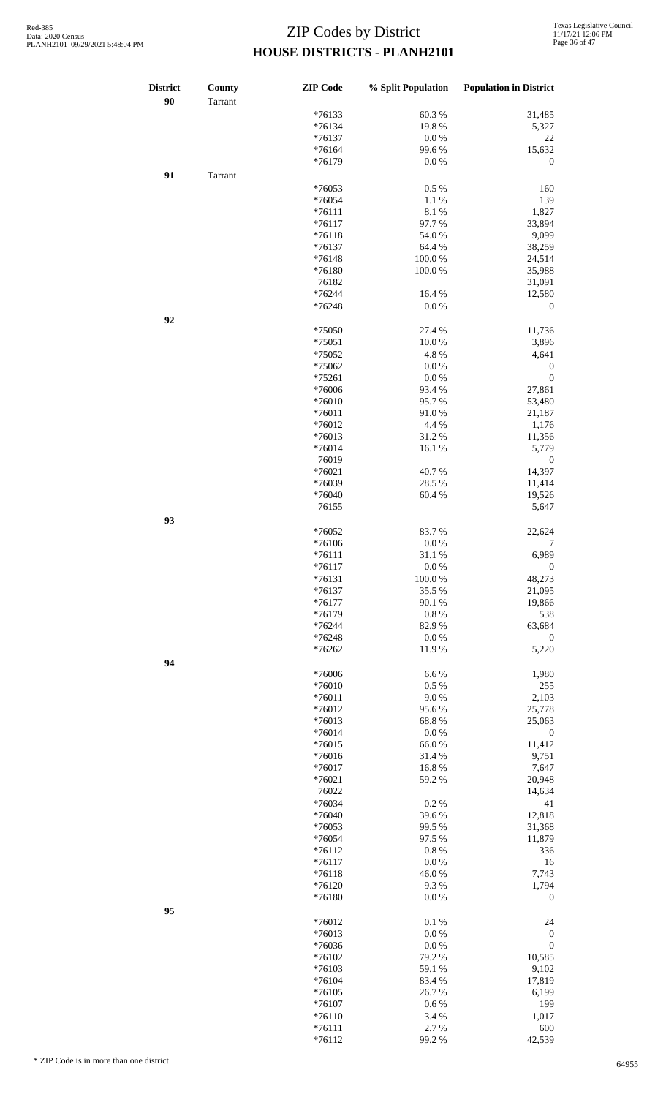| <b>District</b><br>90 | County<br>Tarrant | <b>ZIP</b> Code | % Split Population | <b>Population in District</b> |
|-----------------------|-------------------|-----------------|--------------------|-------------------------------|
|                       |                   | $*76133$        | 60.3%              | 31,485                        |
|                       |                   |                 |                    |                               |
|                       |                   | $*76134$        | 19.8%              | 5,327                         |
|                       |                   | $*76137$        | 0.0 %              | 22                            |
|                       |                   | $*76164$        | 99.6%              | 15,632                        |
|                       |                   | *76179          | 0.0 %              | $\boldsymbol{0}$              |
| 91                    | Tarrant           |                 |                    |                               |
|                       |                   | $*76053$        | 0.5 %              | 160                           |
|                       |                   | $*76054$        | 1.1%               | 139                           |
|                       |                   | $*76111$        | 8.1%               | 1,827                         |
|                       |                   | $*76117$        | 97.7%              | 33,894                        |
|                       |                   | $*76118$        | 54.0%              | 9,099                         |
|                       |                   | $*76137$        | 64.4 %             | 38,259                        |
|                       |                   |                 |                    |                               |
|                       |                   | $*76148$        | 100.0%             | 24,514                        |
|                       |                   | *76180          | 100.0%             | 35,988                        |
|                       |                   | 76182           |                    | 31,091                        |
|                       |                   | *76244          | 16.4 %             | 12,580                        |
|                       |                   | $*76248$        | 0.0 %              | $\boldsymbol{0}$              |
| 92                    |                   |                 |                    |                               |
|                       |                   | *75050          | 27.4 %             | 11,736                        |
|                       |                   | $*75051$        | 10.0%              | 3,896                         |
|                       |                   | *75052          | 4.8%               | 4,641                         |
|                       |                   | *75062          | 0.0 %              |                               |
|                       |                   |                 |                    | $\boldsymbol{0}$              |
|                       |                   | *75261          | $0.0\ \%$          | $\boldsymbol{0}$              |
|                       |                   | *76006          | 93.4%              | 27,861                        |
|                       |                   | *76010          | 95.7%              | 53,480                        |
|                       |                   | $*76011$        | 91.0%              | 21,187                        |
|                       |                   | *76012          | 4.4 %              | 1,176                         |
|                       |                   | $*76013$        | 31.2%              | 11,356                        |
|                       |                   | $*76014$        | 16.1%              | 5,779                         |
|                       |                   | 76019           |                    | $\boldsymbol{0}$              |
|                       |                   |                 |                    |                               |
|                       |                   | $*76021$        | 40.7%              | 14,397                        |
|                       |                   | *76039          | 28.5 %             | 11,414                        |
|                       |                   | *76040          | 60.4%              | 19,526                        |
|                       |                   | 76155           |                    | 5,647                         |
| 93                    |                   |                 |                    |                               |
|                       |                   | *76052          | 83.7%              | 22,624                        |
|                       |                   | *76106          | 0.0 %              | 7                             |
|                       |                   | $*76111$        | 31.1%              | 6,989                         |
|                       |                   |                 |                    |                               |
|                       |                   | $*76117$        | 0.0 %              | $\boldsymbol{0}$              |
|                       |                   | *76131          | 100.0%             | 48,273                        |
|                       |                   | $*76137$        | 35.5 %             | 21,095                        |
|                       |                   | $*76177$        | 90.1 %             | 19,866                        |
|                       |                   | $*76179$        | 0.8%               | 538                           |
|                       |                   | *76244          | 82.9%              | 63,684                        |
|                       |                   | $*76248$        | 0.0 %              | $\boldsymbol{0}$              |
|                       |                   | *76262          | 11.9 %             | 5,220                         |
|                       |                   |                 |                    |                               |
| 94                    |                   |                 |                    |                               |
|                       |                   | *76006          | 6.6%               | 1,980                         |
|                       |                   | *76010          | $0.5\ \%$          | 255                           |
|                       |                   | *76011          | 9.0%               | 2,103                         |
|                       |                   | $*76012$        | 95.6%              | 25,778                        |
|                       |                   | $*76013$        | 68.8%              | 25,063                        |
|                       |                   | $*76014$        | $0.0\ \%$          | $\boldsymbol{0}$              |
|                       |                   | $*76015$        | 66.0%              | 11,412                        |
|                       |                   | *76016          | 31.4%              | 9,751                         |
|                       |                   |                 |                    |                               |
|                       |                   | $*76017$        | 16.8%              | 7,647                         |
|                       |                   | $*76021$        | 59.2 %             | 20,948                        |
|                       |                   | 76022           |                    | 14,634                        |
|                       |                   | *76034          | 0.2%               | 41                            |
|                       |                   | *76040          | 39.6%              | 12,818                        |
|                       |                   | $*76053$        | 99.5 %             | 31,368                        |
|                       |                   | *76054          | 97.5 %             | 11,879                        |
|                       |                   | $*76112$        | 0.8 %              | 336                           |
|                       |                   | $*76117$        | 0.0 %              | 16                            |
|                       |                   | $*76118$        | 46.0%              | 7,743                         |
|                       |                   |                 |                    |                               |
|                       |                   | *76120          | 9.3%               | 1,794                         |
|                       |                   | *76180          | 0.0 %              | $\boldsymbol{0}$              |
| 95                    |                   |                 |                    |                               |
|                       |                   | $*76012$        | 0.1 %              | 24                            |
|                       |                   | $*76013$        | 0.0 %              | $\boldsymbol{0}$              |
|                       |                   | *76036          | $0.0\ \%$          | $\boldsymbol{0}$              |
|                       |                   | *76102          | 79.2 %             | 10,585                        |
|                       |                   | $*76103$        | 59.1 %             | 9,102                         |
|                       |                   |                 |                    |                               |
|                       |                   | *76104          | 83.4%              | 17,819                        |
|                       |                   | $*76105$        | 26.7%              | 6,199                         |
|                       |                   | *76107          | 0.6 %              | 199                           |
|                       |                   | $*76110$        | 3.4 %              | 1,017                         |
|                       |                   | $*76111$        | 2.7%               | 600                           |
|                       |                   | $*76112$        | 99.2 %             | 42,539                        |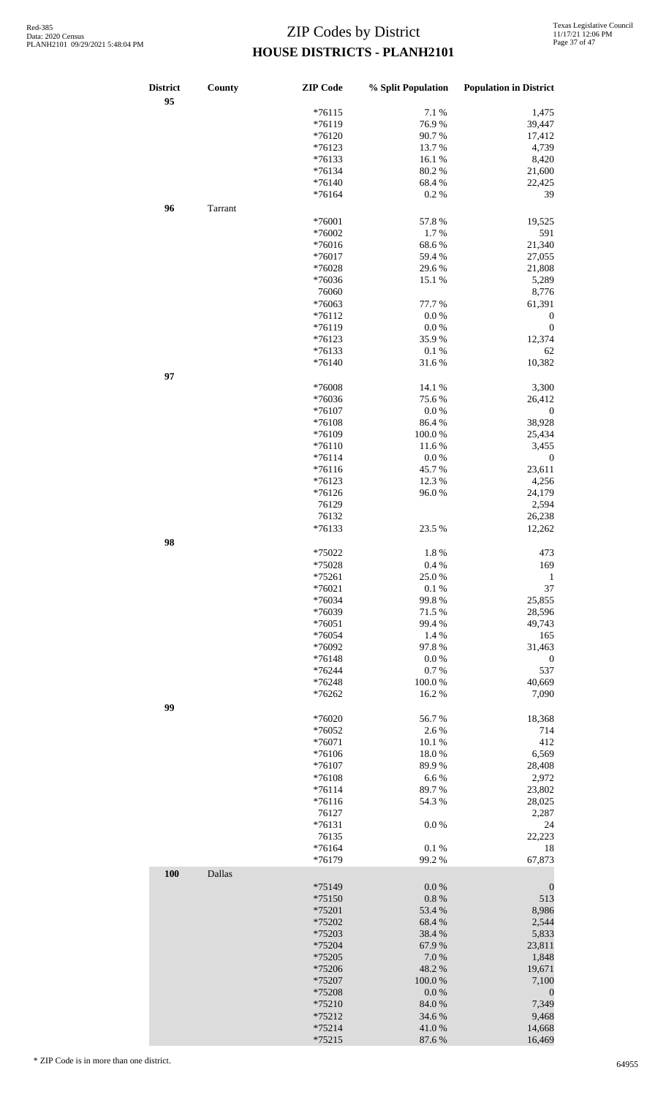| $*76115$<br>7.1 %<br>76.9%<br>$*76119$<br>*76120<br>90.7%<br>$*76123$<br>13.7%<br>$*76133$<br>16.1%<br>80.2%<br>$*76134$<br>68.4%<br>$*76140$<br>$*76164$<br>0.2%<br>96<br>Tarrant<br>*76001<br>57.8%<br>*76002<br>1.7%<br>$*76016$<br>68.6%<br>$*76017$<br>59.4 %<br>*76028<br>29.6%<br>*76036<br>15.1 %<br>76060<br>*76063<br>77.7 %<br>$*76112$<br>0.0 %<br>0.0 %<br>$*76119$<br>35.9%<br>$*76123$<br>*76133<br>0.1%<br>$*76140$<br>31.6%<br>97<br>*76008<br>14.1 %<br>*76036<br>75.6%<br>$*76107$<br>0.0 %<br>*76108<br>86.4%<br>*76109<br>100.0%<br>$*76110$<br>11.6 %<br>$*76114$<br>$0.0\ \%$<br>$*76116$<br>45.7%<br>$*76123$<br>12.3 %<br>$*76126$<br>96.0%<br>76129<br>76132<br>$*76133$<br>23.5 %<br>98 | 1,475<br>39,447<br>17,412<br>4,739<br>8,420<br>21,600<br>22,425<br>39<br>19,525<br>591<br>21,340<br>27,055<br>21,808<br>5,289<br>8,776<br>61,391<br>$\boldsymbol{0}$<br>$\boldsymbol{0}$<br>12,374<br>62<br>10,382<br>3,300<br>26,412<br>$\boldsymbol{0}$<br>38,928<br>25,434 |
|--------------------------------------------------------------------------------------------------------------------------------------------------------------------------------------------------------------------------------------------------------------------------------------------------------------------------------------------------------------------------------------------------------------------------------------------------------------------------------------------------------------------------------------------------------------------------------------------------------------------------------------------------------------------------------------------------------------------|-------------------------------------------------------------------------------------------------------------------------------------------------------------------------------------------------------------------------------------------------------------------------------|
|                                                                                                                                                                                                                                                                                                                                                                                                                                                                                                                                                                                                                                                                                                                    |                                                                                                                                                                                                                                                                               |
|                                                                                                                                                                                                                                                                                                                                                                                                                                                                                                                                                                                                                                                                                                                    |                                                                                                                                                                                                                                                                               |
|                                                                                                                                                                                                                                                                                                                                                                                                                                                                                                                                                                                                                                                                                                                    |                                                                                                                                                                                                                                                                               |
|                                                                                                                                                                                                                                                                                                                                                                                                                                                                                                                                                                                                                                                                                                                    |                                                                                                                                                                                                                                                                               |
|                                                                                                                                                                                                                                                                                                                                                                                                                                                                                                                                                                                                                                                                                                                    |                                                                                                                                                                                                                                                                               |
|                                                                                                                                                                                                                                                                                                                                                                                                                                                                                                                                                                                                                                                                                                                    |                                                                                                                                                                                                                                                                               |
|                                                                                                                                                                                                                                                                                                                                                                                                                                                                                                                                                                                                                                                                                                                    |                                                                                                                                                                                                                                                                               |
|                                                                                                                                                                                                                                                                                                                                                                                                                                                                                                                                                                                                                                                                                                                    |                                                                                                                                                                                                                                                                               |
|                                                                                                                                                                                                                                                                                                                                                                                                                                                                                                                                                                                                                                                                                                                    |                                                                                                                                                                                                                                                                               |
|                                                                                                                                                                                                                                                                                                                                                                                                                                                                                                                                                                                                                                                                                                                    |                                                                                                                                                                                                                                                                               |
|                                                                                                                                                                                                                                                                                                                                                                                                                                                                                                                                                                                                                                                                                                                    |                                                                                                                                                                                                                                                                               |
|                                                                                                                                                                                                                                                                                                                                                                                                                                                                                                                                                                                                                                                                                                                    |                                                                                                                                                                                                                                                                               |
|                                                                                                                                                                                                                                                                                                                                                                                                                                                                                                                                                                                                                                                                                                                    |                                                                                                                                                                                                                                                                               |
|                                                                                                                                                                                                                                                                                                                                                                                                                                                                                                                                                                                                                                                                                                                    |                                                                                                                                                                                                                                                                               |
|                                                                                                                                                                                                                                                                                                                                                                                                                                                                                                                                                                                                                                                                                                                    |                                                                                                                                                                                                                                                                               |
|                                                                                                                                                                                                                                                                                                                                                                                                                                                                                                                                                                                                                                                                                                                    |                                                                                                                                                                                                                                                                               |
|                                                                                                                                                                                                                                                                                                                                                                                                                                                                                                                                                                                                                                                                                                                    |                                                                                                                                                                                                                                                                               |
|                                                                                                                                                                                                                                                                                                                                                                                                                                                                                                                                                                                                                                                                                                                    |                                                                                                                                                                                                                                                                               |
|                                                                                                                                                                                                                                                                                                                                                                                                                                                                                                                                                                                                                                                                                                                    |                                                                                                                                                                                                                                                                               |
|                                                                                                                                                                                                                                                                                                                                                                                                                                                                                                                                                                                                                                                                                                                    |                                                                                                                                                                                                                                                                               |
|                                                                                                                                                                                                                                                                                                                                                                                                                                                                                                                                                                                                                                                                                                                    |                                                                                                                                                                                                                                                                               |
|                                                                                                                                                                                                                                                                                                                                                                                                                                                                                                                                                                                                                                                                                                                    |                                                                                                                                                                                                                                                                               |
|                                                                                                                                                                                                                                                                                                                                                                                                                                                                                                                                                                                                                                                                                                                    |                                                                                                                                                                                                                                                                               |
|                                                                                                                                                                                                                                                                                                                                                                                                                                                                                                                                                                                                                                                                                                                    |                                                                                                                                                                                                                                                                               |
|                                                                                                                                                                                                                                                                                                                                                                                                                                                                                                                                                                                                                                                                                                                    |                                                                                                                                                                                                                                                                               |
|                                                                                                                                                                                                                                                                                                                                                                                                                                                                                                                                                                                                                                                                                                                    |                                                                                                                                                                                                                                                                               |
|                                                                                                                                                                                                                                                                                                                                                                                                                                                                                                                                                                                                                                                                                                                    |                                                                                                                                                                                                                                                                               |
|                                                                                                                                                                                                                                                                                                                                                                                                                                                                                                                                                                                                                                                                                                                    |                                                                                                                                                                                                                                                                               |
|                                                                                                                                                                                                                                                                                                                                                                                                                                                                                                                                                                                                                                                                                                                    |                                                                                                                                                                                                                                                                               |
|                                                                                                                                                                                                                                                                                                                                                                                                                                                                                                                                                                                                                                                                                                                    | 3,455                                                                                                                                                                                                                                                                         |
|                                                                                                                                                                                                                                                                                                                                                                                                                                                                                                                                                                                                                                                                                                                    | $\boldsymbol{0}$                                                                                                                                                                                                                                                              |
|                                                                                                                                                                                                                                                                                                                                                                                                                                                                                                                                                                                                                                                                                                                    | 23,611                                                                                                                                                                                                                                                                        |
|                                                                                                                                                                                                                                                                                                                                                                                                                                                                                                                                                                                                                                                                                                                    | 4,256                                                                                                                                                                                                                                                                         |
|                                                                                                                                                                                                                                                                                                                                                                                                                                                                                                                                                                                                                                                                                                                    | 24,179                                                                                                                                                                                                                                                                        |
|                                                                                                                                                                                                                                                                                                                                                                                                                                                                                                                                                                                                                                                                                                                    | 2,594                                                                                                                                                                                                                                                                         |
|                                                                                                                                                                                                                                                                                                                                                                                                                                                                                                                                                                                                                                                                                                                    | 26,238                                                                                                                                                                                                                                                                        |
|                                                                                                                                                                                                                                                                                                                                                                                                                                                                                                                                                                                                                                                                                                                    | 12,262                                                                                                                                                                                                                                                                        |
|                                                                                                                                                                                                                                                                                                                                                                                                                                                                                                                                                                                                                                                                                                                    |                                                                                                                                                                                                                                                                               |
| *75022<br>1.8%                                                                                                                                                                                                                                                                                                                                                                                                                                                                                                                                                                                                                                                                                                     | 473                                                                                                                                                                                                                                                                           |
| $*75028$<br>$0.4\%$                                                                                                                                                                                                                                                                                                                                                                                                                                                                                                                                                                                                                                                                                                | 169                                                                                                                                                                                                                                                                           |
| $*75261$<br>25.0%                                                                                                                                                                                                                                                                                                                                                                                                                                                                                                                                                                                                                                                                                                  | $\mathbf{1}$                                                                                                                                                                                                                                                                  |
| $*76021$<br>$0.1~\%$                                                                                                                                                                                                                                                                                                                                                                                                                                                                                                                                                                                                                                                                                               | 37                                                                                                                                                                                                                                                                            |
| *76034<br>99.8%                                                                                                                                                                                                                                                                                                                                                                                                                                                                                                                                                                                                                                                                                                    | 25,855                                                                                                                                                                                                                                                                        |
| *76039<br>71.5 %                                                                                                                                                                                                                                                                                                                                                                                                                                                                                                                                                                                                                                                                                                   | 28,596                                                                                                                                                                                                                                                                        |
| $*76051$<br>99.4%                                                                                                                                                                                                                                                                                                                                                                                                                                                                                                                                                                                                                                                                                                  | 49,743                                                                                                                                                                                                                                                                        |
| 1.4 %<br>*76054                                                                                                                                                                                                                                                                                                                                                                                                                                                                                                                                                                                                                                                                                                    | 165                                                                                                                                                                                                                                                                           |
| 97.8%<br>*76092                                                                                                                                                                                                                                                                                                                                                                                                                                                                                                                                                                                                                                                                                                    | 31,463                                                                                                                                                                                                                                                                        |
| $*76148$<br>0.0 %                                                                                                                                                                                                                                                                                                                                                                                                                                                                                                                                                                                                                                                                                                  | $\boldsymbol{0}$                                                                                                                                                                                                                                                              |
| *76244<br>0.7%                                                                                                                                                                                                                                                                                                                                                                                                                                                                                                                                                                                                                                                                                                     | 537                                                                                                                                                                                                                                                                           |
| *76248<br>100.0%                                                                                                                                                                                                                                                                                                                                                                                                                                                                                                                                                                                                                                                                                                   | 40,669                                                                                                                                                                                                                                                                        |
| *76262<br>16.2%                                                                                                                                                                                                                                                                                                                                                                                                                                                                                                                                                                                                                                                                                                    | 7,090                                                                                                                                                                                                                                                                         |
| 99                                                                                                                                                                                                                                                                                                                                                                                                                                                                                                                                                                                                                                                                                                                 |                                                                                                                                                                                                                                                                               |
| *76020<br>56.7%                                                                                                                                                                                                                                                                                                                                                                                                                                                                                                                                                                                                                                                                                                    | 18,368                                                                                                                                                                                                                                                                        |
| *76052<br>2.6 %                                                                                                                                                                                                                                                                                                                                                                                                                                                                                                                                                                                                                                                                                                    | 714                                                                                                                                                                                                                                                                           |
| *76071<br>10.1 %                                                                                                                                                                                                                                                                                                                                                                                                                                                                                                                                                                                                                                                                                                   | 412                                                                                                                                                                                                                                                                           |
| *76106<br>18.0%                                                                                                                                                                                                                                                                                                                                                                                                                                                                                                                                                                                                                                                                                                    | 6,569                                                                                                                                                                                                                                                                         |
| 89.9%<br>$*76107$                                                                                                                                                                                                                                                                                                                                                                                                                                                                                                                                                                                                                                                                                                  | 28,408                                                                                                                                                                                                                                                                        |
|                                                                                                                                                                                                                                                                                                                                                                                                                                                                                                                                                                                                                                                                                                                    |                                                                                                                                                                                                                                                                               |
| 6.6%<br>*76108                                                                                                                                                                                                                                                                                                                                                                                                                                                                                                                                                                                                                                                                                                     | 2,972                                                                                                                                                                                                                                                                         |
| $*76114$<br>89.7%                                                                                                                                                                                                                                                                                                                                                                                                                                                                                                                                                                                                                                                                                                  | 23,802                                                                                                                                                                                                                                                                        |
| $*76116$<br>54.3 %                                                                                                                                                                                                                                                                                                                                                                                                                                                                                                                                                                                                                                                                                                 | 28,025                                                                                                                                                                                                                                                                        |
| 76127                                                                                                                                                                                                                                                                                                                                                                                                                                                                                                                                                                                                                                                                                                              | 2,287                                                                                                                                                                                                                                                                         |
| $*76131$<br>$0.0\ \%$                                                                                                                                                                                                                                                                                                                                                                                                                                                                                                                                                                                                                                                                                              | 24                                                                                                                                                                                                                                                                            |
| 76135                                                                                                                                                                                                                                                                                                                                                                                                                                                                                                                                                                                                                                                                                                              | 22,223                                                                                                                                                                                                                                                                        |
| $*76164$<br>0.1%                                                                                                                                                                                                                                                                                                                                                                                                                                                                                                                                                                                                                                                                                                   | 18                                                                                                                                                                                                                                                                            |
| *76179<br>99.2 %                                                                                                                                                                                                                                                                                                                                                                                                                                                                                                                                                                                                                                                                                                   | 67,873                                                                                                                                                                                                                                                                        |
| 100<br>Dallas                                                                                                                                                                                                                                                                                                                                                                                                                                                                                                                                                                                                                                                                                                      |                                                                                                                                                                                                                                                                               |
| *75149<br>0.0 %                                                                                                                                                                                                                                                                                                                                                                                                                                                                                                                                                                                                                                                                                                    | $\boldsymbol{0}$                                                                                                                                                                                                                                                              |
| $*75150$<br>0.8%                                                                                                                                                                                                                                                                                                                                                                                                                                                                                                                                                                                                                                                                                                   | 513                                                                                                                                                                                                                                                                           |
| *75201<br>53.4 %                                                                                                                                                                                                                                                                                                                                                                                                                                                                                                                                                                                                                                                                                                   | 8,986                                                                                                                                                                                                                                                                         |
| 68.4%<br>*75202                                                                                                                                                                                                                                                                                                                                                                                                                                                                                                                                                                                                                                                                                                    | 2,544                                                                                                                                                                                                                                                                         |
| *75203<br>38.4%                                                                                                                                                                                                                                                                                                                                                                                                                                                                                                                                                                                                                                                                                                    | 5,833                                                                                                                                                                                                                                                                         |
| *75204<br>67.9%                                                                                                                                                                                                                                                                                                                                                                                                                                                                                                                                                                                                                                                                                                    | 23,811                                                                                                                                                                                                                                                                        |
| *75205<br>7.0%                                                                                                                                                                                                                                                                                                                                                                                                                                                                                                                                                                                                                                                                                                     | 1,848                                                                                                                                                                                                                                                                         |
| *75206<br>48.2%                                                                                                                                                                                                                                                                                                                                                                                                                                                                                                                                                                                                                                                                                                    | 19,671                                                                                                                                                                                                                                                                        |
| *75207<br>100.0%                                                                                                                                                                                                                                                                                                                                                                                                                                                                                                                                                                                                                                                                                                   | 7,100                                                                                                                                                                                                                                                                         |
| *75208<br>0.0 %                                                                                                                                                                                                                                                                                                                                                                                                                                                                                                                                                                                                                                                                                                    | $\boldsymbol{0}$                                                                                                                                                                                                                                                              |
| *75210<br>84.0%                                                                                                                                                                                                                                                                                                                                                                                                                                                                                                                                                                                                                                                                                                    | 7,349                                                                                                                                                                                                                                                                         |
| *75212<br>34.6 %                                                                                                                                                                                                                                                                                                                                                                                                                                                                                                                                                                                                                                                                                                   | 9,468                                                                                                                                                                                                                                                                         |
| $*75214$<br>41.0%                                                                                                                                                                                                                                                                                                                                                                                                                                                                                                                                                                                                                                                                                                  | 14,668                                                                                                                                                                                                                                                                        |
| $*75215$<br>87.6%                                                                                                                                                                                                                                                                                                                                                                                                                                                                                                                                                                                                                                                                                                  |                                                                                                                                                                                                                                                                               |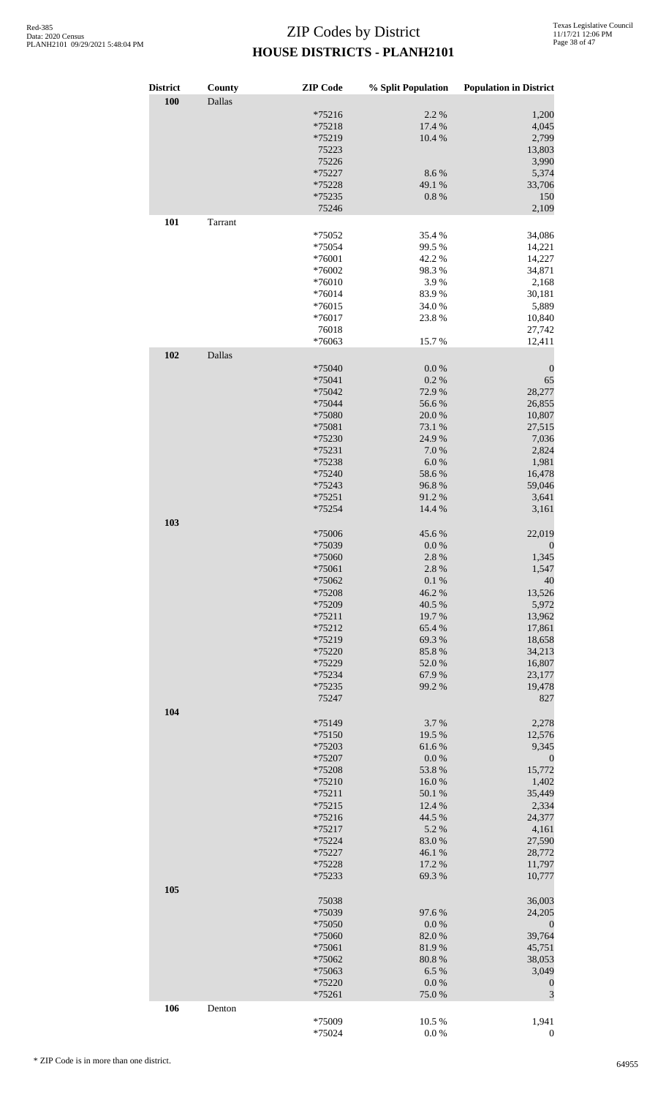| <b>District</b> | County  | <b>ZIP</b> Code      | % Split Population | <b>Population in District</b> |
|-----------------|---------|----------------------|--------------------|-------------------------------|
| 100             | Dallas  |                      |                    |                               |
|                 |         | $*75216$             | 2.2 %              | 1,200                         |
|                 |         | *75218               | 17.4 %             | 4,045                         |
|                 |         | *75219               | 10.4 %             | 2,799                         |
|                 |         | 75223                |                    | 13,803                        |
|                 |         | 75226<br>*75227      | 8.6%               | 3,990<br>5,374                |
|                 |         | *75228               | 49.1 %             | 33,706                        |
|                 |         | *75235               | $0.8~\%$           | 150                           |
|                 |         | 75246                |                    | 2,109                         |
| 101             | Tarrant |                      |                    |                               |
|                 |         | *75052               | 35.4 %             | 34,086                        |
|                 |         | *75054<br>*76001     | 99.5 %<br>42.2 %   | 14,221<br>14,227              |
|                 |         | *76002               | 98.3%              | 34,871                        |
|                 |         | $*76010$             | 3.9%               | 2,168                         |
|                 |         | *76014               | 83.9%              | 30,181                        |
|                 |         | $*76015$             | 34.0%              | 5,889                         |
|                 |         | *76017               | 23.8%              | 10,840                        |
|                 |         | 76018                |                    | 27,742                        |
|                 |         | *76063               | 15.7%              | 12,411                        |
| 102             | Dallas  | *75040               | $0.0\ \%$          | $\boldsymbol{0}$              |
|                 |         | *75041               | 0.2 %              | 65                            |
|                 |         | *75042               | 72.9 %             | 28,277                        |
|                 |         | *75044               | 56.6%              | 26,855                        |
|                 |         | *75080               | 20.0%              | 10,807                        |
|                 |         | *75081               | 73.1 %             | 27,515                        |
|                 |         | *75230               | 24.9%              | 7,036                         |
|                 |         | *75231               | 7.0%               | 2,824                         |
|                 |         | *75238<br>*75240     | 6.0%<br>58.6%      | 1,981<br>16,478               |
|                 |         | *75243               | 96.8%              | 59,046                        |
|                 |         | $*75251$             | 91.2%              | 3,641                         |
|                 |         | *75254               | 14.4 %             | 3,161                         |
| 103             |         | *75006               | 45.6%              | 22,019                        |
|                 |         | *75039               | $0.0\ \%$          | $\boldsymbol{0}$              |
|                 |         | *75060               | 2.8%               | 1,345                         |
|                 |         | *75061               | 2.8%               | 1,547                         |
|                 |         | *75062               | $0.1~\%$           | 40                            |
|                 |         | *75208               | 46.2%              | 13,526                        |
|                 |         | *75209               | 40.5 %             | 5,972                         |
|                 |         | $*75211$             | 19.7%              | 13,962                        |
|                 |         | *75212               | 65.4 %             | 17,861                        |
|                 |         | *75219<br>*75220     | 69.3 %<br>85.8%    | 18,658<br>34,213              |
|                 |         | *75229               | 52.0%              | 16,807                        |
|                 |         | *75234               | 67.9%              | 23,177                        |
|                 |         | *75235               | 99.2 %             | 19,478                        |
|                 |         | 75247                |                    | 827                           |
| 104             |         | *75149               | 3.7%               | 2,278                         |
|                 |         | *75150               | 19.5 %             | 12,576                        |
|                 |         | *75203               | 61.6%              | 9,345                         |
|                 |         | *75207               | 0.0 %              | $\boldsymbol{0}$              |
|                 |         | *75208               | 53.8%              | 15,772                        |
|                 |         | *75210               | 16.0%              | 1,402                         |
|                 |         | $*75211$             | 50.1 %             | 35,449                        |
|                 |         | $*75215$             | 12.4 %             | 2,334                         |
|                 |         | $*75216$<br>$*75217$ | 44.5 %<br>5.2 %    | 24,377<br>4,161               |
|                 |         | *75224               | 83.0%              | 27,590                        |
|                 |         | *75227               | 46.1 %             | 28,772                        |
|                 |         | *75228               | 17.2 %             | 11,797                        |
|                 |         | *75233               | 69.3%              | 10,777                        |
| 105             |         | 75038                |                    | 36,003                        |
|                 |         | *75039               | 97.6%              | 24,205                        |
|                 |         | *75050               | $0.0\ \%$          | $\boldsymbol{0}$              |
|                 |         | *75060               | 82.0%              | 39,764                        |
|                 |         | *75061               | 81.9%              | 45,751                        |
|                 |         | *75062               | 80.8%              | 38,053                        |
|                 |         | *75063               | 6.5%               | 3,049                         |
|                 |         | *75220<br>*75261     | $0.0\ \%$<br>75.0% | $\boldsymbol{0}$<br>3         |
| 106             | Denton  |                      |                    |                               |
|                 |         | *75009               | 10.5 %             | 1,941                         |
|                 |         | *75024               | $0.0\ \%$          | $\boldsymbol{0}$              |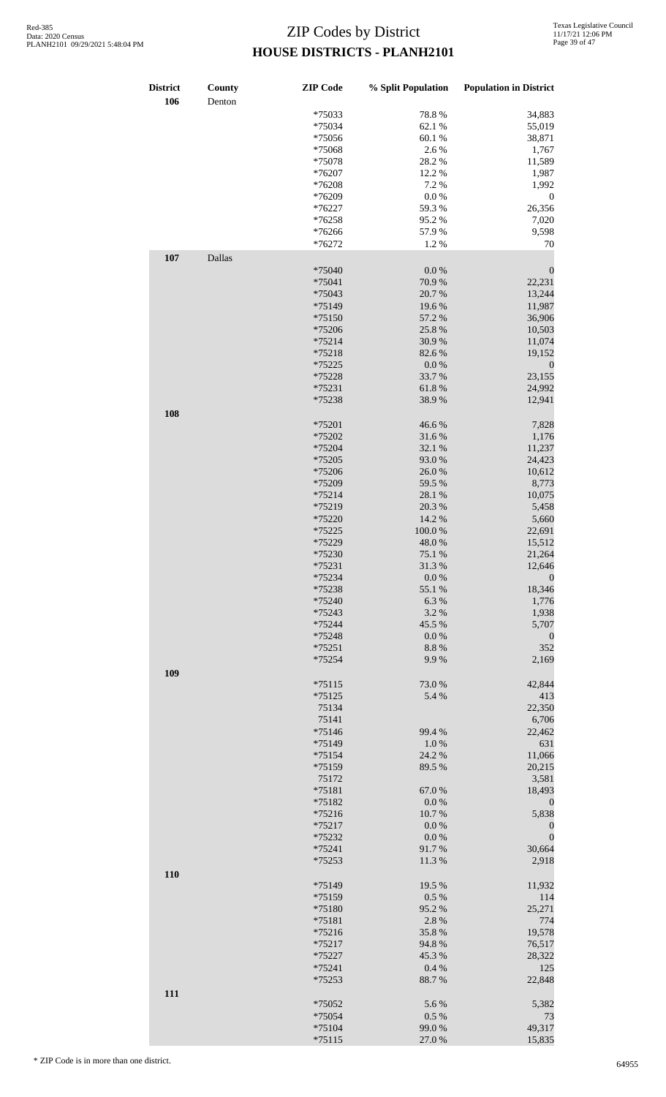| <b>District</b><br>106 | County<br>Denton | <b>ZIP</b> Code | % Split Population | <b>Population in District</b> |
|------------------------|------------------|-----------------|--------------------|-------------------------------|
|                        |                  | *75033          | 78.8%              | 34,883                        |
|                        |                  | *75034          | 62.1 %             | 55,019                        |
|                        |                  | *75056          | 60.1 %             | 38,871                        |
|                        |                  | *75068          | 2.6%               | 1,767                         |
|                        |                  | *75078          | 28.2 %             | 11,589                        |
|                        |                  | *76207          | 12.2 %             | 1,987                         |
|                        |                  | *76208          | 7.2 %              | 1,992                         |
|                        |                  | *76209          | $0.0\ \%$          | $\boldsymbol{0}$              |
|                        |                  | *76227          | 59.3%              | 26,356                        |
|                        |                  | *76258          | 95.2%              | 7,020                         |
|                        |                  | *76266          | 57.9%              | 9,598                         |
|                        |                  | *76272          | 1.2%               | 70                            |
|                        |                  |                 |                    |                               |
| 107                    | Dallas           |                 |                    |                               |
|                        |                  | *75040          | $0.0\ \%$          | $\boldsymbol{0}$              |
|                        |                  | *75041          | 70.9%              | 22,231                        |
|                        |                  | *75043          | 20.7%              | 13,244                        |
|                        |                  | *75149          | 19.6%              | 11,987                        |
|                        |                  | $*75150$        | 57.2 %             | 36,906                        |
|                        |                  | *75206          | 25.8%              | 10,503                        |
|                        |                  | $*75214$        | 30.9%              | 11,074                        |
|                        |                  | *75218          | 82.6%              | 19,152                        |
|                        |                  |                 |                    |                               |
|                        |                  | *75225          | 0.0 %              | $\boldsymbol{0}$              |
|                        |                  | *75228          | 33.7%              | 23,155                        |
|                        |                  | *75231          | 61.8%              | 24,992                        |
|                        |                  | *75238          | 38.9%              | 12,941                        |
| 108                    |                  | *75201          | 46.6%              | 7,828                         |
|                        |                  | *75202          | 31.6%              |                               |
|                        |                  |                 |                    | 1,176                         |
|                        |                  | *75204          | 32.1 %             | 11,237                        |
|                        |                  | *75205          | 93.0%              | 24,423                        |
|                        |                  | *75206          | 26.0%              | 10,612                        |
|                        |                  | *75209          | 59.5 %             | 8,773                         |
|                        |                  | $*75214$        | 28.1 %             | 10,075                        |
|                        |                  | *75219          | 20.3 %             | 5,458                         |
|                        |                  | *75220          | 14.2 %             | 5,660                         |
|                        |                  | *75225          | $100.0~\%$         | 22,691                        |
|                        |                  | *75229          | 48.0%              | 15,512                        |
|                        |                  | *75230          | 75.1 %             | 21,264                        |
|                        |                  | *75231          | 31.3%              | 12,646                        |
|                        |                  | *75234          | $0.0\ \%$          | $\boldsymbol{0}$              |
|                        |                  | *75238          | 55.1 %             | 18,346                        |
|                        |                  | *75240          | 6.3%               | 1,776                         |
|                        |                  | *75243          | 3.2 %              | 1,938                         |
|                        |                  |                 | 45.5 %             |                               |
|                        |                  | *75244          |                    | 5,707                         |
|                        |                  | *75248          | 0.0 %              | $\boldsymbol{0}$              |
|                        |                  | $*75251$        | 8.8 %              | 352                           |
|                        |                  | *75254          | 9.9%               | 2,169                         |
| 109                    |                  |                 |                    |                               |
|                        |                  | $*75115$        | 73.0%              | 42,844                        |
|                        |                  | $*75125$        | 5.4 %              | 413                           |
|                        |                  | 75134           |                    | 22,350                        |
|                        |                  | 75141           |                    | 6,706                         |
|                        |                  | $*75146$        | 99.4 %             | 22,462                        |
|                        |                  | *75149          | 1.0%               | 631                           |
|                        |                  | $*75154$        | 24.2 %             | 11,066                        |
|                        |                  | *75159          | 89.5 %             | 20,215                        |
|                        |                  | 75172           |                    | 3,581                         |
|                        |                  | *75181          | 67.0%              | 18,493                        |
|                        |                  | *75182          | $0.0\ \%$          | $\boldsymbol{0}$              |
|                        |                  | $*75216$        | 10.7%              | 5,838                         |
|                        |                  | $*75217$        | 0.0 %              | $\boldsymbol{0}$              |
|                        |                  | *75232          | $0.0\ \%$          | $\boldsymbol{0}$              |
|                        |                  |                 | 91.7%              |                               |
|                        |                  | *75241          |                    | 30,664                        |
|                        |                  | *75253          | 11.3%              | 2,918                         |
| 110                    |                  |                 |                    |                               |
|                        |                  | *75149          | 19.5 %             | 11,932                        |
|                        |                  | *75159          | 0.5 %              | 114                           |
|                        |                  | *75180          | 95.2%              | 25,271                        |
|                        |                  | *75181          | 2.8%               | 774                           |
|                        |                  | $*75216$        | 35.8%              | 19,578                        |
|                        |                  | $*75217$        | 94.8%              | 76,517                        |
|                        |                  | *75227          | 45.3%              | 28,322                        |
|                        |                  | *75241          | 0.4 %              | 125                           |
|                        |                  | *75253          | 88.7%              | 22,848                        |
|                        |                  |                 |                    |                               |
| 111                    |                  |                 |                    |                               |
|                        |                  | *75052          | 5.6%               | 5,382                         |
|                        |                  | *75054          | $0.5\ \%$          | 73                            |
|                        |                  | $*75104$        | 99.0%              | 49,317                        |
|                        |                  | $*75115$        | 27.0 %             | 15,835                        |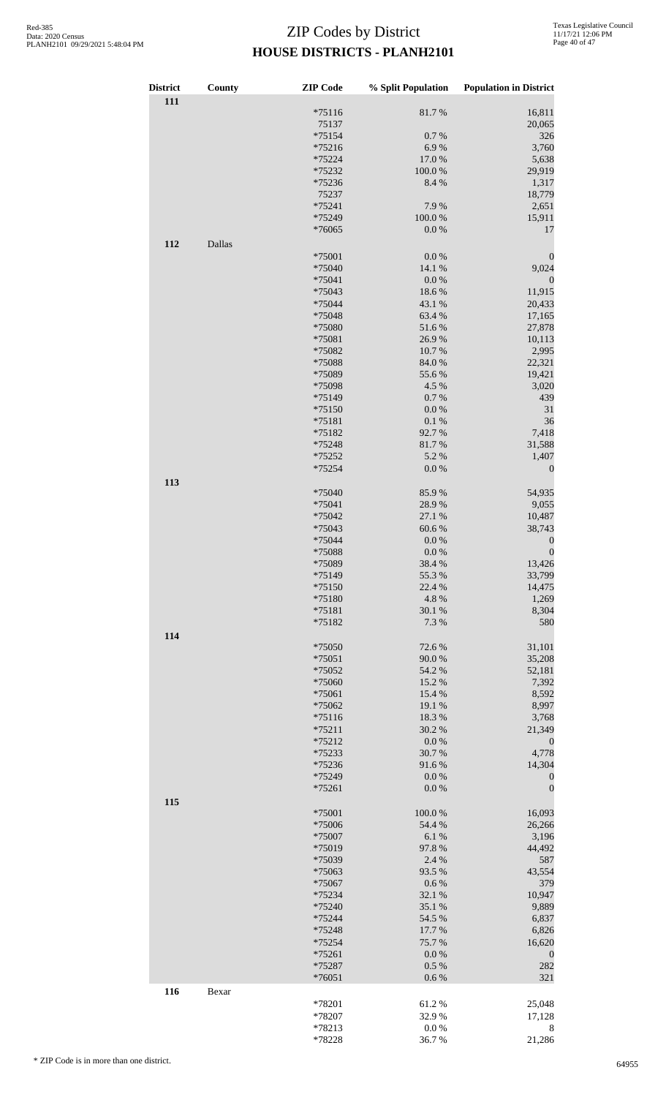| <b>District</b><br>111 | County | <b>ZIP</b> Code  | % Split Population | <b>Population in District</b> |
|------------------------|--------|------------------|--------------------|-------------------------------|
|                        |        | $*75116$         | 81.7%              | 16,811                        |
|                        |        | 75137            |                    | 20,065                        |
|                        |        | $*75154$         | 0.7 %              | 326                           |
|                        |        | $*75216$         | 6.9%<br>17.0%      | 3,760                         |
|                        |        | *75224<br>*75232 | 100.0%             | 5,638<br>29,919               |
|                        |        | *75236           | 8.4 %              | 1,317                         |
|                        |        | 75237            |                    | 18,779                        |
|                        |        | *75241           | 7.9%               | 2,651                         |
|                        |        | *75249           | 100.0%             | 15,911                        |
|                        |        | *76065           | 0.0 %              | 17                            |
| 112                    | Dallas |                  |                    |                               |
|                        |        | *75001           | $0.0\ \%$          | $\boldsymbol{0}$              |
|                        |        | *75040           | 14.1 %             | 9,024                         |
|                        |        | *75041           | 0.0 %              | $\boldsymbol{0}$              |
|                        |        | *75043           | 18.6%              | 11,915                        |
|                        |        | *75044           | 43.1 %             | 20,433                        |
|                        |        | *75048<br>*75080 | 63.4%<br>51.6%     | 17,165<br>27,878              |
|                        |        | *75081           | 26.9%              | 10,113                        |
|                        |        | *75082           | 10.7%              | 2,995                         |
|                        |        | *75088           | 84.0%              | 22,321                        |
|                        |        | *75089           | 55.6%              | 19,421                        |
|                        |        | *75098           | 4.5 %              | 3,020                         |
|                        |        | *75149           | 0.7%               | 439                           |
|                        |        | $*75150$         | $0.0\ \%$          | 31                            |
|                        |        | $*75181$         | 0.1 %              | 36                            |
|                        |        | *75182           | 92.7%              | 7,418                         |
|                        |        | *75248           | 81.7%              | 31,588                        |
|                        |        | *75252           | 5.2 %              | 1,407                         |
|                        |        | *75254           | $0.0\ \%$          | $\boldsymbol{0}$              |
| 113                    |        | *75040           | 85.9%              | 54,935                        |
|                        |        | $*75041$         | 28.9%              | 9,055                         |
|                        |        | *75042           | 27.1 %             | 10,487                        |
|                        |        | *75043           | 60.6%              | 38,743                        |
|                        |        | *75044           | $0.0\ \%$          | $\boldsymbol{0}$              |
|                        |        | *75088           | $0.0\ \%$          | $\boldsymbol{0}$              |
|                        |        | *75089           | 38.4 %             | 13,426                        |
|                        |        | *75149           | 55.3%              | 33,799                        |
|                        |        | *75150           | 22.4 %             | 14,475                        |
|                        |        | *75180           | 4.8%               | 1,269                         |
|                        |        | *75181           | 30.1 %             | 8,304                         |
|                        |        | *75182           | 7.3 %              | 580                           |
| 114                    |        | *75050           | 72.6 %             | 31,101                        |
|                        |        | *75051           | 90.0%              | 35,208                        |
|                        |        | *75052           | 54.2 %             | 52,181                        |
|                        |        | *75060           | 15.2 %             | 7,392                         |
|                        |        | *75061           | 15.4 %             | 8,592                         |
|                        |        | *75062           | 19.1 %             | 8,997                         |
|                        |        | $*75116$         | 18.3%              | 3,768                         |
|                        |        | $*75211$         | 30.2 %             | 21,349                        |
|                        |        | $*75212$         | 0.0 %              | $\boldsymbol{0}$              |
|                        |        | *75233<br>*75236 | 30.7%              | 4,778                         |
|                        |        | *75249           | 91.6%<br>0.0 %     | 14,304<br>$\boldsymbol{0}$    |
|                        |        | *75261           | 0.0 %              | $\boldsymbol{0}$              |
| 115                    |        |                  |                    |                               |
|                        |        | *75001           | 100.0%             | 16,093                        |
|                        |        | *75006           | 54.4 %             | 26,266                        |
|                        |        | *75007           | 6.1%               | 3,196                         |
|                        |        | *75019           | 97.8%              | 44,492                        |
|                        |        | *75039           | 2.4 %              | 587                           |
|                        |        | *75063           | 93.5 %             | 43,554                        |
|                        |        | *75067           | $0.6\ \%$          | 379                           |
|                        |        | *75234           | 32.1 %             | 10,947                        |
|                        |        | *75240<br>*75244 | 35.1 %<br>54.5 %   | 9,889<br>6,837                |
|                        |        | *75248           | 17.7 %             | 6,826                         |
|                        |        | *75254           | 75.7%              | 16,620                        |
|                        |        | *75261           | 0.0 %              | $\boldsymbol{0}$              |
|                        |        | *75287           | 0.5%               | 282                           |
|                        |        | *76051           | 0.6 %              | 321                           |
| 116                    | Bexar  |                  |                    |                               |
|                        |        | *78201           | 61.2%              | 25,048                        |
|                        |        | *78207           | 32.9%              | 17,128                        |
|                        |        | *78213           | 0.0 %              | 8                             |
|                        |        | *78228           | 36.7%              | 21,286                        |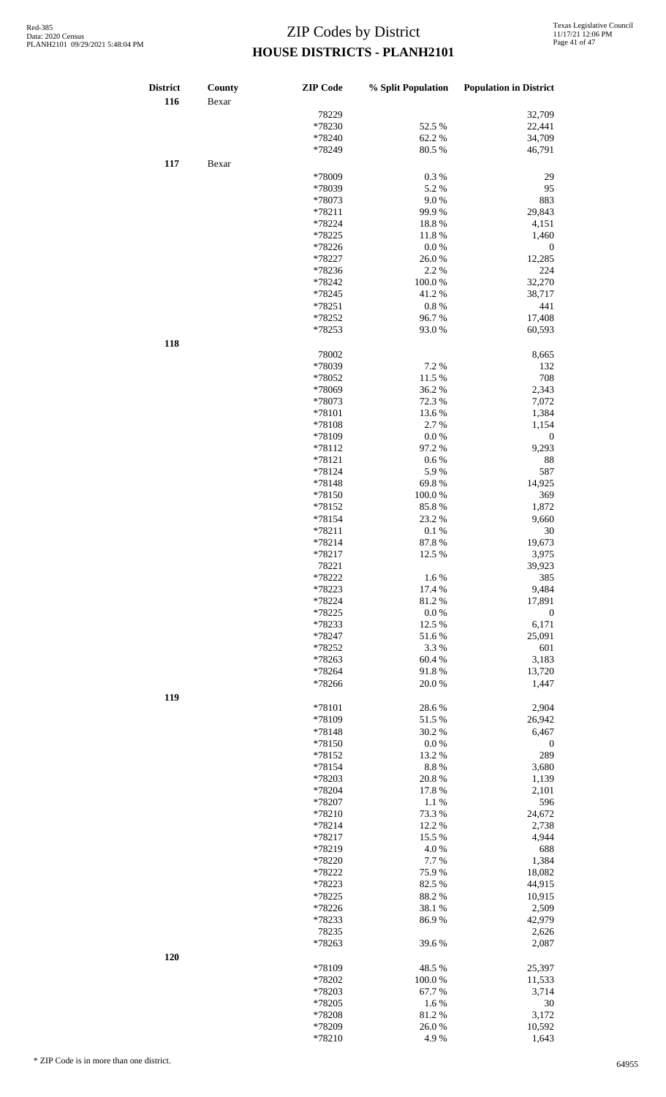| <b>District</b><br>116 | County<br>Bexar | <b>ZIP</b> Code  | % Split Population | <b>Population in District</b> |
|------------------------|-----------------|------------------|--------------------|-------------------------------|
|                        |                 | 78229            |                    | 32,709                        |
|                        |                 | *78230           | 52.5 %             | 22,441                        |
|                        |                 | *78240           | 62.2%              | 34,709                        |
|                        |                 | *78249           | 80.5 %             | 46,791                        |
| 117                    | Bexar           |                  |                    |                               |
|                        |                 | *78009           | 0.3%               | 29                            |
|                        |                 | *78039           | 5.2 %              | 95                            |
|                        |                 | *78073           | 9.0%<br>99.9%      | 883<br>29,843                 |
|                        |                 | *78211<br>*78224 | 18.8%              | 4,151                         |
|                        |                 | *78225           | 11.8%              | 1,460                         |
|                        |                 | *78226           | 0.0 %              | $\boldsymbol{0}$              |
|                        |                 | *78227           | 26.0%              | 12,285                        |
|                        |                 | *78236           | 2.2 %              | 224                           |
|                        |                 | *78242           | 100.0%             | 32,270                        |
|                        |                 | *78245           | 41.2%              | 38,717                        |
|                        |                 | *78251           | 0.8%               | 441                           |
|                        |                 | *78252           | 96.7%              | 17,408                        |
|                        |                 | *78253           | 93.0%              | 60,593                        |
| 118                    |                 | 78002            |                    | 8,665                         |
|                        |                 | *78039           | 7.2 %              | 132                           |
|                        |                 | *78052           | 11.5 %             | 708                           |
|                        |                 | *78069           | 36.2%              | 2,343                         |
|                        |                 | *78073           | 72.3 %             | 7,072                         |
|                        |                 | *78101           | 13.6 %             | 1,384                         |
|                        |                 | *78108           | 2.7 %              | 1,154                         |
|                        |                 | *78109           | 0.0 %              | $\boldsymbol{0}$              |
|                        |                 | *78112           | 97.2 %             | 9,293                         |
|                        |                 | *78121           | 0.6 %              | 88                            |
|                        |                 | *78124           | 5.9%               | 587                           |
|                        |                 | *78148           | 69.8%              | 14,925                        |
|                        |                 | *78150<br>*78152 | 100.0%<br>85.8%    | 369<br>1,872                  |
|                        |                 | *78154           | 23.2 %             | 9,660                         |
|                        |                 | *78211           | 0.1%               | 30                            |
|                        |                 | *78214           | 87.8%              | 19,673                        |
|                        |                 | *78217           | 12.5 %             | 3,975                         |
|                        |                 | 78221            |                    | 39,923                        |
|                        |                 | *78222           | 1.6%               | 385                           |
|                        |                 | *78223           | 17.4 %             | 9,484                         |
|                        |                 | *78224           | 81.2%              | 17,891                        |
|                        |                 | *78225           | 0.0 %              | $\boldsymbol{0}$              |
|                        |                 | *78233           | 12.5 %             | 6,171                         |
|                        |                 | *78247<br>*78252 | 51.6%<br>3.3%      | 25,091<br>601                 |
|                        |                 | *78263           | 60.4%              | 3,183                         |
|                        |                 | *78264           | 91.8%              | 13,720                        |
|                        |                 | *78266           | 20.0%              | 1,447                         |
| 119                    |                 |                  |                    |                               |
|                        |                 | *78101           | 28.6%              | 2,904                         |
|                        |                 | *78109           | 51.5 %             | 26,942                        |
|                        |                 | *78148           | 30.2 %             | 6,467                         |
|                        |                 | *78150           | 0.0 %              | $\boldsymbol{0}$              |
|                        |                 | *78152           | 13.2 %             | 289                           |
|                        |                 | *78154<br>*78203 | 8.8 %<br>20.8%     | 3,680<br>1,139                |
|                        |                 | *78204           | 17.8 %             | 2,101                         |
|                        |                 | *78207           | 1.1%               | 596                           |
|                        |                 | *78210           | 73.3 %             | 24,672                        |
|                        |                 | *78214           | 12.2 %             | 2,738                         |
|                        |                 | *78217           | 15.5 %             | 4,944                         |
|                        |                 | *78219           | 4.0%               | 688                           |
|                        |                 | *78220           | 7.7 %              | 1,384                         |
|                        |                 | *78222           | 75.9%              | 18,082                        |
|                        |                 | *78223           | 82.5 %             | 44,915                        |
|                        |                 | *78225           | 88.2%              | 10,915                        |
|                        |                 | *78226           | 38.1 %             | 2,509                         |
|                        |                 | *78233           | 86.9%              | 42,979                        |
|                        |                 | 78235<br>*78263  | 39.6%              | 2,626<br>2,087                |
| 120                    |                 |                  |                    |                               |
|                        |                 | *78109           | 48.5 %             | 25,397                        |
|                        |                 | *78202           | 100.0%             | 11,533                        |
|                        |                 | *78203           | 67.7%              | 3,714                         |
|                        |                 | *78205           | 1.6%               | 30                            |
|                        |                 | *78208           | 81.2%              | 3,172                         |
|                        |                 | *78209           | 26.0%              | 10,592                        |
|                        |                 | *78210           | 4.9%               | 1,643                         |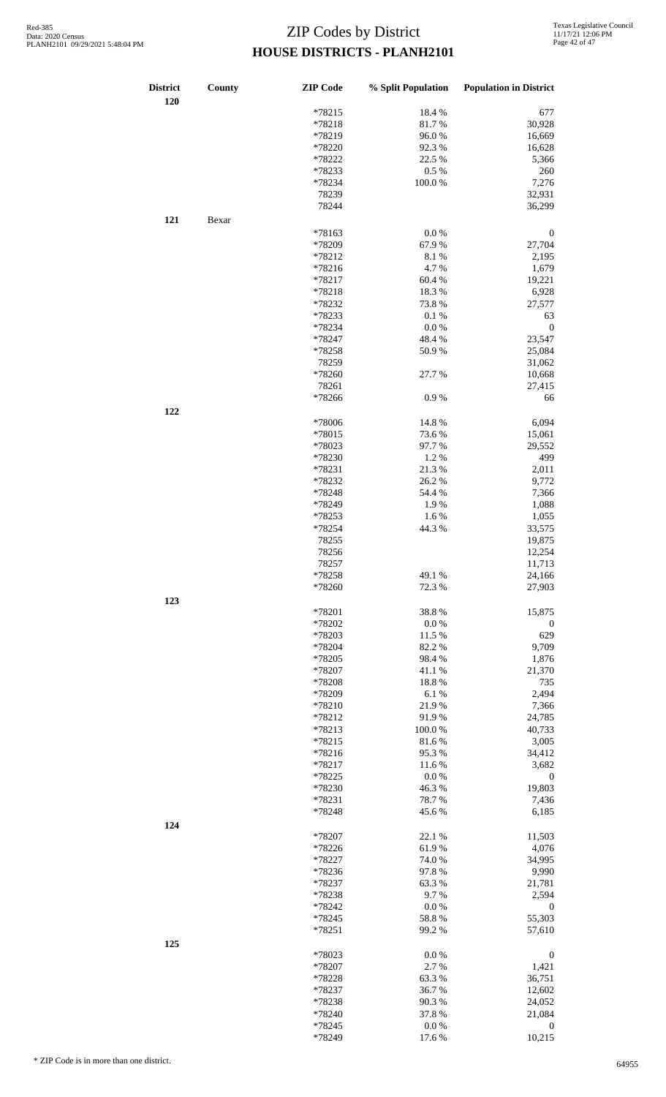| <b>District</b><br>120 | County | <b>ZIP</b> Code | % Split Population | <b>Population in District</b> |
|------------------------|--------|-----------------|--------------------|-------------------------------|
|                        |        | *78215          | 18.4%              | 677                           |
|                        |        | *78218          | 81.7%              | 30,928                        |
|                        |        | *78219          | 96.0%              | 16,669                        |
|                        |        | *78220          | 92.3%              | 16,628                        |
|                        |        | *78222          | 22.5 %             | 5,366                         |
|                        |        | *78233          | 0.5 %              | 260                           |
|                        |        | *78234          | 100.0%             | 7,276                         |
|                        |        | 78239           |                    | 32,931                        |
|                        |        | 78244           |                    | 36,299                        |
| 121                    | Bexar  |                 |                    |                               |
|                        |        | *78163          | 0.0 %              | $\boldsymbol{0}$              |
|                        |        | *78209          | 67.9%              | 27,704                        |
|                        |        | *78212          | 8.1%               | 2,195                         |
|                        |        |                 |                    |                               |
|                        |        | *78216          | 4.7%               | 1,679                         |
|                        |        | *78217          | 60.4%              | 19,221                        |
|                        |        | *78218          | 18.3%              | 6,928                         |
|                        |        | *78232          | 73.8%              | 27,577                        |
|                        |        | *78233          | 0.1%               | 63                            |
|                        |        | *78234          | $0.0\ \%$          | $\boldsymbol{0}$              |
|                        |        | *78247          | 48.4%              | 23,547                        |
|                        |        | *78258          | 50.9%              | 25,084                        |
|                        |        | 78259           |                    | 31,062                        |
|                        |        | *78260          | 27.7 %             | 10,668                        |
|                        |        | 78261           |                    | 27,415                        |
|                        |        | *78266          | 0.9%               | 66                            |
| 122                    |        |                 |                    |                               |
|                        |        | *78006          | 14.8%              | 6,094                         |
|                        |        | *78015          | 73.6 %             | 15,061                        |
|                        |        | *78023          | 97.7%              | 29,552                        |
|                        |        | *78230          | 1.2%               | 499                           |
|                        |        |                 |                    |                               |
|                        |        | *78231          | 21.3%              | 2,011                         |
|                        |        | *78232          | 26.2%              | 9,772                         |
|                        |        | *78248          | 54.4 %             | 7,366                         |
|                        |        | *78249          | 1.9%               | 1,088                         |
|                        |        | *78253          | 1.6%               | 1,055                         |
|                        |        | *78254          | 44.3 %             | 33,575                        |
|                        |        | 78255           |                    | 19,875                        |
|                        |        | 78256           |                    | 12,254                        |
|                        |        | 78257           |                    | 11,713                        |
|                        |        | *78258          | 49.1 %             | 24,166                        |
|                        |        | *78260          | 72.3 %             | 27,903                        |
| 123                    |        |                 |                    |                               |
|                        |        | *78201          | 38.8%              | 15,875                        |
|                        |        | *78202          | 0.0 %              | $\boldsymbol{0}$              |
|                        |        | *78203          | 11.5 %             | 629                           |
|                        |        | *78204          | 82.2%              | 9,709                         |
|                        |        | *78205          | 98.4%              | 1,876                         |
|                        |        | *78207          | 41.1%              | 21,370                        |
|                        |        | *78208          | 18.8%              | 735                           |
|                        |        |                 |                    |                               |
|                        |        | *78209          | 6.1%               | 2,494                         |
|                        |        | *78210          | 21.9%              | 7,366                         |
|                        |        | *78212          | 91.9%              | 24,785                        |
|                        |        | *78213          | 100.0%             | 40,733                        |
|                        |        | *78215          | 81.6%              | 3,005                         |
|                        |        | *78216          | 95.3%              | 34,412                        |
|                        |        | *78217          | 11.6%              | 3,682                         |
|                        |        | *78225          | 0.0 %              | $\boldsymbol{0}$              |
|                        |        | *78230          | 46.3%              | 19,803                        |
|                        |        | *78231          | 78.7%              | 7,436                         |
|                        |        | *78248          | 45.6%              | 6,185                         |
| 124                    |        |                 |                    |                               |
|                        |        | *78207          | 22.1 %             | 11,503                        |
|                        |        | *78226          | 61.9%              | 4,076                         |
|                        |        | *78227          | $74.0\;\%$         | 34,995                        |
|                        |        | *78236          | 97.8%              | 9,990                         |
|                        |        | *78237          | 63.3%              | 21,781                        |
|                        |        | *78238          | 9.7%               | 2,594                         |
|                        |        | *78242          | $0.0\ \%$          | $\boldsymbol{0}$              |
|                        |        |                 |                    | 55,303                        |
|                        |        | *78245          | 58.8%              |                               |
|                        |        | *78251          | 99.2 %             | 57,610                        |
| 125                    |        |                 |                    |                               |
|                        |        | *78023          | 0.0 %              | $\boldsymbol{0}$              |
|                        |        | *78207          | 2.7 %              | 1,421                         |
|                        |        | *78228          | 63.3%              | 36,751                        |
|                        |        | *78237          | 36.7%              | 12,602                        |
|                        |        | *78238          | 90.3%              | 24,052                        |
|                        |        | *78240          | 37.8%              | 21,084                        |
|                        |        | *78245          | $0.0\ \%$          | $\boldsymbol{0}$              |
|                        |        | *78249          | 17.6%              | 10,215                        |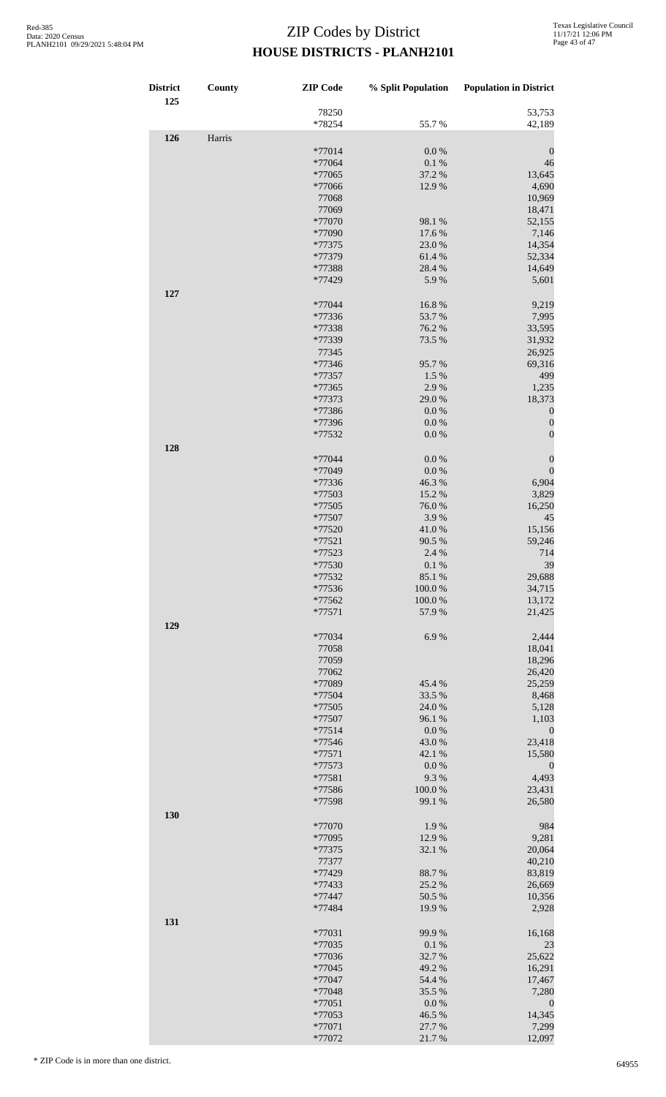| <b>District</b> | County | <b>ZIP</b> Code    | % Split Population  | <b>Population in District</b> |
|-----------------|--------|--------------------|---------------------|-------------------------------|
| 125             |        | 78250              |                     | 53,753                        |
|                 |        | *78254             | 55.7%               | 42,189                        |
| 126             | Harris |                    |                     |                               |
|                 |        | *77014             | $0.0\ \%$           | $\boldsymbol{0}$              |
|                 |        | *77064             | $0.1~\%$            | 46                            |
|                 |        | *77065             | 37.2 %              | 13,645                        |
|                 |        | *77066             | 12.9%               | 4,690                         |
|                 |        | 77068<br>77069     |                     | 10,969<br>18,471              |
|                 |        | *77070             | 98.1 %              | 52,155                        |
|                 |        | *77090             | 17.6 %              | 7,146                         |
|                 |        | *77375             | 23.0%               | 14,354                        |
|                 |        | *77379             | 61.4%               | 52,334                        |
|                 |        | *77388             | 28.4 %              | 14,649                        |
|                 |        | *77429             | 5.9%                | 5,601                         |
| 127             |        |                    |                     |                               |
|                 |        | *77044             | 16.8%               | 9,219                         |
|                 |        | *77336             | 53.7%               | 7,995                         |
|                 |        | *77338             | 76.2 %              | 33,595                        |
|                 |        | *77339             | 73.5 %              | 31,932                        |
|                 |        | 77345              |                     | 26,925                        |
|                 |        | *77346             | 95.7%               | 69,316                        |
|                 |        | *77357             | 1.5 %               | 499                           |
|                 |        | *77365<br>*77373   | 2.9%<br>29.0%       | 1,235<br>18,373               |
|                 |        | *77386             | $0.0\ \%$           | $\boldsymbol{0}$              |
|                 |        | *77396             | 0.0 %               | $\boldsymbol{0}$              |
|                 |        | *77532             | $0.0\ \%$           | $\boldsymbol{0}$              |
| 128             |        |                    |                     |                               |
|                 |        | *77044             | $0.0\ \%$           | $\boldsymbol{0}$              |
|                 |        | *77049             | $0.0\ \%$           | $\boldsymbol{0}$              |
|                 |        | *77336             | 46.3%               | 6,904                         |
|                 |        | *77503             | 15.2 %              | 3,829                         |
|                 |        | *77505             | 76.0%               | 16,250                        |
|                 |        | *77507             | 3.9%                | 45                            |
|                 |        | *77520             | 41.0%               | 15,156                        |
|                 |        | $*77521$           | 90.5 %              | 59,246                        |
|                 |        | *77523             | 2.4 %               | 714                           |
|                 |        | *77530             | 0.1%                | 39                            |
|                 |        | *77532             | 85.1 %              | 29,688                        |
|                 |        | *77536             | 100.0%              | 34,715                        |
|                 |        | *77562<br>$*77571$ | 100.0%<br>57.9%     | 13,172<br>21,425              |
|                 |        |                    |                     |                               |
| 129             |        | *77034             | 6.9%                | 2,444                         |
|                 |        | 77058              |                     | 18,041                        |
|                 |        | 77059              |                     | 18,296                        |
|                 |        | 77062              |                     | 26,420                        |
|                 |        | *77089             | 45.4 %              | 25,259                        |
|                 |        | *77504             | 33.5 %              | 8,468                         |
|                 |        | *77505             | 24.0 %              | 5,128                         |
|                 |        | *77507             | 96.1%               | 1,103                         |
|                 |        | $*77514$           | 0.0 %               | $\boldsymbol{0}$              |
|                 |        | *77546             | 43.0%               | 23,418                        |
|                 |        | *77571             | 42.1 %              | 15,580                        |
|                 |        | *77573             | $0.0\ \%$           | $\boldsymbol{0}$              |
|                 |        | *77581             | 9.3%                | 4,493                         |
|                 |        | *77586<br>*77598   | 100.0%<br>99.1 %    | 23,431<br>26,580              |
| 130             |        |                    |                     |                               |
|                 |        | *77070             | 1.9%                | 984                           |
|                 |        | *77095             | 12.9%               | 9,281                         |
|                 |        | *77375             | 32.1%               | 20,064                        |
|                 |        | 77377              |                     | 40,210                        |
|                 |        | *77429             | 88.7%               | 83,819                        |
|                 |        | *77433             | 25.2 %              | 26,669                        |
|                 |        | *77447             | 50.5 %              | 10,356                        |
|                 |        | *77484             | 19.9%               | 2,928                         |
| 131             |        |                    |                     |                               |
|                 |        | *77031             | 99.9%               | 16,168                        |
|                 |        | *77035             | 0.1 %               | 23                            |
|                 |        | *77036             | 32.7%               | 25,622                        |
|                 |        | *77045             | 49.2 %              | 16,291                        |
|                 |        | *77047             | 54.4 %              | 17,467                        |
|                 |        | *77048<br>*77051   | 35.5 %<br>$0.0\ \%$ | 7,280<br>$\boldsymbol{0}$     |
|                 |        | *77053             | 46.5 %              | 14,345                        |
|                 |        | *77071             | 27.7 %              | 7,299                         |
|                 |        | *77072             | 21.7%               | 12,097                        |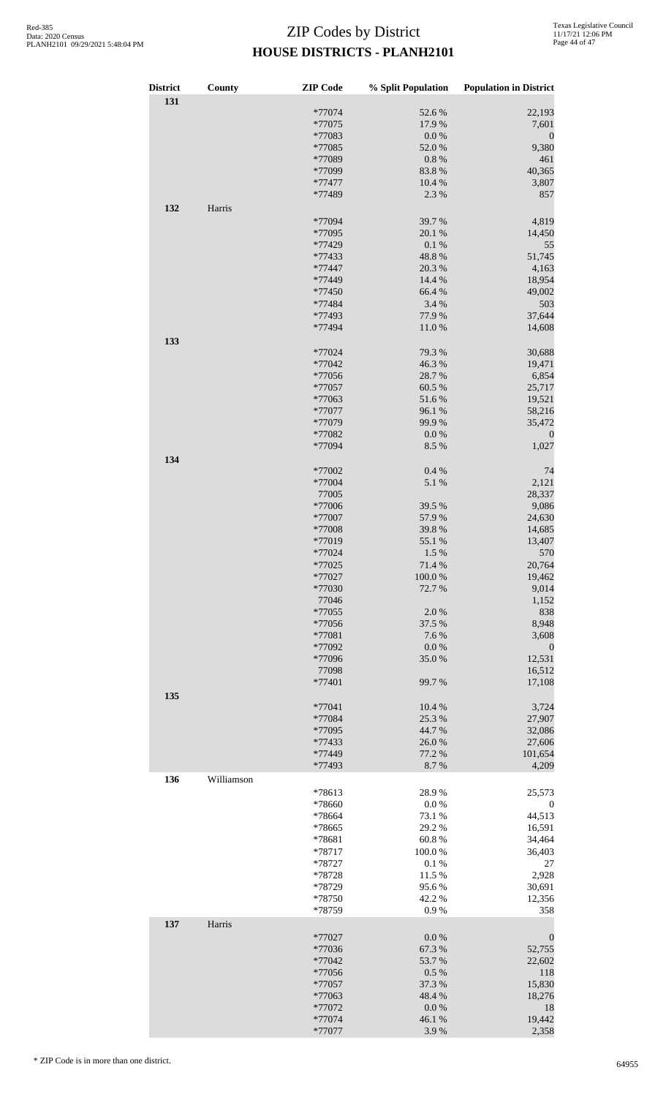| <b>District</b><br>131 | County     | <b>ZIP</b> Code | % Split Population | <b>Population in District</b> |
|------------------------|------------|-----------------|--------------------|-------------------------------|
|                        |            | *77074          | 52.6%              | 22,193                        |
|                        |            | *77075          | 17.9%              | 7,601                         |
|                        |            | *77083          | $0.0\ \%$          | $\boldsymbol{0}$              |
|                        |            | *77085          | 52.0%              | 9,380                         |
|                        |            | *77089          | 0.8 %              | 461                           |
|                        |            | *77099          | 83.8%              | 40,365                        |
|                        |            |                 |                    |                               |
|                        |            | *77477          | 10.4 %             | 3,807                         |
|                        |            | *77489          | 2.3 %              | 857                           |
| 132                    | Harris     |                 |                    |                               |
|                        |            | *77094          | 39.7 %             | 4,819                         |
|                        |            | *77095          | 20.1 %             | 14,450                        |
|                        |            | *77429          | 0.1 %              | 55                            |
|                        |            | *77433          | 48.8%              | 51,745                        |
|                        |            |                 |                    |                               |
|                        |            | *77447          | 20.3 %             | 4,163                         |
|                        |            | *77449          | 14.4 %             | 18,954                        |
|                        |            | *77450          | 66.4 %             | 49,002                        |
|                        |            | *77484          | 3.4 %              | 503                           |
|                        |            | *77493          | 77.9 %             | 37,644                        |
|                        |            | *77494          | 11.0%              | 14,608                        |
|                        |            |                 |                    |                               |
| 133                    |            |                 |                    |                               |
|                        |            | *77024          | 79.3 %             | 30,688                        |
|                        |            | *77042          | 46.3%              | 19,471                        |
|                        |            | *77056          | 28.7%              | 6,854                         |
|                        |            | *77057          | 60.5 %             | 25,717                        |
|                        |            | *77063          | 51.6%              | 19,521                        |
|                        |            | *77077          | 96.1 %             | 58,216                        |
|                        |            | *77079          | 99.9%              | 35,472                        |
|                        |            |                 |                    |                               |
|                        |            | *77082          | 0.0 %              | $\boldsymbol{0}$              |
|                        |            | *77094          | 8.5 %              | 1,027                         |
| 134                    |            |                 |                    |                               |
|                        |            | *77002          | 0.4 %              | 74                            |
|                        |            | *77004          | 5.1 %              | 2,121                         |
|                        |            | 77005           |                    | 28,337                        |
|                        |            | *77006          | 39.5 %             | 9,086                         |
|                        |            | *77007          | 57.9%              | 24,630                        |
|                        |            |                 |                    |                               |
|                        |            | *77008          | 39.8%              | 14,685                        |
|                        |            | *77019          | 55.1 %             | 13,407                        |
|                        |            | *77024          | 1.5 %              | 570                           |
|                        |            | *77025          | 71.4%              | 20,764                        |
|                        |            | *77027          | 100.0%             | 19,462                        |
|                        |            | *77030          | 72.7%              | 9,014                         |
|                        |            | 77046           |                    | 1,152                         |
|                        |            | *77055          | 2.0%               | 838                           |
|                        |            |                 |                    |                               |
|                        |            | *77056          | 37.5 %             | 8,948                         |
|                        |            | *77081          | 7.6%               | 3,608                         |
|                        |            | *77092          | 0.0 %              | $\boldsymbol{0}$              |
|                        |            | *77096          | 35.0%              | 12,531                        |
|                        |            | 77098           |                    | 16,512                        |
|                        |            | *77401          | 99.7%              | 17,108                        |
|                        |            |                 |                    |                               |
| 135                    |            |                 |                    |                               |
|                        |            | *77041          | 10.4 %             | 3,724                         |
|                        |            | *77084          | 25.3 %             | 27,907                        |
|                        |            | *77095          | 44.7%              | 32,086                        |
|                        |            | *77433          | 26.0%              | 27,606                        |
|                        |            | *77449          | 77.2 %             | 101,654                       |
|                        |            | *77493          | 8.7%               | 4,209                         |
|                        | Williamson |                 |                    |                               |
| 136                    |            |                 |                    |                               |
|                        |            | *78613          | 28.9%              | 25,573                        |
|                        |            | *78660          | $0.0\ \%$          | $\boldsymbol{0}$              |
|                        |            | *78664          | 73.1 %             | 44,513                        |
|                        |            | *78665          | 29.2 %             | 16,591                        |
|                        |            | *78681          | 60.8%              | 34,464                        |
|                        |            | *78717          | 100.0%             | 36,403                        |
|                        |            | *78727          | 0.1 %              | 27                            |
|                        |            |                 |                    |                               |
|                        |            | *78728          | 11.5 %             | 2,928                         |
|                        |            | *78729          | 95.6%              | 30,691                        |
|                        |            | *78750          | 42.2 %             | 12,356                        |
|                        |            | *78759          | 0.9%               | 358                           |
| 137                    | Harris     |                 |                    |                               |
|                        |            | *77027          | $0.0\ \%$          | $\boldsymbol{0}$              |
|                        |            |                 |                    |                               |
|                        |            | *77036          | 67.3 %             | 52,755                        |
|                        |            | *77042          | 53.7%              | 22,602                        |
|                        |            | *77056          | 0.5 %              | 118                           |
|                        |            | *77057          | 37.3 %             | 15,830                        |
|                        |            | *77063          | 48.4%              | 18,276                        |
|                        |            | *77072          | $0.0\ \%$          | 18                            |
|                        |            | *77074          | 46.1%              | 19,442                        |
|                        |            | *77077          |                    |                               |
|                        |            |                 | 3.9%               | 2,358                         |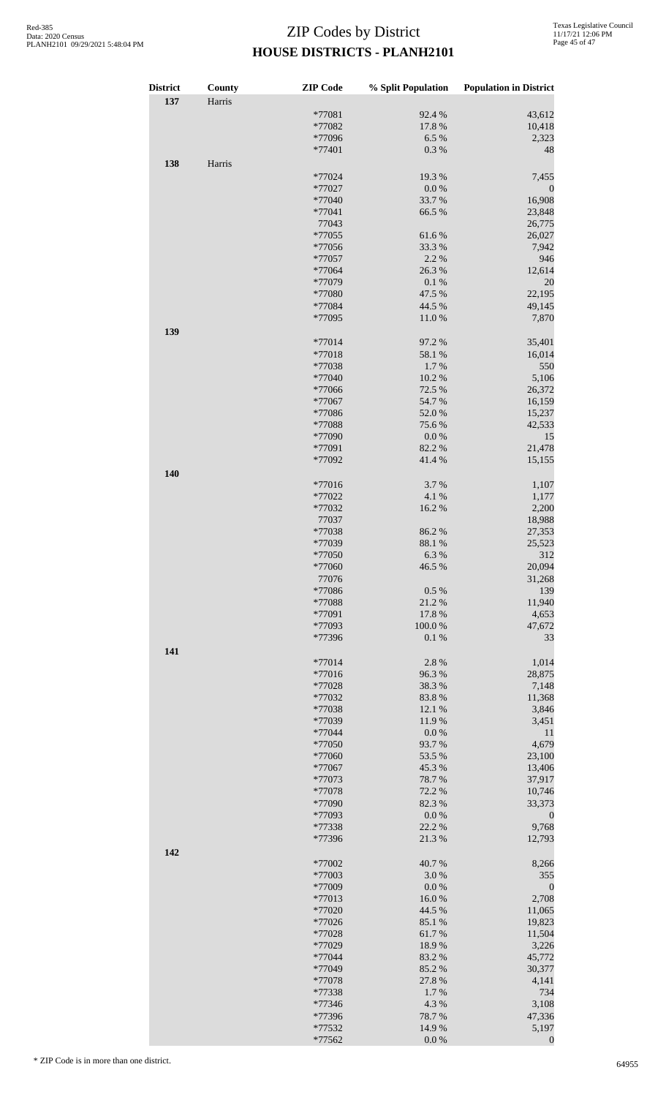| <b>District</b> | County | <b>ZIP</b> Code  | % Split Population | <b>Population in District</b> |
|-----------------|--------|------------------|--------------------|-------------------------------|
| 137             | Harris |                  |                    |                               |
|                 |        | *77081           | 92.4 %             | 43,612                        |
|                 |        | *77082           | 17.8 %             | 10,418                        |
|                 |        | *77096           | 6.5 %              | 2,323                         |
|                 |        | *77401           | 0.3 %              | 48                            |
| 138             | Harris |                  |                    |                               |
|                 |        | *77024           | 19.3 %             | 7,455                         |
|                 |        | *77027           | $0.0\ \%$          | $\boldsymbol{0}$              |
|                 |        | *77040           | 33.7%              | 16,908                        |
|                 |        | *77041           | 66.5 %             | 23,848                        |
|                 |        | 77043            |                    | 26,775                        |
|                 |        | *77055<br>*77056 | 61.6%<br>33.3 %    | 26,027<br>7,942               |
|                 |        | *77057           | 2.2 %              | 946                           |
|                 |        | *77064           | 26.3%              | 12,614                        |
|                 |        | *77079           | 0.1 %              | 20                            |
|                 |        | *77080           | 47.5 %             | 22,195                        |
|                 |        | *77084           | 44.5 %             | 49,145                        |
|                 |        | *77095           | 11.0%              | 7,870                         |
| 139             |        |                  |                    |                               |
|                 |        | *77014           | 97.2 %             | 35,401                        |
|                 |        | *77018           | 58.1 %             | 16,014                        |
|                 |        | *77038           | 1.7%               | 550                           |
|                 |        | *77040           | 10.2%              | 5,106                         |
|                 |        | *77066           | 72.5 %             | 26,372                        |
|                 |        | *77067           | 54.7 %             | 16,159                        |
|                 |        | *77086           | 52.0%<br>75.6%     | 15,237<br>42,533              |
|                 |        | *77088<br>*77090 | $0.0\ \%$          | 15                            |
|                 |        | *77091           | 82.2 %             | 21,478                        |
|                 |        | *77092           | 41.4%              | 15,155                        |
| 140             |        |                  |                    |                               |
|                 |        | *77016           | 3.7%               | 1,107                         |
|                 |        | *77022           | 4.1 %              | 1,177                         |
|                 |        | *77032           | 16.2%              | 2,200                         |
|                 |        | 77037            |                    | 18,988                        |
|                 |        | *77038           | 86.2%              | 27,353                        |
|                 |        | *77039           | 88.1 %             | 25,523                        |
|                 |        | *77050           | 6.3%               | 312                           |
|                 |        | *77060           | 46.5 %             | 20,094                        |
|                 |        | 77076<br>*77086  | 0.5 %              | 31,268<br>139                 |
|                 |        | *77088           | 21.2%              | 11,940                        |
|                 |        | *77091           | 17.8 %             | 4,653                         |
|                 |        | *77093           | 100.0%             | 47,672                        |
|                 |        | *77396           | 0.1 %              | 33                            |
| 141             |        |                  |                    |                               |
|                 |        | *77014           | 2.8%               | 1,014                         |
|                 |        | *77016           | 96.3%              | 28,875                        |
|                 |        | *77028           | 38.3%              | 7,148                         |
|                 |        | *77032           | 83.8%              | 11,368                        |
|                 |        | *77038           | 12.1 %             | 3,846                         |
|                 |        | *77039           | 11.9%              | 3,451                         |
|                 |        | *77044           | $0.0\ \%$          | 11                            |
|                 |        | *77050<br>*77060 | 93.7%<br>53.5 %    | 4,679<br>23,100               |
|                 |        | *77067           | 45.3 %             | 13,406                        |
|                 |        | *77073           | 78.7%              | 37,917                        |
|                 |        | *77078           | 72.2 %             | 10,746                        |
|                 |        | *77090           | 82.3%              | 33,373                        |
|                 |        | *77093           | $0.0\ \%$          | $\boldsymbol{0}$              |
|                 |        | *77338           | 22.2 %             | 9,768                         |
|                 |        | *77396           | 21.3%              | 12,793                        |
| 142             |        |                  |                    |                               |
|                 |        | *77002           | 40.7%              | 8,266                         |
|                 |        | *77003           | 3.0%               | 355                           |
|                 |        | *77009<br>*77013 | $0.0\ \%$<br>16.0% | $\boldsymbol{0}$<br>2,708     |
|                 |        | *77020           | 44.5 %             | 11,065                        |
|                 |        | *77026           | 85.1 %             | 19,823                        |
|                 |        | *77028           | 61.7%              | 11,504                        |
|                 |        | *77029           | 18.9%              | 3,226                         |
|                 |        | *77044           | 83.2%              | 45,772                        |
|                 |        | *77049           | 85.2%              | 30,377                        |
|                 |        | *77078           | 27.8 %             | 4,141                         |
|                 |        | *77338           | 1.7%               | 734                           |
|                 |        | *77346           | 4.3 %              | 3,108                         |
|                 |        | *77396           | 78.7%              | 47,336                        |
|                 |        | *77532<br>*77562 | 14.9%<br>$0.0\ \%$ | 5,197                         |
|                 |        |                  |                    | $\boldsymbol{0}$              |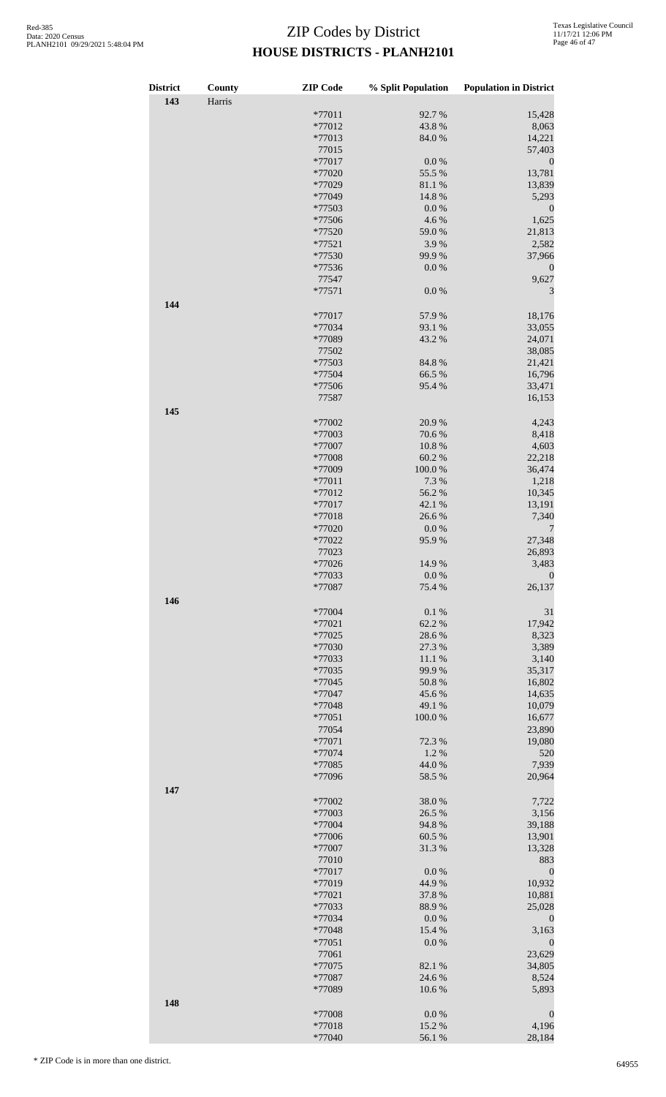| <b>District</b> | County | <b>ZIP</b> Code  | % Split Population | <b>Population in District</b> |
|-----------------|--------|------------------|--------------------|-------------------------------|
| 143             | Harris |                  |                    |                               |
|                 |        | *77011           | 92.7%              | 15,428                        |
|                 |        | *77012           | 43.8%              | 8,063                         |
|                 |        | *77013           | 84.0%              | 14,221                        |
|                 |        | 77015            |                    | 57,403                        |
|                 |        | *77017           | $0.0\ \%$          | $\boldsymbol{0}$              |
|                 |        | *77020<br>*77029 | 55.5 %<br>81.1 %   | 13,781<br>13,839              |
|                 |        | *77049           | 14.8%              | 5,293                         |
|                 |        | *77503           | 0.0 %              | $\boldsymbol{0}$              |
|                 |        | *77506           | 4.6%               | 1,625                         |
|                 |        | *77520           | 59.0%              | 21,813                        |
|                 |        | *77521           | 3.9%               | 2,582                         |
|                 |        | *77530           | 99.9%              | 37,966                        |
|                 |        | *77536           | $0.0\ \%$          | $\boldsymbol{0}$              |
|                 |        | 77547            |                    | 9,627                         |
|                 |        | *77571           | $0.0\ \%$          | 3                             |
| 144             |        |                  |                    |                               |
|                 |        | *77017           | 57.9%              | 18,176                        |
|                 |        | *77034           | 93.1 %             | 33,055                        |
|                 |        | *77089<br>77502  | 43.2 %             | 24,071<br>38,085              |
|                 |        | *77503           | 84.8%              | 21,421                        |
|                 |        | *77504           | 66.5 %             | 16,796                        |
|                 |        | *77506           | 95.4%              | 33,471                        |
|                 |        | 77587            |                    | 16,153                        |
| 145             |        |                  |                    |                               |
|                 |        | *77002           | 20.9%              | 4,243                         |
|                 |        | *77003           | 70.6%              | 8,418                         |
|                 |        | *77007           | 10.8 %             | 4,603                         |
|                 |        | *77008           | 60.2%              | 22,218                        |
|                 |        | *77009           | 100.0%             | 36,474                        |
|                 |        | *77011           | 7.3 %              | 1,218                         |
|                 |        | *77012<br>*77017 | 56.2%              | 10,345                        |
|                 |        | $*77018$         | 42.1 %<br>26.6%    | 13,191<br>7,340               |
|                 |        | *77020           | 0.0 %              | 7                             |
|                 |        | *77022           | 95.9%              | 27,348                        |
|                 |        | 77023            |                    | 26,893                        |
|                 |        | *77026           | 14.9 %             | 3,483                         |
|                 |        | *77033           | 0.0 %              | $\boldsymbol{0}$              |
|                 |        | *77087           | 75.4 %             | 26,137                        |
| 146             |        |                  |                    |                               |
|                 |        | *77004           | 0.1 %              | 31                            |
|                 |        | *77021           | 62.2%              | 17,942                        |
|                 |        | *77025           | 28.6%              | 8,323                         |
|                 |        | *77030           | 27.3%              | 3,389                         |
|                 |        | *77033           | 11.1 %<br>99.9%    | 3,140<br>35,317               |
|                 |        | *77035<br>*77045 | 50.8%              | 16,802                        |
|                 |        | *77047           | 45.6%              | 14,635                        |
|                 |        | *77048           | 49.1 %             | 10,079                        |
|                 |        | *77051           | 100.0%             | 16,677                        |
|                 |        | 77054            |                    | 23,890                        |
|                 |        | *77071           | 72.3 %             | 19,080                        |
|                 |        | *77074           | 1.2%               | 520                           |
|                 |        | *77085           | 44.0%              | 7,939                         |
|                 |        | *77096           | 58.5 %             | 20,964                        |
| 147             |        |                  |                    |                               |
|                 |        | *77002           | 38.0%              | 7,722                         |
|                 |        | *77003           | 26.5 %             | 3,156                         |
|                 |        | *77004<br>*77006 | 94.8%<br>60.5 %    | 39,188<br>13,901              |
|                 |        | *77007           | 31.3%              | 13,328                        |
|                 |        | 77010            |                    | 883                           |
|                 |        | *77017           | 0.0 %              | $\boldsymbol{0}$              |
|                 |        | *77019           | 44.9%              | 10,932                        |
|                 |        | *77021           | 37.8%              | 10,881                        |
|                 |        | *77033           | 88.9%              | 25,028                        |
|                 |        | *77034           | $0.0\ \%$          | $\boldsymbol{0}$              |
|                 |        | *77048           | 15.4 %             | 3,163                         |
|                 |        | *77051           | $0.0\ \%$          | $\boldsymbol{0}$              |
|                 |        | 77061            |                    | 23,629                        |
|                 |        | *77075           | 82.1 %             | 34,805                        |
|                 |        | *77087           | 24.6 %             | 8,524                         |
|                 |        | *77089           | 10.6%              | 5,893                         |
| 148             |        | *77008           | 0.0 %              | $\boldsymbol{0}$              |
|                 |        | *77018           | 15.2%              | 4,196                         |
|                 |        | *77040           | 56.1 %             | 28,184                        |